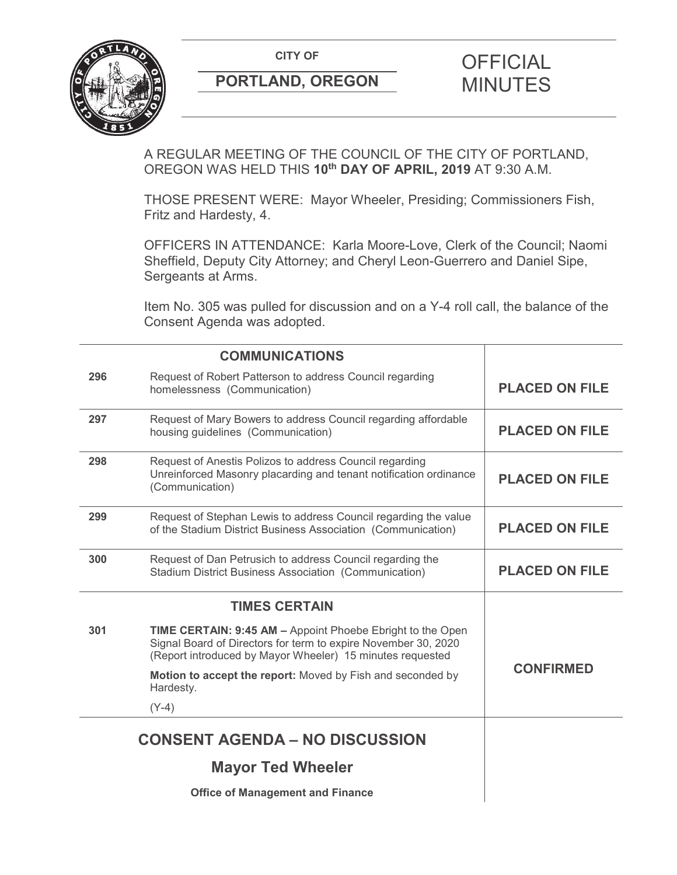

# **PORTLAND, OREGON MINUTES**

# **CITY OF CITY OF PICIAL**

A REGULAR MEETING OF THE COUNCIL OF THE CITY OF PORTLAND, OREGON WAS HELD THIS **10th DAY OF APRIL, 2019** AT 9:30 A.M.

THOSE PRESENT WERE: Mayor Wheeler, Presiding; Commissioners Fish, Fritz and Hardesty, 4.

OFFICERS IN ATTENDANCE: Karla Moore-Love, Clerk of the Council; Naomi Sheffield, Deputy City Attorney; and Cheryl Leon-Guerrero and Daniel Sipe, Sergeants at Arms.

Item No. 305 was pulled for discussion and on a Y-4 roll call, the balance of the Consent Agenda was adopted.

|                                       | <b>COMMUNICATIONS</b>                                                                                                                                                                            |                       |
|---------------------------------------|--------------------------------------------------------------------------------------------------------------------------------------------------------------------------------------------------|-----------------------|
| 296                                   | Request of Robert Patterson to address Council regarding<br>homelessness (Communication)                                                                                                         | <b>PLACED ON FILE</b> |
| 297                                   | Request of Mary Bowers to address Council regarding affordable<br>housing guidelines (Communication)                                                                                             | <b>PLACED ON FILE</b> |
| 298                                   | Request of Anestis Polizos to address Council regarding<br>Unreinforced Masonry placarding and tenant notification ordinance<br>(Communication)                                                  | <b>PLACED ON FILE</b> |
| 299                                   | Request of Stephan Lewis to address Council regarding the value<br>of the Stadium District Business Association (Communication)                                                                  | <b>PLACED ON FILE</b> |
| 300                                   | Request of Dan Petrusich to address Council regarding the<br><b>Stadium District Business Association (Communication)</b>                                                                        | <b>PLACED ON FILE</b> |
|                                       | <b>TIMES CERTAIN</b>                                                                                                                                                                             |                       |
| 301                                   | <b>TIME CERTAIN: 9:45 AM - Appoint Phoebe Ebright to the Open</b><br>Signal Board of Directors for term to expire November 30, 2020<br>(Report introduced by Mayor Wheeler) 15 minutes requested |                       |
|                                       | Motion to accept the report: Moved by Fish and seconded by<br>Hardesty.                                                                                                                          | <b>CONFIRMED</b>      |
|                                       | $(Y-4)$                                                                                                                                                                                          |                       |
| <b>CONSENT AGENDA - NO DISCUSSION</b> |                                                                                                                                                                                                  |                       |
|                                       | <b>Mayor Ted Wheeler</b>                                                                                                                                                                         |                       |
|                                       | <b>Office of Management and Finance</b>                                                                                                                                                          |                       |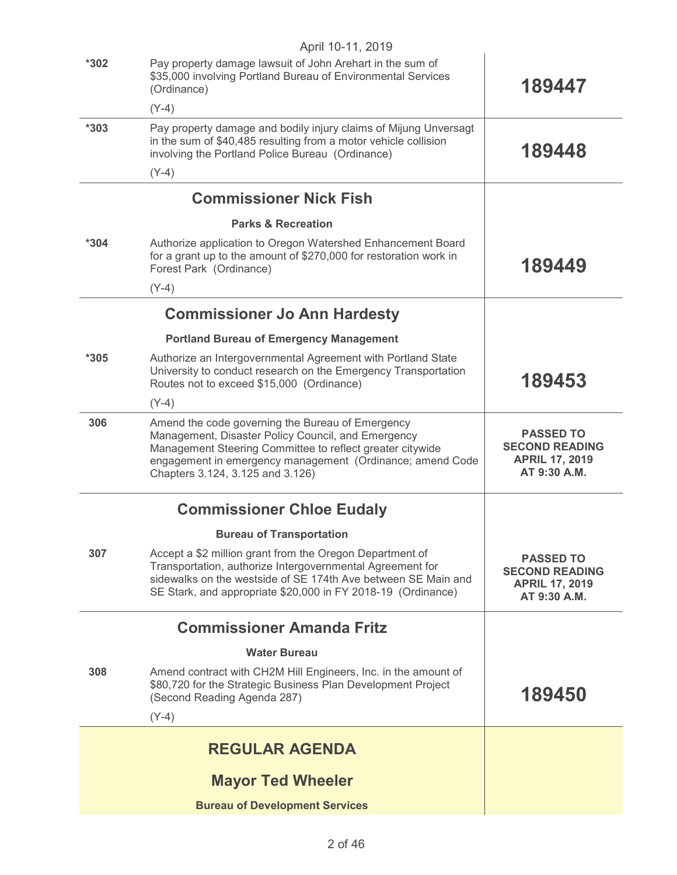|        | April 10-11, 2019                                                                                                                                                                                                                                                    |                                                                                    |
|--------|----------------------------------------------------------------------------------------------------------------------------------------------------------------------------------------------------------------------------------------------------------------------|------------------------------------------------------------------------------------|
| $*302$ | Pay property damage lawsuit of John Arehart in the sum of<br>\$35,000 involving Portland Bureau of Environmental Services<br>(Ordinance)                                                                                                                             | 189447                                                                             |
|        | $(Y-4)$                                                                                                                                                                                                                                                              |                                                                                    |
| $*303$ | Pay property damage and bodily injury claims of Mijung Unversagt<br>in the sum of \$40,485 resulting from a motor vehicle collision<br>involving the Portland Police Bureau (Ordinance)                                                                              | 189448                                                                             |
|        | $(Y-4)$                                                                                                                                                                                                                                                              |                                                                                    |
|        | <b>Commissioner Nick Fish</b>                                                                                                                                                                                                                                        |                                                                                    |
|        | <b>Parks &amp; Recreation</b>                                                                                                                                                                                                                                        |                                                                                    |
| $*304$ | Authorize application to Oregon Watershed Enhancement Board<br>for a grant up to the amount of \$270,000 for restoration work in<br>Forest Park (Ordinance)                                                                                                          | 189449                                                                             |
|        | $(Y-4)$                                                                                                                                                                                                                                                              |                                                                                    |
|        | <b>Commissioner Jo Ann Hardesty</b>                                                                                                                                                                                                                                  |                                                                                    |
|        | <b>Portland Bureau of Emergency Management</b>                                                                                                                                                                                                                       |                                                                                    |
| $*305$ | Authorize an Intergovernmental Agreement with Portland State<br>University to conduct research on the Emergency Transportation<br>Routes not to exceed \$15,000 (Ordinance)                                                                                          | 189453                                                                             |
|        | $(Y-4)$                                                                                                                                                                                                                                                              |                                                                                    |
| 306    | Amend the code governing the Bureau of Emergency<br>Management, Disaster Policy Council, and Emergency<br>Management Steering Committee to reflect greater citywide<br>engagement in emergency management (Ordinance; amend Code<br>Chapters 3.124, 3.125 and 3.126) | <b>PASSED TO</b><br><b>SECOND READING</b><br><b>APRIL 17, 2019</b><br>AT 9:30 A.M. |
|        | <b>Commissioner Chloe Eudaly</b>                                                                                                                                                                                                                                     |                                                                                    |
|        | <b>Bureau of Transportation</b>                                                                                                                                                                                                                                      |                                                                                    |
| 307    | Accept a \$2 million grant from the Oregon Department of<br>Transportation, authorize Intergovernmental Agreement for<br>sidewalks on the westside of SE 174th Ave between SE Main and<br>SE Stark, and appropriate \$20,000 in FY 2018-19 (Ordinance)               | <b>PASSED TO</b><br><b>SECOND READING</b><br><b>APRIL 17, 2019</b><br>AT 9:30 A.M. |
|        | <b>Commissioner Amanda Fritz</b>                                                                                                                                                                                                                                     |                                                                                    |
|        | <b>Water Bureau</b>                                                                                                                                                                                                                                                  |                                                                                    |
| 308    | Amend contract with CH2M Hill Engineers, Inc. in the amount of<br>\$80,720 for the Strategic Business Plan Development Project<br>(Second Reading Agenda 287)                                                                                                        | 189450                                                                             |
|        | $(Y-4)$                                                                                                                                                                                                                                                              |                                                                                    |
|        | <b>REGULAR AGENDA</b>                                                                                                                                                                                                                                                |                                                                                    |
|        | <b>Mayor Ted Wheeler</b>                                                                                                                                                                                                                                             |                                                                                    |
|        | <b>Bureau of Development Services</b>                                                                                                                                                                                                                                |                                                                                    |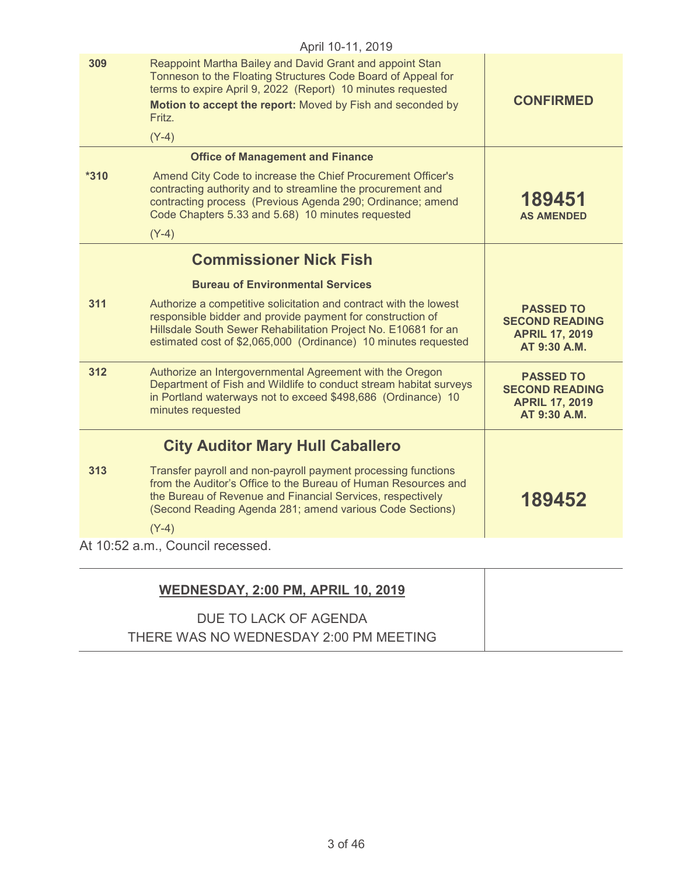|        | April 10-11, 2019                                                                                                                                                                                                                                                                |                                                                                    |
|--------|----------------------------------------------------------------------------------------------------------------------------------------------------------------------------------------------------------------------------------------------------------------------------------|------------------------------------------------------------------------------------|
| 309    | Reappoint Martha Bailey and David Grant and appoint Stan<br>Tonneson to the Floating Structures Code Board of Appeal for<br>terms to expire April 9, 2022 (Report) 10 minutes requested<br>Motion to accept the report: Moved by Fish and seconded by<br><b>Fritz</b><br>$(Y-4)$ | <b>CONFIRMED</b>                                                                   |
|        | <b>Office of Management and Finance</b>                                                                                                                                                                                                                                          |                                                                                    |
| $*310$ | Amend City Code to increase the Chief Procurement Officer's<br>contracting authority and to streamline the procurement and<br>contracting process (Previous Agenda 290; Ordinance; amend<br>Code Chapters 5.33 and 5.68) 10 minutes requested<br>$(Y-4)$                         | 189451<br><b>AS AMENDED</b>                                                        |
|        | <b>Commissioner Nick Fish</b>                                                                                                                                                                                                                                                    |                                                                                    |
|        |                                                                                                                                                                                                                                                                                  |                                                                                    |
|        | <b>Bureau of Environmental Services</b>                                                                                                                                                                                                                                          |                                                                                    |
| 311    | Authorize a competitive solicitation and contract with the lowest<br>responsible bidder and provide payment for construction of<br>Hillsdale South Sewer Rehabilitation Project No. E10681 for an<br>estimated cost of \$2,065,000 (Ordinance) 10 minutes requested              | <b>PASSED TO</b><br><b>SECOND READING</b><br><b>APRIL 17, 2019</b><br>AT 9:30 A.M. |
| 312    | Authorize an Intergovernmental Agreement with the Oregon<br>Department of Fish and Wildlife to conduct stream habitat surveys<br>in Portland waterways not to exceed \$498,686 (Ordinance) 10<br>minutes requested                                                               | <b>PASSED TO</b><br><b>SECOND READING</b><br><b>APRIL 17, 2019</b><br>AT 9:30 A.M. |
|        | <b>City Auditor Mary Hull Caballero</b>                                                                                                                                                                                                                                          |                                                                                    |
| 313    | Transfer payroll and non-payroll payment processing functions<br>from the Auditor's Office to the Bureau of Human Resources and<br>the Bureau of Revenue and Financial Services, respectively<br>(Second Reading Agenda 281; amend various Code Sections)                        | 189452                                                                             |
|        | $(Y-4)$                                                                                                                                                                                                                                                                          |                                                                                    |
|        | At 10:52 a.m., Council recessed.                                                                                                                                                                                                                                                 |                                                                                    |
|        |                                                                                                                                                                                                                                                                                  |                                                                                    |
|        |                                                                                                                                                                                                                                                                                  |                                                                                    |

| <b>WEDNESDAY, 2:00 PM, APRIL 10, 2019</b> |
|-------------------------------------------|
| DUE TO LACK OF AGENDA                     |
| THERE WAS NO WEDNESDAY 2:00 PM MEETING    |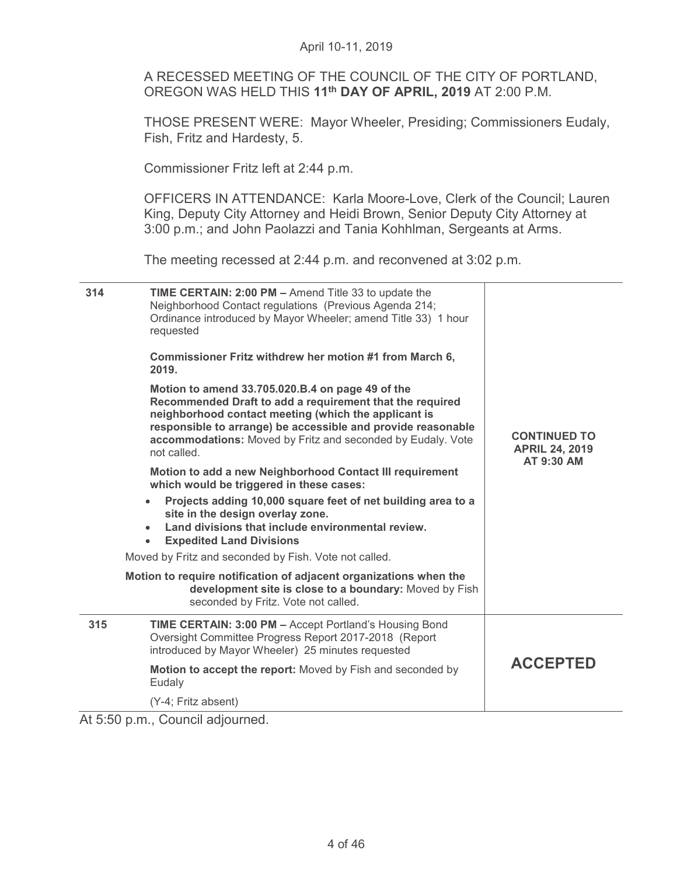A RECESSED MEETING OF THE COUNCIL OF THE CITY OF PORTLAND, OREGON WAS HELD THIS **11th DAY OF APRIL, 2019** AT 2:00 P.M.

THOSE PRESENT WERE: Mayor Wheeler, Presiding; Commissioners Eudaly, Fish, Fritz and Hardesty, 5.

Commissioner Fritz left at 2:44 p.m.

OFFICERS IN ATTENDANCE: Karla Moore-Love, Clerk of the Council; Lauren King, Deputy City Attorney and Heidi Brown, Senior Deputy City Attorney at 3:00 p.m.; and John Paolazzi and Tania Kohhlman, Sergeants at Arms.

The meeting recessed at 2:44 p.m. and reconvened at 3:02 p.m.

| 314 | <b>TIME CERTAIN: 2:00 PM - Amend Title 33 to update the</b><br>Neighborhood Contact regulations (Previous Agenda 214;<br>Ordinance introduced by Mayor Wheeler; amend Title 33) 1 hour<br>requested                                                                                                                | <b>CONTINUED TO</b><br><b>APRIL 24, 2019</b><br>AT 9:30 AM |
|-----|--------------------------------------------------------------------------------------------------------------------------------------------------------------------------------------------------------------------------------------------------------------------------------------------------------------------|------------------------------------------------------------|
|     | Commissioner Fritz withdrew her motion #1 from March 6,<br>2019.                                                                                                                                                                                                                                                   |                                                            |
|     | Motion to amend 33.705.020.B.4 on page 49 of the<br>Recommended Draft to add a requirement that the required<br>neighborhood contact meeting (which the applicant is<br>responsible to arrange) be accessible and provide reasonable<br>accommodations: Moved by Fritz and seconded by Eudaly. Vote<br>not called. |                                                            |
|     | Motion to add a new Neighborhood Contact III requirement<br>which would be triggered in these cases:                                                                                                                                                                                                               |                                                            |
|     | Projects adding 10,000 square feet of net building area to a<br>$\bullet$<br>site in the design overlay zone.<br>Land divisions that include environmental review.<br><b>Expedited Land Divisions</b><br>$\bullet$                                                                                                 |                                                            |
|     | Moved by Fritz and seconded by Fish. Vote not called.                                                                                                                                                                                                                                                              |                                                            |
|     | Motion to require notification of adjacent organizations when the<br>development site is close to a boundary: Moved by Fish<br>seconded by Fritz. Vote not called.                                                                                                                                                 |                                                            |
| 315 | <b>TIME CERTAIN: 3:00 PM - Accept Portland's Housing Bond</b><br>Oversight Committee Progress Report 2017-2018 (Report<br>introduced by Mayor Wheeler) 25 minutes requested                                                                                                                                        |                                                            |
|     | Motion to accept the report: Moved by Fish and seconded by<br>Eudaly                                                                                                                                                                                                                                               | <b>ACCEPTED</b>                                            |
|     | (Y-4; Fritz absent)                                                                                                                                                                                                                                                                                                |                                                            |

At 5:50 p.m., Council adjourned.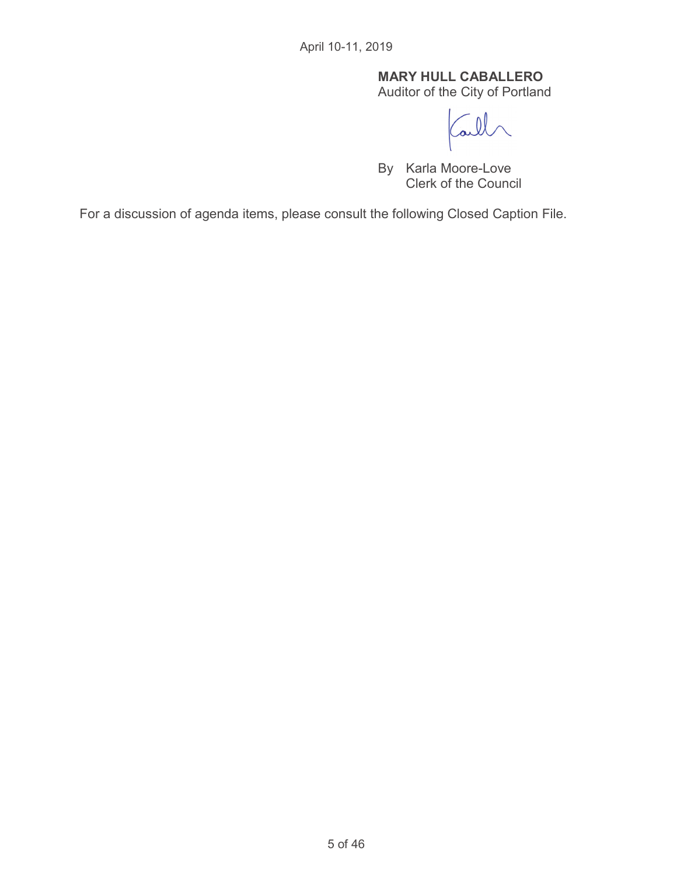# **MARY HULL CABALLERO**

Auditor of the City of Portland

 $\overline{\mathbf{v}}$ 

By Karla Moore-Love Clerk of the Council

For a discussion of agenda items, please consult the following Closed Caption File.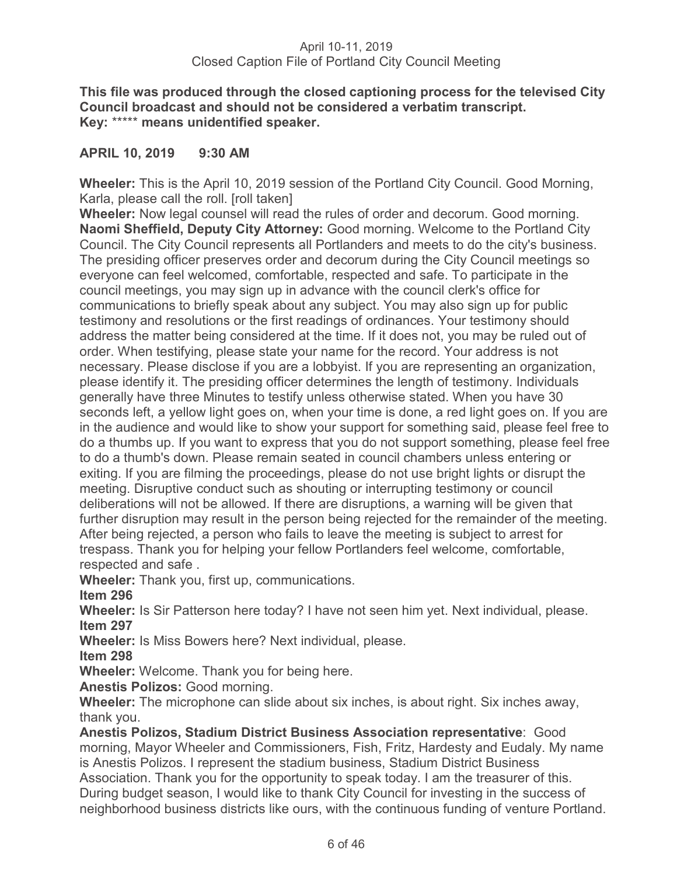**This file was produced through the closed captioning process for the televised City Council broadcast and should not be considered a verbatim transcript. Key:** \*\*\*\*\* **means unidentified speaker.** 

# **APRIL 10, 2019 9:30 AM**

**Wheeler:** This is the April 10, 2019 session of the Portland City Council. Good Morning, Karla, please call the roll. [roll taken]

**Wheeler:** Now legal counsel will read the rules of order and decorum. Good morning. **Naomi Sheffield, Deputy City Attorney:** Good morning. Welcome to the Portland City Council. The City Council represents all Portlanders and meets to do the city's business. The presiding officer preserves order and decorum during the City Council meetings so everyone can feel welcomed, comfortable, respected and safe. To participate in the council meetings, you may sign up in advance with the council clerk's office for communications to briefly speak about any subject. You may also sign up for public testimony and resolutions or the first readings of ordinances. Your testimony should address the matter being considered at the time. If it does not, you may be ruled out of order. When testifying, please state your name for the record. Your address is not necessary. Please disclose if you are a lobbyist. If you are representing an organization, please identify it. The presiding officer determines the length of testimony. Individuals generally have three Minutes to testify unless otherwise stated. When you have 30 seconds left, a yellow light goes on, when your time is done, a red light goes on. If you are in the audience and would like to show your support for something said, please feel free to do a thumbs up. If you want to express that you do not support something, please feel free to do a thumb's down. Please remain seated in council chambers unless entering or exiting. If you are filming the proceedings, please do not use bright lights or disrupt the meeting. Disruptive conduct such as shouting or interrupting testimony or council deliberations will not be allowed. If there are disruptions, a warning will be given that further disruption may result in the person being rejected for the remainder of the meeting. After being rejected, a person who fails to leave the meeting is subject to arrest for trespass. Thank you for helping your fellow Portlanders feel welcome, comfortable, respected and safe .

**Wheeler:** Thank you, first up, communications.

**Item 296** 

**Wheeler:** Is Sir Patterson here today? I have not seen him yet. Next individual, please. **Item 297** 

**Wheeler:** Is Miss Bowers here? Next individual, please.

**Item 298**

**Wheeler:** Welcome. Thank you for being here.

**Anestis Polizos:** Good morning.

**Wheeler:** The microphone can slide about six inches, is about right. Six inches away, thank you.

**Anestis Polizos, Stadium District Business Association representative**: Good morning, Mayor Wheeler and Commissioners, Fish, Fritz, Hardesty and Eudaly. My name is Anestis Polizos. I represent the stadium business, Stadium District Business Association. Thank you for the opportunity to speak today. I am the treasurer of this. During budget season, I would like to thank City Council for investing in the success of neighborhood business districts like ours, with the continuous funding of venture Portland.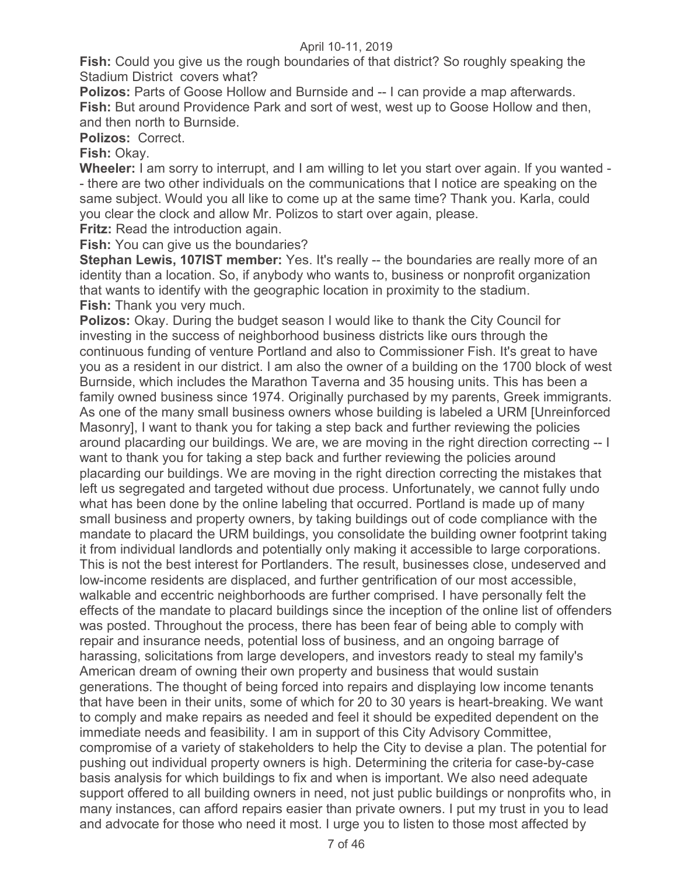**Fish:** Could you give us the rough boundaries of that district? So roughly speaking the Stadium District covers what?

**Polizos:** Parts of Goose Hollow and Burnside and -- I can provide a map afterwards. **Fish:** But around Providence Park and sort of west, west up to Goose Hollow and then, and then north to Burnside.

**Polizos:** Correct.

**Fish:** Okay.

**Wheeler:** I am sorry to interrupt, and I am willing to let you start over again. If you wanted - - there are two other individuals on the communications that I notice are speaking on the same subject. Would you all like to come up at the same time? Thank you. Karla, could you clear the clock and allow Mr. Polizos to start over again, please.

**Fritz:** Read the introduction again.

**Fish:** You can give us the boundaries?

**Stephan Lewis, 107IST member:** Yes. It's really -- the boundaries are really more of an identity than a location. So, if anybody who wants to, business or nonprofit organization that wants to identify with the geographic location in proximity to the stadium. **Fish:** Thank you very much.

**Polizos:** Okay. During the budget season I would like to thank the City Council for investing in the success of neighborhood business districts like ours through the continuous funding of venture Portland and also to Commissioner Fish. It's great to have you as a resident in our district. I am also the owner of a building on the 1700 block of west Burnside, which includes the Marathon Taverna and 35 housing units. This has been a family owned business since 1974. Originally purchased by my parents, Greek immigrants. As one of the many small business owners whose building is labeled a URM [Unreinforced Masonry], I want to thank you for taking a step back and further reviewing the policies around placarding our buildings. We are, we are moving in the right direction correcting -- I want to thank you for taking a step back and further reviewing the policies around placarding our buildings. We are moving in the right direction correcting the mistakes that left us segregated and targeted without due process. Unfortunately, we cannot fully undo what has been done by the online labeling that occurred. Portland is made up of many small business and property owners, by taking buildings out of code compliance with the mandate to placard the URM buildings, you consolidate the building owner footprint taking it from individual landlords and potentially only making it accessible to large corporations. This is not the best interest for Portlanders. The result, businesses close, undeserved and low-income residents are displaced, and further gentrification of our most accessible, walkable and eccentric neighborhoods are further comprised. I have personally felt the effects of the mandate to placard buildings since the inception of the online list of offenders was posted. Throughout the process, there has been fear of being able to comply with repair and insurance needs, potential loss of business, and an ongoing barrage of harassing, solicitations from large developers, and investors ready to steal my family's American dream of owning their own property and business that would sustain generations. The thought of being forced into repairs and displaying low income tenants that have been in their units, some of which for 20 to 30 years is heart-breaking. We want to comply and make repairs as needed and feel it should be expedited dependent on the immediate needs and feasibility. I am in support of this City Advisory Committee, compromise of a variety of stakeholders to help the City to devise a plan. The potential for pushing out individual property owners is high. Determining the criteria for case-by-case basis analysis for which buildings to fix and when is important. We also need adequate support offered to all building owners in need, not just public buildings or nonprofits who, in many instances, can afford repairs easier than private owners. I put my trust in you to lead and advocate for those who need it most. I urge you to listen to those most affected by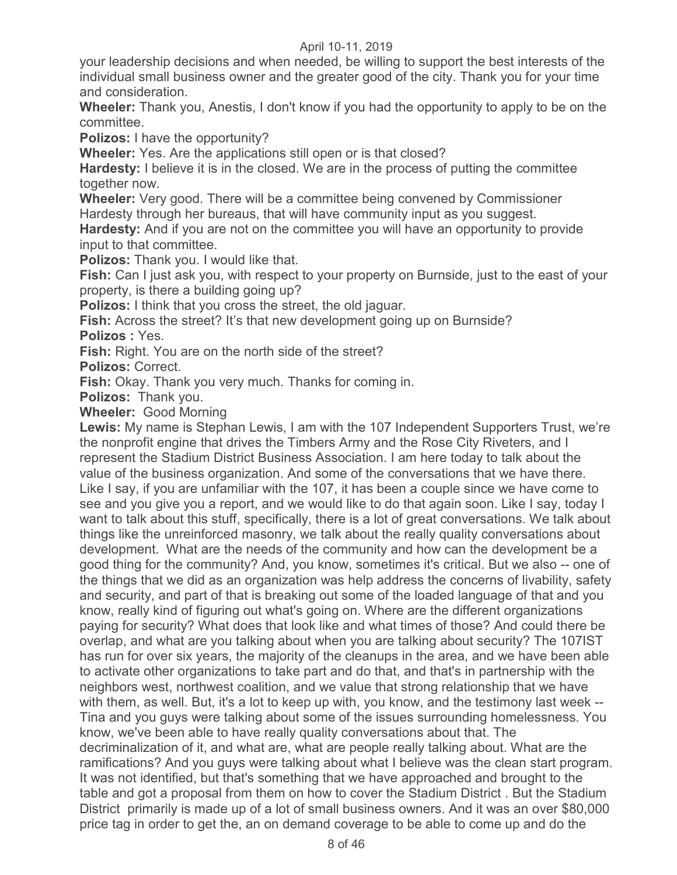your leadership decisions and when needed, be willing to support the best interests of the individual small business owner and the greater good of the city. Thank you for your time and consideration.

**Wheeler:** Thank you, Anestis, I don't know if you had the opportunity to apply to be on the committee.

**Polizos:** I have the opportunity?

**Wheeler:** Yes. Are the applications still open or is that closed?

**Hardesty:** I believe it is in the closed. We are in the process of putting the committee together now.

**Wheeler:** Very good. There will be a committee being convened by Commissioner Hardesty through her bureaus, that will have community input as you suggest.

**Hardesty:** And if you are not on the committee you will have an opportunity to provide input to that committee.

**Polizos:** Thank you. I would like that.

**Fish:** Can I just ask you, with respect to your property on Burnside, just to the east of your property, is there a building going up?

**Polizos:** I think that you cross the street, the old jaguar.

**Fish:** Across the street? It's that new development going up on Burnside? **Polizos :** Yes.

**Fish:** Right. You are on the north side of the street?

**Polizos:** Correct.

**Fish:** Okay. Thank you very much. Thanks for coming in.

**Polizos:** Thank you.

**Wheeler:** Good Morning

**Lewis:** My name is Stephan Lewis, I am with the 107 Independent Supporters Trust, we're the nonprofit engine that drives the Timbers Army and the Rose City Riveters, and I represent the Stadium District Business Association. I am here today to talk about the value of the business organization. And some of the conversations that we have there. Like I say, if you are unfamiliar with the 107, it has been a couple since we have come to see and you give you a report, and we would like to do that again soon. Like I say, today I want to talk about this stuff, specifically, there is a lot of great conversations. We talk about things like the unreinforced masonry, we talk about the really quality conversations about development. What are the needs of the community and how can the development be a good thing for the community? And, you know, sometimes it's critical. But we also -- one of the things that we did as an organization was help address the concerns of livability, safety and security, and part of that is breaking out some of the loaded language of that and you know, really kind of figuring out what's going on. Where are the different organizations paying for security? What does that look like and what times of those? And could there be overlap, and what are you talking about when you are talking about security? The 107IST has run for over six years, the majority of the cleanups in the area, and we have been able to activate other organizations to take part and do that, and that's in partnership with the neighbors west, northwest coalition, and we value that strong relationship that we have with them, as well. But, it's a lot to keep up with, you know, and the testimony last week --Tina and you guys were talking about some of the issues surrounding homelessness. You know, we've been able to have really quality conversations about that. The decriminalization of it, and what are, what are people really talking about. What are the ramifications? And you guys were talking about what I believe was the clean start program. It was not identified, but that's something that we have approached and brought to the table and got a proposal from them on how to cover the Stadium District . But the Stadium District primarily is made up of a lot of small business owners. And it was an over \$80,000 price tag in order to get the, an on demand coverage to be able to come up and do the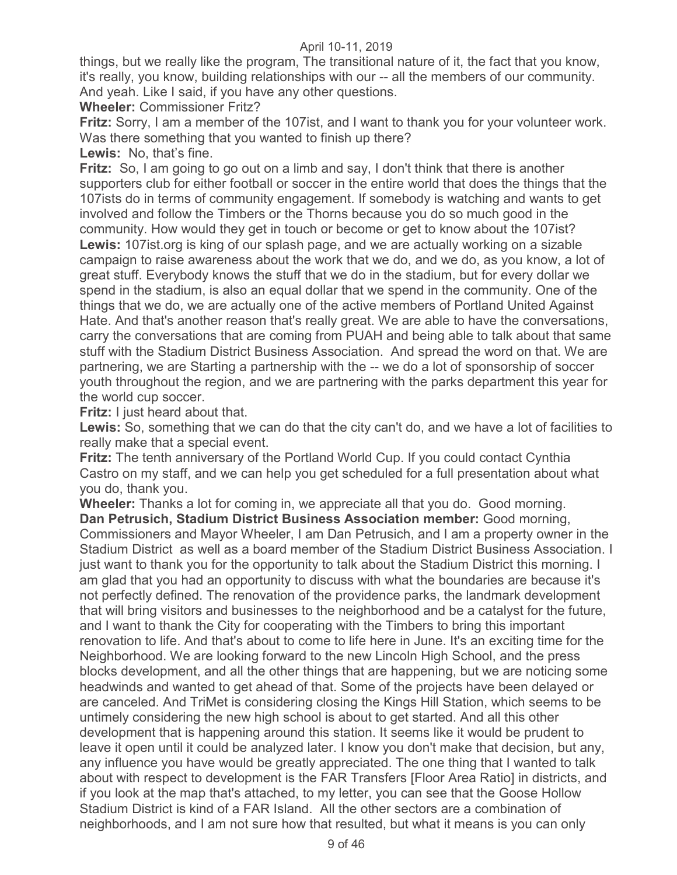things, but we really like the program, The transitional nature of it, the fact that you know, it's really, you know, building relationships with our -- all the members of our community. And yeah. Like I said, if you have any other questions.

# **Wheeler:** Commissioner Fritz?

**Fritz:** Sorry, I am a member of the 107ist, and I want to thank you for your volunteer work. Was there something that you wanted to finish up there?

**Lewis:** No, that's fine.

**Fritz:** So, I am going to go out on a limb and say, I don't think that there is another supporters club for either football or soccer in the entire world that does the things that the 107ists do in terms of community engagement. If somebody is watching and wants to get involved and follow the Timbers or the Thorns because you do so much good in the community. How would they get in touch or become or get to know about the 107ist? **Lewis:** 107ist.org is king of our splash page, and we are actually working on a sizable campaign to raise awareness about the work that we do, and we do, as you know, a lot of great stuff. Everybody knows the stuff that we do in the stadium, but for every dollar we spend in the stadium, is also an equal dollar that we spend in the community. One of the things that we do, we are actually one of the active members of Portland United Against Hate. And that's another reason that's really great. We are able to have the conversations, carry the conversations that are coming from PUAH and being able to talk about that same stuff with the Stadium District Business Association. And spread the word on that. We are partnering, we are Starting a partnership with the -- we do a lot of sponsorship of soccer youth throughout the region, and we are partnering with the parks department this year for the world cup soccer.

**Fritz:** I just heard about that.

**Lewis:** So, something that we can do that the city can't do, and we have a lot of facilities to really make that a special event.

**Fritz:** The tenth anniversary of the Portland World Cup. If you could contact Cynthia Castro on my staff, and we can help you get scheduled for a full presentation about what you do, thank you.

**Wheeler:** Thanks a lot for coming in, we appreciate all that you do. Good morning. **Dan Petrusich, Stadium District Business Association member:** Good morning, Commissioners and Mayor Wheeler, I am Dan Petrusich, and I am a property owner in the Stadium District as well as a board member of the Stadium District Business Association. I just want to thank you for the opportunity to talk about the Stadium District this morning. I am glad that you had an opportunity to discuss with what the boundaries are because it's not perfectly defined. The renovation of the providence parks, the landmark development that will bring visitors and businesses to the neighborhood and be a catalyst for the future, and I want to thank the City for cooperating with the Timbers to bring this important renovation to life. And that's about to come to life here in June. It's an exciting time for the Neighborhood. We are looking forward to the new Lincoln High School, and the press blocks development, and all the other things that are happening, but we are noticing some headwinds and wanted to get ahead of that. Some of the projects have been delayed or are canceled. And TriMet is considering closing the Kings Hill Station, which seems to be untimely considering the new high school is about to get started. And all this other development that is happening around this station. It seems like it would be prudent to leave it open until it could be analyzed later. I know you don't make that decision, but any, any influence you have would be greatly appreciated. The one thing that I wanted to talk about with respect to development is the FAR Transfers [Floor Area Ratio] in districts, and if you look at the map that's attached, to my letter, you can see that the Goose Hollow Stadium District is kind of a FAR Island. All the other sectors are a combination of neighborhoods, and I am not sure how that resulted, but what it means is you can only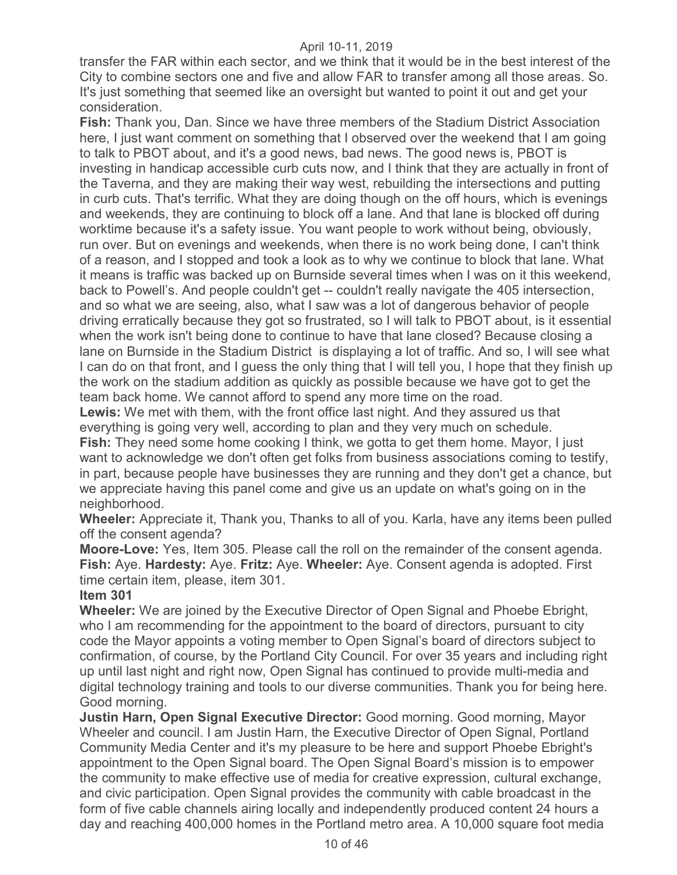transfer the FAR within each sector, and we think that it would be in the best interest of the City to combine sectors one and five and allow FAR to transfer among all those areas. So. It's just something that seemed like an oversight but wanted to point it out and get your consideration.

**Fish:** Thank you, Dan. Since we have three members of the Stadium District Association here, I just want comment on something that I observed over the weekend that I am going to talk to PBOT about, and it's a good news, bad news. The good news is, PBOT is investing in handicap accessible curb cuts now, and I think that they are actually in front of the Taverna, and they are making their way west, rebuilding the intersections and putting in curb cuts. That's terrific. What they are doing though on the off hours, which is evenings and weekends, they are continuing to block off a lane. And that lane is blocked off during worktime because it's a safety issue. You want people to work without being, obviously, run over. But on evenings and weekends, when there is no work being done, I can't think of a reason, and I stopped and took a look as to why we continue to block that lane. What it means is traffic was backed up on Burnside several times when I was on it this weekend, back to Powell's. And people couldn't get -- couldn't really navigate the 405 intersection, and so what we are seeing, also, what I saw was a lot of dangerous behavior of people driving erratically because they got so frustrated, so I will talk to PBOT about, is it essential when the work isn't being done to continue to have that lane closed? Because closing a lane on Burnside in the Stadium District is displaying a lot of traffic. And so, I will see what I can do on that front, and I guess the only thing that I will tell you, I hope that they finish up the work on the stadium addition as quickly as possible because we have got to get the team back home. We cannot afford to spend any more time on the road.

**Lewis:** We met with them, with the front office last night. And they assured us that everything is going very well, according to plan and they very much on schedule.

**Fish:** They need some home cooking I think, we gotta to get them home. Mayor, I just want to acknowledge we don't often get folks from business associations coming to testify, in part, because people have businesses they are running and they don't get a chance, but we appreciate having this panel come and give us an update on what's going on in the neighborhood.

**Wheeler:** Appreciate it, Thank you, Thanks to all of you. Karla, have any items been pulled off the consent agenda?

**Moore-Love:** Yes, Item 305. Please call the roll on the remainder of the consent agenda. **Fish:** Aye. **Hardesty:** Aye. **Fritz:** Aye. **Wheeler:** Aye. Consent agenda is adopted. First time certain item, please, item 301.

# **Item 301**

**Wheeler:** We are joined by the Executive Director of Open Signal and Phoebe Ebright, who I am recommending for the appointment to the board of directors, pursuant to city code the Mayor appoints a voting member to Open Signal's board of directors subject to confirmation, of course, by the Portland City Council. For over 35 years and including right up until last night and right now, Open Signal has continued to provide multi-media and digital technology training and tools to our diverse communities. Thank you for being here. Good morning.

**Justin Harn, Open Signal Executive Director:** Good morning. Good morning, Mayor Wheeler and council. I am Justin Harn, the Executive Director of Open Signal, Portland Community Media Center and it's my pleasure to be here and support Phoebe Ebright's appointment to the Open Signal board. The Open Signal Board's mission is to empower the community to make effective use of media for creative expression, cultural exchange, and civic participation. Open Signal provides the community with cable broadcast in the form of five cable channels airing locally and independently produced content 24 hours a day and reaching 400,000 homes in the Portland metro area. A 10,000 square foot media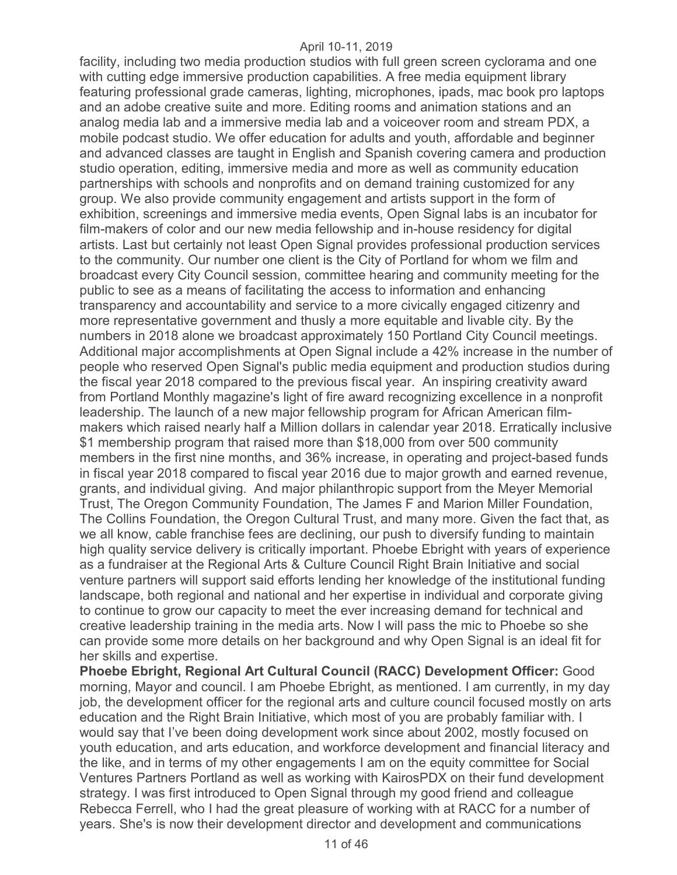facility, including two media production studios with full green screen cyclorama and one with cutting edge immersive production capabilities. A free media equipment library featuring professional grade cameras, lighting, microphones, ipads, mac book pro laptops and an adobe creative suite and more. Editing rooms and animation stations and an analog media lab and a immersive media lab and a voiceover room and stream PDX, a mobile podcast studio. We offer education for adults and youth, affordable and beginner and advanced classes are taught in English and Spanish covering camera and production studio operation, editing, immersive media and more as well as community education partnerships with schools and nonprofits and on demand training customized for any group. We also provide community engagement and artists support in the form of exhibition, screenings and immersive media events, Open Signal labs is an incubator for film-makers of color and our new media fellowship and in-house residency for digital artists. Last but certainly not least Open Signal provides professional production services to the community. Our number one client is the City of Portland for whom we film and broadcast every City Council session, committee hearing and community meeting for the public to see as a means of facilitating the access to information and enhancing transparency and accountability and service to a more civically engaged citizenry and more representative government and thusly a more equitable and livable city. By the numbers in 2018 alone we broadcast approximately 150 Portland City Council meetings. Additional major accomplishments at Open Signal include a 42% increase in the number of people who reserved Open Signal's public media equipment and production studios during the fiscal year 2018 compared to the previous fiscal year. An inspiring creativity award from Portland Monthly magazine's light of fire award recognizing excellence in a nonprofit leadership. The launch of a new major fellowship program for African American filmmakers which raised nearly half a Million dollars in calendar year 2018. Erratically inclusive \$1 membership program that raised more than \$18,000 from over 500 community members in the first nine months, and 36% increase, in operating and project-based funds in fiscal year 2018 compared to fiscal year 2016 due to major growth and earned revenue, grants, and individual giving. And major philanthropic support from the Meyer Memorial Trust, The Oregon Community Foundation, The James F and Marion Miller Foundation, The Collins Foundation, the Oregon Cultural Trust, and many more. Given the fact that, as we all know, cable franchise fees are declining, our push to diversify funding to maintain high quality service delivery is critically important. Phoebe Ebright with years of experience as a fundraiser at the Regional Arts & Culture Council Right Brain Initiative and social venture partners will support said efforts lending her knowledge of the institutional funding landscape, both regional and national and her expertise in individual and corporate giving to continue to grow our capacity to meet the ever increasing demand for technical and creative leadership training in the media arts. Now I will pass the mic to Phoebe so she can provide some more details on her background and why Open Signal is an ideal fit for her skills and expertise.

**Phoebe Ebright, Regional Art Cultural Council (RACC) Development Officer:** Good morning, Mayor and council. I am Phoebe Ebright, as mentioned. I am currently, in my day job, the development officer for the regional arts and culture council focused mostly on arts education and the Right Brain Initiative, which most of you are probably familiar with. I would say that I've been doing development work since about 2002, mostly focused on youth education, and arts education, and workforce development and financial literacy and the like, and in terms of my other engagements I am on the equity committee for Social Ventures Partners Portland as well as working with KairosPDX on their fund development strategy. I was first introduced to Open Signal through my good friend and colleague Rebecca Ferrell, who I had the great pleasure of working with at RACC for a number of years. She's is now their development director and development and communications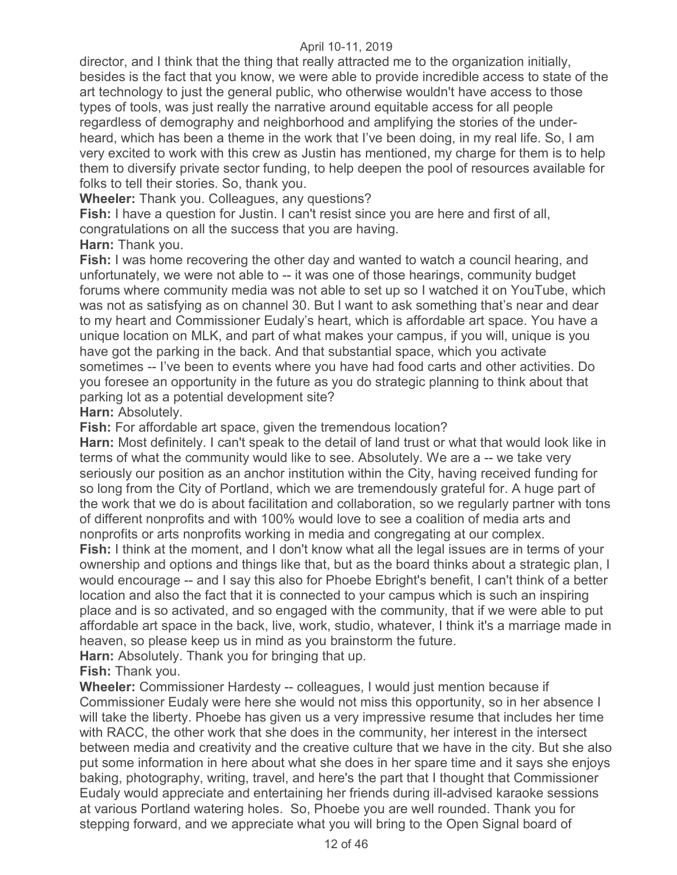director, and I think that the thing that really attracted me to the organization initially, besides is the fact that you know, we were able to provide incredible access to state of the art technology to just the general public, who otherwise wouldn't have access to those types of tools, was just really the narrative around equitable access for all people regardless of demography and neighborhood and amplifying the stories of the underheard, which has been a theme in the work that I've been doing, in my real life. So, I am very excited to work with this crew as Justin has mentioned, my charge for them is to help them to diversify private sector funding, to help deepen the pool of resources available for folks to tell their stories. So, thank you.

**Wheeler:** Thank you. Colleagues, any questions?

**Fish:** I have a question for Justin. I can't resist since you are here and first of all, congratulations on all the success that you are having.

**Harn:** Thank you.

**Fish:** I was home recovering the other day and wanted to watch a council hearing, and unfortunately, we were not able to -- it was one of those hearings, community budget forums where community media was not able to set up so I watched it on YouTube, which was not as satisfying as on channel 30. But I want to ask something that's near and dear to my heart and Commissioner Eudaly's heart, which is affordable art space. You have a unique location on MLK, and part of what makes your campus, if you will, unique is you have got the parking in the back. And that substantial space, which you activate sometimes -- I've been to events where you have had food carts and other activities. Do you foresee an opportunity in the future as you do strategic planning to think about that parking lot as a potential development site?

**Harn: Absolutely.** 

**Fish:** For affordable art space, given the tremendous location?

**Harn:** Most definitely. I can't speak to the detail of land trust or what that would look like in terms of what the community would like to see. Absolutely. We are a -- we take very seriously our position as an anchor institution within the City, having received funding for so long from the City of Portland, which we are tremendously grateful for. A huge part of the work that we do is about facilitation and collaboration, so we regularly partner with tons of different nonprofits and with 100% would love to see a coalition of media arts and nonprofits or arts nonprofits working in media and congregating at our complex.

**Fish:** I think at the moment, and I don't know what all the legal issues are in terms of your ownership and options and things like that, but as the board thinks about a strategic plan, I would encourage -- and I say this also for Phoebe Ebright's benefit, I can't think of a better location and also the fact that it is connected to your campus which is such an inspiring place and is so activated, and so engaged with the community, that if we were able to put affordable art space in the back, live, work, studio, whatever, I think it's a marriage made in heaven, so please keep us in mind as you brainstorm the future.

**Harn:** Absolutely. Thank you for bringing that up.

**Fish:** Thank you.

**Wheeler:** Commissioner Hardesty -- colleagues, I would just mention because if Commissioner Eudaly were here she would not miss this opportunity, so in her absence I will take the liberty. Phoebe has given us a very impressive resume that includes her time with RACC, the other work that she does in the community, her interest in the intersect between media and creativity and the creative culture that we have in the city. But she also put some information in here about what she does in her spare time and it says she enjoys baking, photography, writing, travel, and here's the part that I thought that Commissioner Eudaly would appreciate and entertaining her friends during ill-advised karaoke sessions at various Portland watering holes. So, Phoebe you are well rounded. Thank you for stepping forward, and we appreciate what you will bring to the Open Signal board of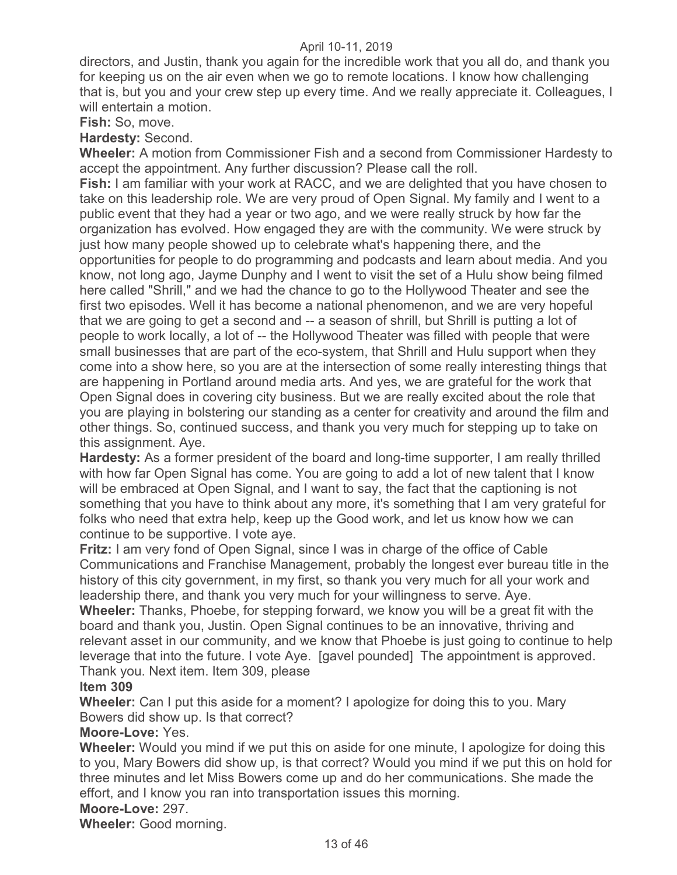directors, and Justin, thank you again for the incredible work that you all do, and thank you for keeping us on the air even when we go to remote locations. I know how challenging that is, but you and your crew step up every time. And we really appreciate it. Colleagues, I will entertain a motion.

**Fish:** So, move.

**Hardesty:** Second.

**Wheeler:** A motion from Commissioner Fish and a second from Commissioner Hardesty to accept the appointment. Any further discussion? Please call the roll.

**Fish:** I am familiar with your work at RACC, and we are delighted that you have chosen to take on this leadership role. We are very proud of Open Signal. My family and I went to a public event that they had a year or two ago, and we were really struck by how far the organization has evolved. How engaged they are with the community. We were struck by just how many people showed up to celebrate what's happening there, and the opportunities for people to do programming and podcasts and learn about media. And you know, not long ago, Jayme Dunphy and I went to visit the set of a Hulu show being filmed here called "Shrill," and we had the chance to go to the Hollywood Theater and see the first two episodes. Well it has become a national phenomenon, and we are very hopeful that we are going to get a second and -- a season of shrill, but Shrill is putting a lot of people to work locally, a lot of -- the Hollywood Theater was filled with people that were small businesses that are part of the eco-system, that Shrill and Hulu support when they come into a show here, so you are at the intersection of some really interesting things that are happening in Portland around media arts. And yes, we are grateful for the work that Open Signal does in covering city business. But we are really excited about the role that you are playing in bolstering our standing as a center for creativity and around the film and other things. So, continued success, and thank you very much for stepping up to take on this assignment. Aye.

**Hardesty:** As a former president of the board and long-time supporter, I am really thrilled with how far Open Signal has come. You are going to add a lot of new talent that I know will be embraced at Open Signal, and I want to say, the fact that the captioning is not something that you have to think about any more, it's something that I am very grateful for folks who need that extra help, keep up the Good work, and let us know how we can continue to be supportive. I vote aye.

**Fritz:** I am very fond of Open Signal, since I was in charge of the office of Cable Communications and Franchise Management, probably the longest ever bureau title in the history of this city government, in my first, so thank you very much for all your work and leadership there, and thank you very much for your willingness to serve. Aye.

**Wheeler:** Thanks, Phoebe, for stepping forward, we know you will be a great fit with the board and thank you, Justin. Open Signal continues to be an innovative, thriving and relevant asset in our community, and we know that Phoebe is just going to continue to help leverage that into the future. I vote Aye. [gavel pounded] The appointment is approved. Thank you. Next item. Item 309, please

# **Item 309**

**Wheeler:** Can I put this aside for a moment? I apologize for doing this to you. Mary Bowers did show up. Is that correct?

#### **Moore-Love:** Yes.

**Wheeler:** Would you mind if we put this on aside for one minute, I apologize for doing this to you, Mary Bowers did show up, is that correct? Would you mind if we put this on hold for three minutes and let Miss Bowers come up and do her communications. She made the effort, and I know you ran into transportation issues this morning.

# **Moore-Love:** 297.

**Wheeler:** Good morning.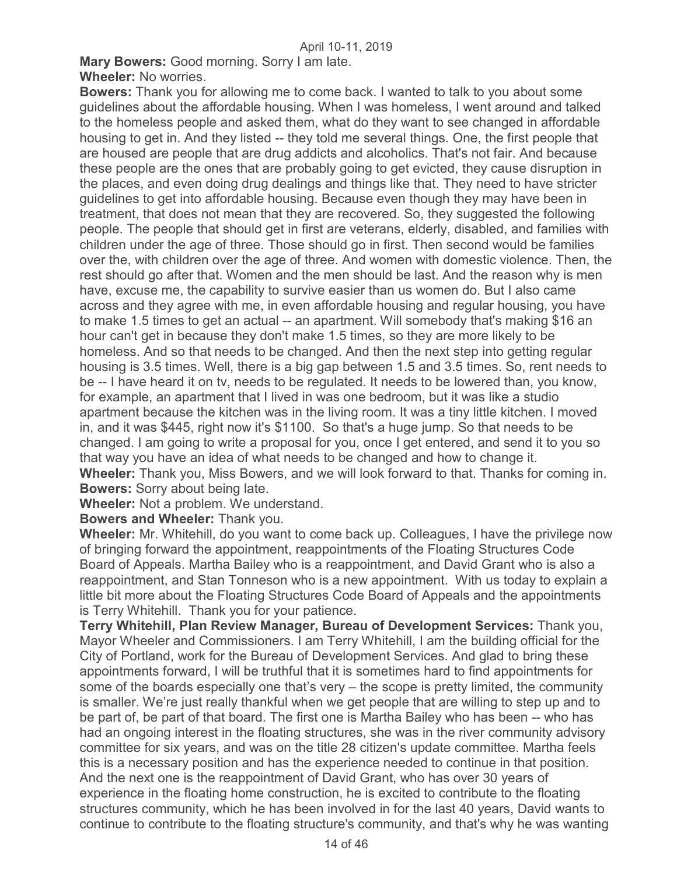**Mary Bowers:** Good morning. Sorry I am late. **Wheeler:** No worries.

**Bowers:** Thank you for allowing me to come back. I wanted to talk to you about some guidelines about the affordable housing. When I was homeless, I went around and talked to the homeless people and asked them, what do they want to see changed in affordable housing to get in. And they listed -- they told me several things. One, the first people that are housed are people that are drug addicts and alcoholics. That's not fair. And because these people are the ones that are probably going to get evicted, they cause disruption in the places, and even doing drug dealings and things like that. They need to have stricter guidelines to get into affordable housing. Because even though they may have been in treatment, that does not mean that they are recovered. So, they suggested the following people. The people that should get in first are veterans, elderly, disabled, and families with children under the age of three. Those should go in first. Then second would be families over the, with children over the age of three. And women with domestic violence. Then, the rest should go after that. Women and the men should be last. And the reason why is men have, excuse me, the capability to survive easier than us women do. But I also came across and they agree with me, in even affordable housing and regular housing, you have to make 1.5 times to get an actual -- an apartment. Will somebody that's making \$16 an hour can't get in because they don't make 1.5 times, so they are more likely to be homeless. And so that needs to be changed. And then the next step into getting regular housing is 3.5 times. Well, there is a big gap between 1.5 and 3.5 times. So, rent needs to be -- I have heard it on tv, needs to be regulated. It needs to be lowered than, you know, for example, an apartment that I lived in was one bedroom, but it was like a studio apartment because the kitchen was in the living room. It was a tiny little kitchen. I moved in, and it was \$445, right now it's \$1100. So that's a huge jump. So that needs to be changed. I am going to write a proposal for you, once I get entered, and send it to you so that way you have an idea of what needs to be changed and how to change it. **Wheeler:** Thank you, Miss Bowers, and we will look forward to that. Thanks for coming in. **Bowers:** Sorry about being late.

**Wheeler:** Not a problem. We understand.

#### **Bowers and Wheeler:** Thank you.

**Wheeler:** Mr. Whitehill, do you want to come back up. Colleagues, I have the privilege now of bringing forward the appointment, reappointments of the Floating Structures Code Board of Appeals. Martha Bailey who is a reappointment, and David Grant who is also a reappointment, and Stan Tonneson who is a new appointment. With us today to explain a little bit more about the Floating Structures Code Board of Appeals and the appointments is Terry Whitehill. Thank you for your patience.

**Terry Whitehill, Plan Review Manager, Bureau of Development Services:** Thank you, Mayor Wheeler and Commissioners. I am Terry Whitehill, I am the building official for the City of Portland, work for the Bureau of Development Services. And glad to bring these appointments forward, I will be truthful that it is sometimes hard to find appointments for some of the boards especially one that's very – the scope is pretty limited, the community is smaller. We're just really thankful when we get people that are willing to step up and to be part of, be part of that board. The first one is Martha Bailey who has been -- who has had an ongoing interest in the floating structures, she was in the river community advisory committee for six years, and was on the title 28 citizen's update committee. Martha feels this is a necessary position and has the experience needed to continue in that position. And the next one is the reappointment of David Grant, who has over 30 years of experience in the floating home construction, he is excited to contribute to the floating structures community, which he has been involved in for the last 40 years, David wants to continue to contribute to the floating structure's community, and that's why he was wanting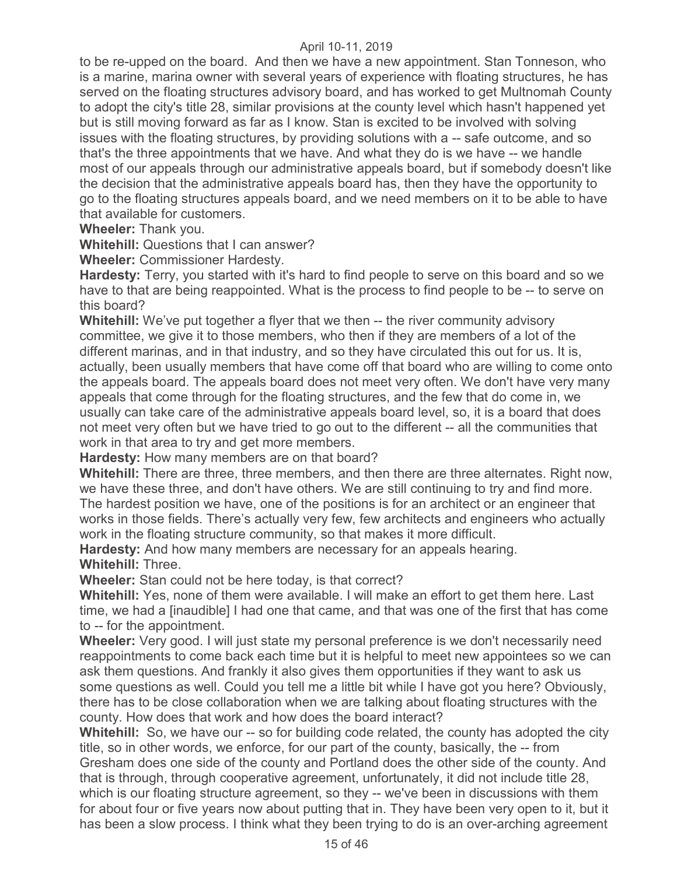to be re-upped on the board. And then we have a new appointment. Stan Tonneson, who is a marine, marina owner with several years of experience with floating structures, he has served on the floating structures advisory board, and has worked to get Multnomah County to adopt the city's title 28, similar provisions at the county level which hasn't happened yet but is still moving forward as far as I know. Stan is excited to be involved with solving issues with the floating structures, by providing solutions with a -- safe outcome, and so that's the three appointments that we have. And what they do is we have -- we handle most of our appeals through our administrative appeals board, but if somebody doesn't like the decision that the administrative appeals board has, then they have the opportunity to go to the floating structures appeals board, and we need members on it to be able to have that available for customers.

**Wheeler:** Thank you.

**Whitehill:** Questions that I can answer?

**Wheeler:** Commissioner Hardesty.

**Hardesty:** Terry, you started with it's hard to find people to serve on this board and so we have to that are being reappointed. What is the process to find people to be -- to serve on this board?

**Whitehill:** We've put together a flyer that we then -- the river community advisory committee, we give it to those members, who then if they are members of a lot of the different marinas, and in that industry, and so they have circulated this out for us. It is, actually, been usually members that have come off that board who are willing to come onto the appeals board. The appeals board does not meet very often. We don't have very many appeals that come through for the floating structures, and the few that do come in, we usually can take care of the administrative appeals board level, so, it is a board that does not meet very often but we have tried to go out to the different -- all the communities that work in that area to try and get more members.

**Hardesty:** How many members are on that board?

**Whitehill:** There are three, three members, and then there are three alternates. Right now, we have these three, and don't have others. We are still continuing to try and find more. The hardest position we have, one of the positions is for an architect or an engineer that works in those fields. There's actually very few, few architects and engineers who actually work in the floating structure community, so that makes it more difficult.

**Hardesty:** And how many members are necessary for an appeals hearing. **Whitehill:** Three.

**Wheeler:** Stan could not be here today, is that correct?

**Whitehill:** Yes, none of them were available. I will make an effort to get them here. Last time, we had a [inaudible] I had one that came, and that was one of the first that has come to -- for the appointment.

**Wheeler:** Very good. I will just state my personal preference is we don't necessarily need reappointments to come back each time but it is helpful to meet new appointees so we can ask them questions. And frankly it also gives them opportunities if they want to ask us some questions as well. Could you tell me a little bit while I have got you here? Obviously, there has to be close collaboration when we are talking about floating structures with the county. How does that work and how does the board interact?

**Whitehill:** So, we have our -- so for building code related, the county has adopted the city title, so in other words, we enforce, for our part of the county, basically, the -- from Gresham does one side of the county and Portland does the other side of the county. And that is through, through cooperative agreement, unfortunately, it did not include title 28, which is our floating structure agreement, so they -- we've been in discussions with them for about four or five years now about putting that in. They have been very open to it, but it has been a slow process. I think what they been trying to do is an over-arching agreement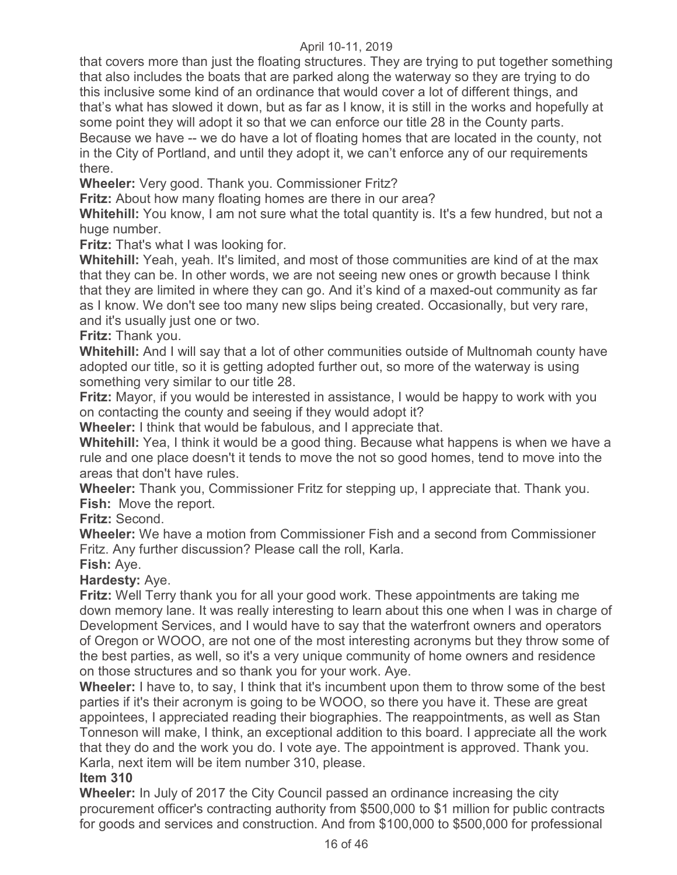that covers more than just the floating structures. They are trying to put together something that also includes the boats that are parked along the waterway so they are trying to do this inclusive some kind of an ordinance that would cover a lot of different things, and that's what has slowed it down, but as far as I know, it is still in the works and hopefully at some point they will adopt it so that we can enforce our title 28 in the County parts. Because we have -- we do have a lot of floating homes that are located in the county, not in the City of Portland, and until they adopt it, we can't enforce any of our requirements there.

**Wheeler:** Very good. Thank you. Commissioner Fritz?

**Fritz:** About how many floating homes are there in our area?

**Whitehill:** You know, I am not sure what the total quantity is. It's a few hundred, but not a huge number.

**Fritz:** That's what I was looking for.

**Whitehill:** Yeah, yeah. It's limited, and most of those communities are kind of at the max that they can be. In other words, we are not seeing new ones or growth because I think that they are limited in where they can go. And it's kind of a maxed-out community as far as I know. We don't see too many new slips being created. Occasionally, but very rare, and it's usually just one or two.

**Fritz:** Thank you.

**Whitehill:** And I will say that a lot of other communities outside of Multnomah county have adopted our title, so it is getting adopted further out, so more of the waterway is using something very similar to our title 28.

**Fritz:** Mayor, if you would be interested in assistance, I would be happy to work with you on contacting the county and seeing if they would adopt it?

**Wheeler:** I think that would be fabulous, and I appreciate that.

**Whitehill:** Yea, I think it would be a good thing. Because what happens is when we have a rule and one place doesn't it tends to move the not so good homes, tend to move into the areas that don't have rules.

**Wheeler:** Thank you, Commissioner Fritz for stepping up, I appreciate that. Thank you. **Fish:** Move the report.

**Fritz:** Second.

**Wheeler:** We have a motion from Commissioner Fish and a second from Commissioner Fritz. Any further discussion? Please call the roll, Karla.

**Fish:** Aye.

**Hardesty:** Aye.

**Fritz:** Well Terry thank you for all your good work. These appointments are taking me down memory lane. It was really interesting to learn about this one when I was in charge of Development Services, and I would have to say that the waterfront owners and operators of Oregon or WOOO, are not one of the most interesting acronyms but they throw some of the best parties, as well, so it's a very unique community of home owners and residence on those structures and so thank you for your work. Aye.

**Wheeler:** I have to, to say, I think that it's incumbent upon them to throw some of the best parties if it's their acronym is going to be WOOO, so there you have it. These are great appointees, I appreciated reading their biographies. The reappointments, as well as Stan Tonneson will make, I think, an exceptional addition to this board. I appreciate all the work that they do and the work you do. I vote aye. The appointment is approved. Thank you. Karla, next item will be item number 310, please.

# **Item 310**

**Wheeler:** In July of 2017 the City Council passed an ordinance increasing the city procurement officer's contracting authority from \$500,000 to \$1 million for public contracts for goods and services and construction. And from \$100,000 to \$500,000 for professional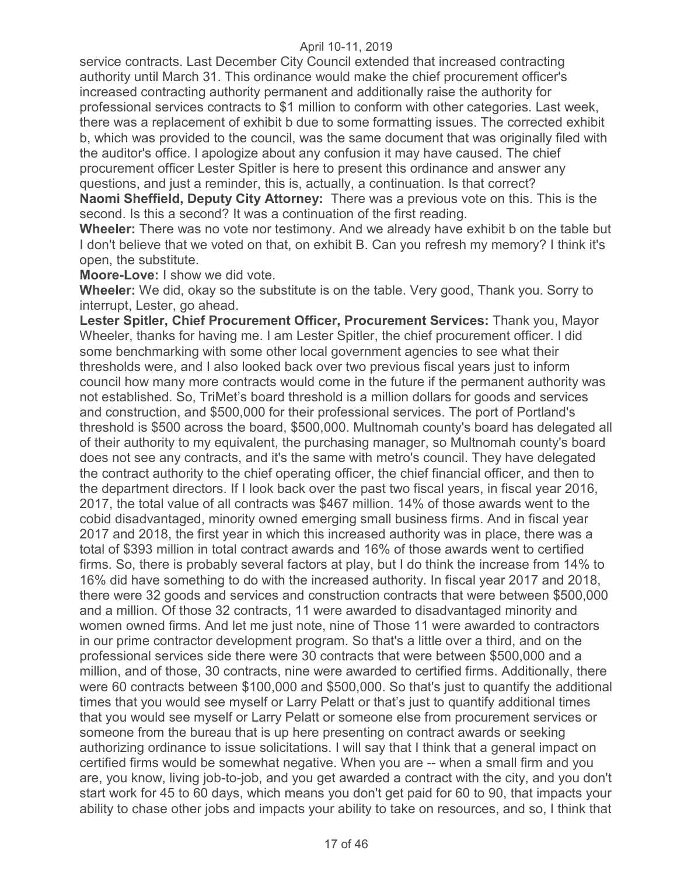service contracts. Last December City Council extended that increased contracting authority until March 31. This ordinance would make the chief procurement officer's increased contracting authority permanent and additionally raise the authority for professional services contracts to \$1 million to conform with other categories. Last week, there was a replacement of exhibit b due to some formatting issues. The corrected exhibit b, which was provided to the council, was the same document that was originally filed with the auditor's office. I apologize about any confusion it may have caused. The chief procurement officer Lester Spitler is here to present this ordinance and answer any questions, and just a reminder, this is, actually, a continuation. Is that correct? **Naomi Sheffield, Deputy City Attorney:** There was a previous vote on this. This is the second. Is this a second? It was a continuation of the first reading.

**Wheeler:** There was no vote nor testimony. And we already have exhibit b on the table but I don't believe that we voted on that, on exhibit B. Can you refresh my memory? I think it's open, the substitute.

**Moore-Love:** I show we did vote.

**Wheeler:** We did, okay so the substitute is on the table. Very good, Thank you. Sorry to interrupt, Lester, go ahead.

**Lester Spitler, Chief Procurement Officer, Procurement Services:** Thank you, Mayor Wheeler, thanks for having me. I am Lester Spitler, the chief procurement officer. I did some benchmarking with some other local government agencies to see what their thresholds were, and I also looked back over two previous fiscal years just to inform council how many more contracts would come in the future if the permanent authority was not established. So, TriMet's board threshold is a million dollars for goods and services and construction, and \$500,000 for their professional services. The port of Portland's threshold is \$500 across the board, \$500,000. Multnomah county's board has delegated all of their authority to my equivalent, the purchasing manager, so Multnomah county's board does not see any contracts, and it's the same with metro's council. They have delegated the contract authority to the chief operating officer, the chief financial officer, and then to the department directors. If I look back over the past two fiscal years, in fiscal year 2016, 2017, the total value of all contracts was \$467 million. 14% of those awards went to the cobid disadvantaged, minority owned emerging small business firms. And in fiscal year 2017 and 2018, the first year in which this increased authority was in place, there was a total of \$393 million in total contract awards and 16% of those awards went to certified firms. So, there is probably several factors at play, but I do think the increase from 14% to 16% did have something to do with the increased authority. In fiscal year 2017 and 2018, there were 32 goods and services and construction contracts that were between \$500,000 and a million. Of those 32 contracts, 11 were awarded to disadvantaged minority and women owned firms. And let me just note, nine of Those 11 were awarded to contractors in our prime contractor development program. So that's a little over a third, and on the professional services side there were 30 contracts that were between \$500,000 and a million, and of those, 30 contracts, nine were awarded to certified firms. Additionally, there were 60 contracts between \$100,000 and \$500,000. So that's just to quantify the additional times that you would see myself or Larry Pelatt or that's just to quantify additional times that you would see myself or Larry Pelatt or someone else from procurement services or someone from the bureau that is up here presenting on contract awards or seeking authorizing ordinance to issue solicitations. I will say that I think that a general impact on certified firms would be somewhat negative. When you are -- when a small firm and you are, you know, living job-to-job, and you get awarded a contract with the city, and you don't start work for 45 to 60 days, which means you don't get paid for 60 to 90, that impacts your ability to chase other jobs and impacts your ability to take on resources, and so, I think that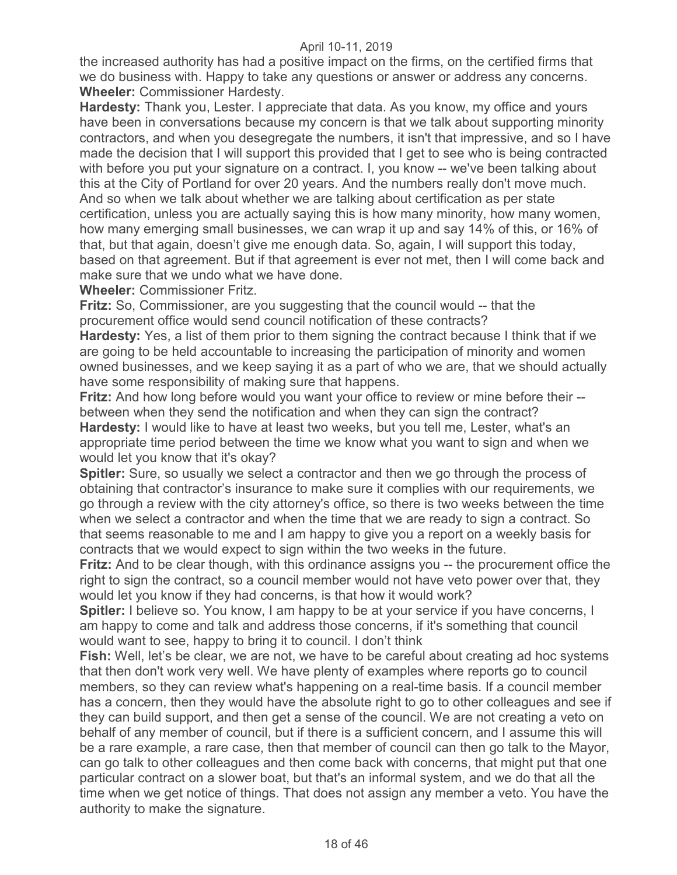the increased authority has had a positive impact on the firms, on the certified firms that we do business with. Happy to take any questions or answer or address any concerns. **Wheeler:** Commissioner Hardesty.

**Hardesty:** Thank you, Lester. I appreciate that data. As you know, my office and yours have been in conversations because my concern is that we talk about supporting minority contractors, and when you desegregate the numbers, it isn't that impressive, and so I have made the decision that I will support this provided that I get to see who is being contracted with before you put your signature on a contract. I, you know -- we've been talking about this at the City of Portland for over 20 years. And the numbers really don't move much. And so when we talk about whether we are talking about certification as per state certification, unless you are actually saying this is how many minority, how many women, how many emerging small businesses, we can wrap it up and say 14% of this, or 16% of that, but that again, doesn't give me enough data. So, again, I will support this today, based on that agreement. But if that agreement is ever not met, then I will come back and make sure that we undo what we have done.

**Wheeler:** Commissioner Fritz.

**Fritz:** So, Commissioner, are you suggesting that the council would -- that the procurement office would send council notification of these contracts?

**Hardesty:** Yes, a list of them prior to them signing the contract because I think that if we are going to be held accountable to increasing the participation of minority and women owned businesses, and we keep saying it as a part of who we are, that we should actually have some responsibility of making sure that happens.

**Fritz:** And how long before would you want your office to review or mine before their - between when they send the notification and when they can sign the contract? **Hardesty:** I would like to have at least two weeks, but you tell me, Lester, what's an appropriate time period between the time we know what you want to sign and when we would let you know that it's okay?

**Spitler:** Sure, so usually we select a contractor and then we go through the process of obtaining that contractor's insurance to make sure it complies with our requirements, we go through a review with the city attorney's office, so there is two weeks between the time when we select a contractor and when the time that we are ready to sign a contract. So that seems reasonable to me and I am happy to give you a report on a weekly basis for contracts that we would expect to sign within the two weeks in the future.

**Fritz:** And to be clear though, with this ordinance assigns you -- the procurement office the right to sign the contract, so a council member would not have veto power over that, they would let you know if they had concerns, is that how it would work?

**Spitler:** I believe so. You know, I am happy to be at your service if you have concerns, I am happy to come and talk and address those concerns, if it's something that council would want to see, happy to bring it to council. I don't think

**Fish:** Well, let's be clear, we are not, we have to be careful about creating ad hoc systems that then don't work very well. We have plenty of examples where reports go to council members, so they can review what's happening on a real-time basis. If a council member has a concern, then they would have the absolute right to go to other colleagues and see if they can build support, and then get a sense of the council. We are not creating a veto on behalf of any member of council, but if there is a sufficient concern, and I assume this will be a rare example, a rare case, then that member of council can then go talk to the Mayor, can go talk to other colleagues and then come back with concerns, that might put that one particular contract on a slower boat, but that's an informal system, and we do that all the time when we get notice of things. That does not assign any member a veto. You have the authority to make the signature.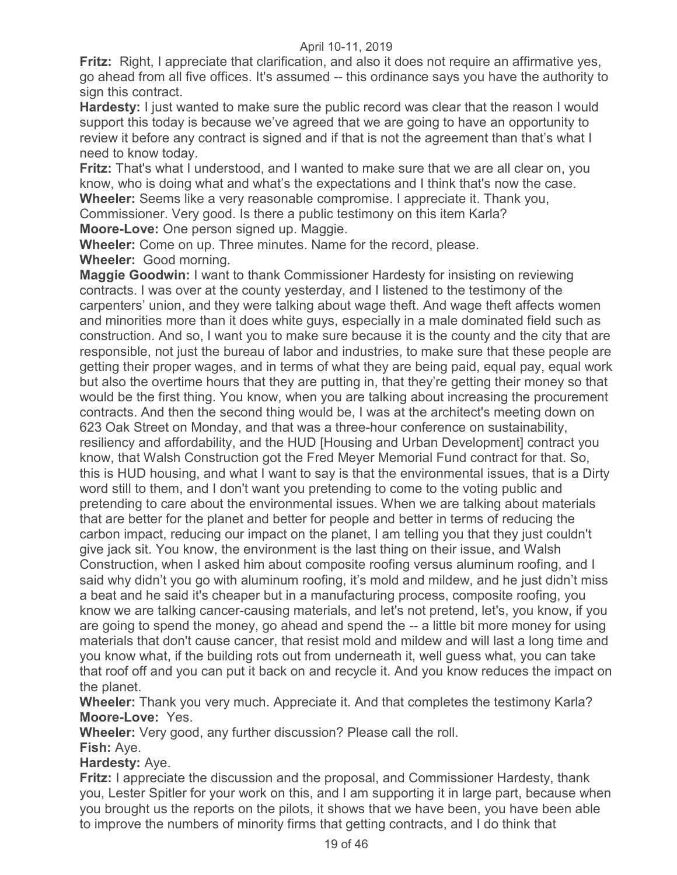**Fritz:** Right, I appreciate that clarification, and also it does not require an affirmative yes, go ahead from all five offices. It's assumed -- this ordinance says you have the authority to sign this contract.

**Hardesty:** I just wanted to make sure the public record was clear that the reason I would support this today is because we've agreed that we are going to have an opportunity to review it before any contract is signed and if that is not the agreement than that's what I need to know today.

**Fritz:** That's what I understood, and I wanted to make sure that we are all clear on, you know, who is doing what and what's the expectations and I think that's now the case. **Wheeler:** Seems like a very reasonable compromise. I appreciate it. Thank you, Commissioner. Very good. Is there a public testimony on this item Karla?

**Moore-Love:** One person signed up. Maggie.

**Wheeler:** Come on up. Three minutes. Name for the record, please. **Wheeler:** Good morning.

**Maggie Goodwin:** I want to thank Commissioner Hardesty for insisting on reviewing contracts. I was over at the county yesterday, and I listened to the testimony of the carpenters' union, and they were talking about wage theft. And wage theft affects women and minorities more than it does white guys, especially in a male dominated field such as construction. And so, I want you to make sure because it is the county and the city that are responsible, not just the bureau of labor and industries, to make sure that these people are getting their proper wages, and in terms of what they are being paid, equal pay, equal work but also the overtime hours that they are putting in, that they're getting their money so that would be the first thing. You know, when you are talking about increasing the procurement contracts. And then the second thing would be, I was at the architect's meeting down on 623 Oak Street on Monday, and that was a three-hour conference on sustainability, resiliency and affordability, and the HUD [Housing and Urban Development] contract you know, that Walsh Construction got the Fred Meyer Memorial Fund contract for that. So, this is HUD housing, and what I want to say is that the environmental issues, that is a Dirty word still to them, and I don't want you pretending to come to the voting public and pretending to care about the environmental issues. When we are talking about materials that are better for the planet and better for people and better in terms of reducing the carbon impact, reducing our impact on the planet, I am telling you that they just couldn't give jack sit. You know, the environment is the last thing on their issue, and Walsh Construction, when I asked him about composite roofing versus aluminum roofing, and I said why didn't you go with aluminum roofing, it's mold and mildew, and he just didn't miss a beat and he said it's cheaper but in a manufacturing process, composite roofing, you know we are talking cancer-causing materials, and let's not pretend, let's, you know, if you are going to spend the money, go ahead and spend the -- a little bit more money for using materials that don't cause cancer, that resist mold and mildew and will last a long time and you know what, if the building rots out from underneath it, well guess what, you can take that roof off and you can put it back on and recycle it. And you know reduces the impact on the planet.

**Wheeler:** Thank you very much. Appreciate it. And that completes the testimony Karla? **Moore-Love:** Yes.

**Wheeler:** Very good, any further discussion? Please call the roll.

**Fish:** Aye.

**Hardesty:** Aye.

**Fritz:** I appreciate the discussion and the proposal, and Commissioner Hardesty, thank you, Lester Spitler for your work on this, and I am supporting it in large part, because when you brought us the reports on the pilots, it shows that we have been, you have been able to improve the numbers of minority firms that getting contracts, and I do think that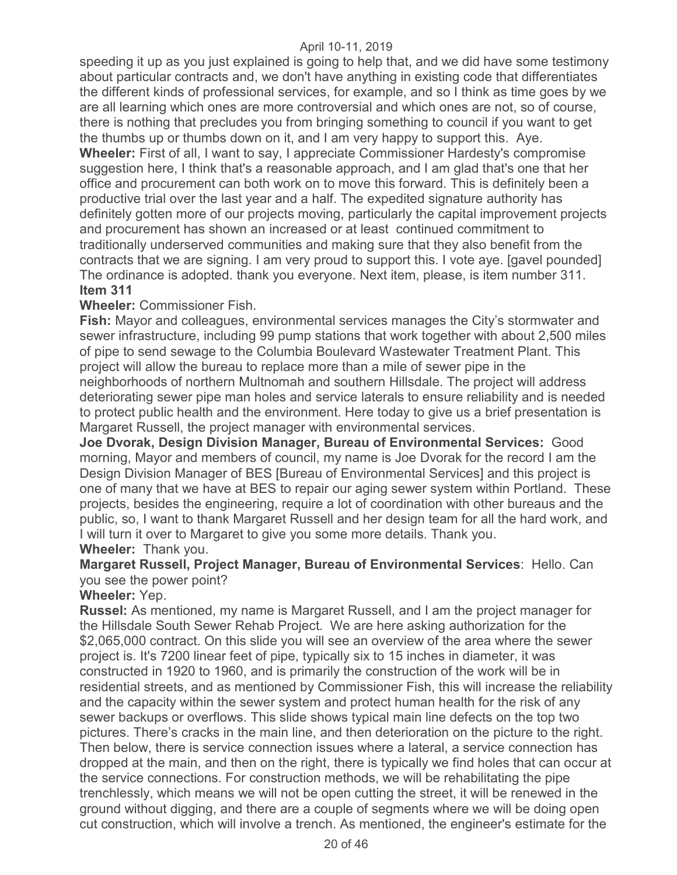speeding it up as you just explained is going to help that, and we did have some testimony about particular contracts and, we don't have anything in existing code that differentiates the different kinds of professional services, for example, and so I think as time goes by we are all learning which ones are more controversial and which ones are not, so of course, there is nothing that precludes you from bringing something to council if you want to get the thumbs up or thumbs down on it, and I am very happy to support this. Aye. **Wheeler:** First of all, I want to say, I appreciate Commissioner Hardesty's compromise suggestion here, I think that's a reasonable approach, and I am glad that's one that her office and procurement can both work on to move this forward. This is definitely been a productive trial over the last year and a half. The expedited signature authority has definitely gotten more of our projects moving, particularly the capital improvement projects and procurement has shown an increased or at least continued commitment to traditionally underserved communities and making sure that they also benefit from the contracts that we are signing. I am very proud to support this. I vote aye. [gavel pounded] The ordinance is adopted. thank you everyone. Next item, please, is item number 311. **Item 311** 

# **Wheeler:** Commissioner Fish.

**Fish:** Mayor and colleagues, environmental services manages the City's stormwater and sewer infrastructure, including 99 pump stations that work together with about 2,500 miles of pipe to send sewage to the Columbia Boulevard Wastewater Treatment Plant. This project will allow the bureau to replace more than a mile of sewer pipe in the neighborhoods of northern Multnomah and southern Hillsdale. The project will address deteriorating sewer pipe man holes and service laterals to ensure reliability and is needed to protect public health and the environment. Here today to give us a brief presentation is Margaret Russell, the project manager with environmental services.

**Joe Dvorak, Design Division Manager, Bureau of Environmental Services:** Good morning, Mayor and members of council, my name is Joe Dvorak for the record I am the Design Division Manager of BES [Bureau of Environmental Services] and this project is one of many that we have at BES to repair our aging sewer system within Portland. These projects, besides the engineering, require a lot of coordination with other bureaus and the public, so, I want to thank Margaret Russell and her design team for all the hard work, and I will turn it over to Margaret to give you some more details. Thank you. **Wheeler:** Thank you.

# **Margaret Russell, Project Manager, Bureau of Environmental Services**: Hello. Can you see the power point?

#### **Wheeler:** Yep.

**Russel:** As mentioned, my name is Margaret Russell, and I am the project manager for the Hillsdale South Sewer Rehab Project. We are here asking authorization for the \$2,065,000 contract. On this slide you will see an overview of the area where the sewer project is. It's 7200 linear feet of pipe, typically six to 15 inches in diameter, it was constructed in 1920 to 1960, and is primarily the construction of the work will be in residential streets, and as mentioned by Commissioner Fish, this will increase the reliability and the capacity within the sewer system and protect human health for the risk of any sewer backups or overflows. This slide shows typical main line defects on the top two pictures. There's cracks in the main line, and then deterioration on the picture to the right. Then below, there is service connection issues where a lateral, a service connection has dropped at the main, and then on the right, there is typically we find holes that can occur at the service connections. For construction methods, we will be rehabilitating the pipe trenchlessly, which means we will not be open cutting the street, it will be renewed in the ground without digging, and there are a couple of segments where we will be doing open cut construction, which will involve a trench. As mentioned, the engineer's estimate for the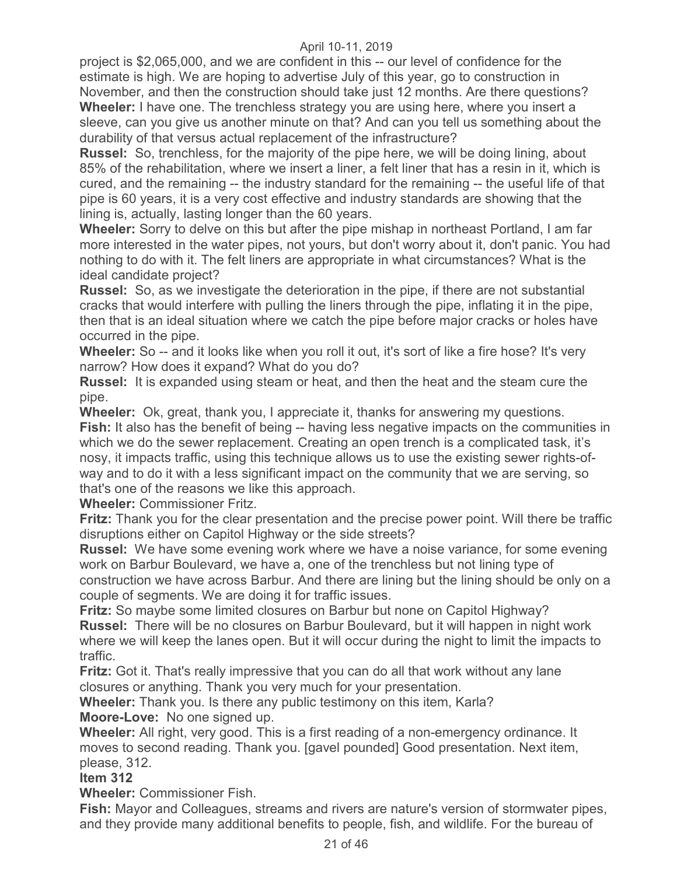project is \$2,065,000, and we are confident in this -- our level of confidence for the estimate is high. We are hoping to advertise July of this year, go to construction in November, and then the construction should take just 12 months. Are there questions? **Wheeler:** I have one. The trenchless strategy you are using here, where you insert a sleeve, can you give us another minute on that? And can you tell us something about the durability of that versus actual replacement of the infrastructure?

**Russel:** So, trenchless, for the majority of the pipe here, we will be doing lining, about 85% of the rehabilitation, where we insert a liner, a felt liner that has a resin in it, which is cured, and the remaining -- the industry standard for the remaining -- the useful life of that pipe is 60 years, it is a very cost effective and industry standards are showing that the lining is, actually, lasting longer than the 60 years.

**Wheeler:** Sorry to delve on this but after the pipe mishap in northeast Portland, I am far more interested in the water pipes, not yours, but don't worry about it, don't panic. You had nothing to do with it. The felt liners are appropriate in what circumstances? What is the ideal candidate project?

**Russel:** So, as we investigate the deterioration in the pipe, if there are not substantial cracks that would interfere with pulling the liners through the pipe, inflating it in the pipe, then that is an ideal situation where we catch the pipe before major cracks or holes have occurred in the pipe.

**Wheeler:** So -- and it looks like when you roll it out, it's sort of like a fire hose? It's very narrow? How does it expand? What do you do?

**Russel:** It is expanded using steam or heat, and then the heat and the steam cure the pipe.

**Wheeler:** Ok, great, thank you, I appreciate it, thanks for answering my questions.

**Fish:** It also has the benefit of being -- having less negative impacts on the communities in which we do the sewer replacement. Creating an open trench is a complicated task, it's nosy, it impacts traffic, using this technique allows us to use the existing sewer rights-ofway and to do it with a less significant impact on the community that we are serving, so that's one of the reasons we like this approach.

**Wheeler:** Commissioner Fritz.

**Fritz:** Thank you for the clear presentation and the precise power point. Will there be traffic disruptions either on Capitol Highway or the side streets?

**Russel:** We have some evening work where we have a noise variance, for some evening work on Barbur Boulevard, we have a, one of the trenchless but not lining type of construction we have across Barbur. And there are lining but the lining should be only on a couple of segments. We are doing it for traffic issues.

**Fritz:** So maybe some limited closures on Barbur but none on Capitol Highway?

**Russel:** There will be no closures on Barbur Boulevard, but it will happen in night work where we will keep the lanes open. But it will occur during the night to limit the impacts to traffic.

**Fritz:** Got it. That's really impressive that you can do all that work without any lane closures or anything. Thank you very much for your presentation.

**Wheeler:** Thank you. Is there any public testimony on this item, Karla? **Moore-Love:** No one signed up.

**Wheeler:** All right, very good. This is a first reading of a non-emergency ordinance. It moves to second reading. Thank you. [gavel pounded] Good presentation. Next item, please, 312.

#### **Item 312**

**Wheeler:** Commissioner Fish.

**Fish:** Mayor and Colleagues, streams and rivers are nature's version of stormwater pipes, and they provide many additional benefits to people, fish, and wildlife. For the bureau of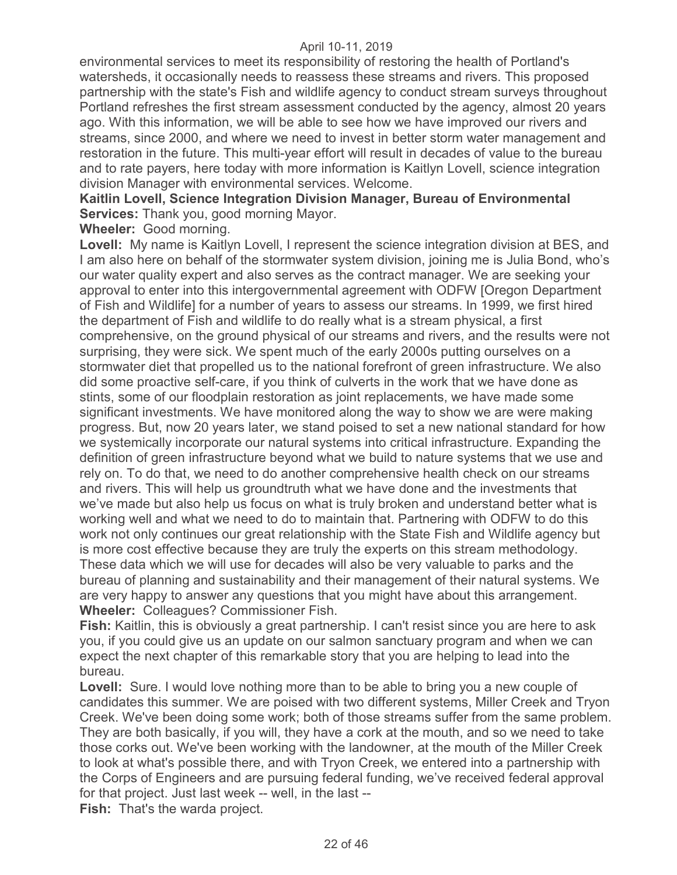environmental services to meet its responsibility of restoring the health of Portland's watersheds, it occasionally needs to reassess these streams and rivers. This proposed partnership with the state's Fish and wildlife agency to conduct stream surveys throughout Portland refreshes the first stream assessment conducted by the agency, almost 20 years ago. With this information, we will be able to see how we have improved our rivers and streams, since 2000, and where we need to invest in better storm water management and restoration in the future. This multi-year effort will result in decades of value to the bureau and to rate payers, here today with more information is Kaitlyn Lovell, science integration division Manager with environmental services. Welcome.

**Kaitlin Lovell, Science Integration Division Manager, Bureau of Environmental Services:** Thank you, good morning Mayor.

**Wheeler:** Good morning.

**Lovell:** My name is Kaitlyn Lovell, I represent the science integration division at BES, and I am also here on behalf of the stormwater system division, joining me is Julia Bond, who's our water quality expert and also serves as the contract manager. We are seeking your approval to enter into this intergovernmental agreement with ODFW [Oregon Department of Fish and Wildlife] for a number of years to assess our streams. In 1999, we first hired the department of Fish and wildlife to do really what is a stream physical, a first comprehensive, on the ground physical of our streams and rivers, and the results were not surprising, they were sick. We spent much of the early 2000s putting ourselves on a stormwater diet that propelled us to the national forefront of green infrastructure. We also did some proactive self-care, if you think of culverts in the work that we have done as stints, some of our floodplain restoration as joint replacements, we have made some significant investments. We have monitored along the way to show we are were making progress. But, now 20 years later, we stand poised to set a new national standard for how we systemically incorporate our natural systems into critical infrastructure. Expanding the definition of green infrastructure beyond what we build to nature systems that we use and rely on. To do that, we need to do another comprehensive health check on our streams and rivers. This will help us groundtruth what we have done and the investments that we've made but also help us focus on what is truly broken and understand better what is working well and what we need to do to maintain that. Partnering with ODFW to do this work not only continues our great relationship with the State Fish and Wildlife agency but is more cost effective because they are truly the experts on this stream methodology. These data which we will use for decades will also be very valuable to parks and the bureau of planning and sustainability and their management of their natural systems. We are very happy to answer any questions that you might have about this arrangement. **Wheeler:** Colleagues? Commissioner Fish.

**Fish:** Kaitlin, this is obviously a great partnership. I can't resist since you are here to ask you, if you could give us an update on our salmon sanctuary program and when we can expect the next chapter of this remarkable story that you are helping to lead into the bureau.

**Lovell:** Sure. I would love nothing more than to be able to bring you a new couple of candidates this summer. We are poised with two different systems, Miller Creek and Tryon Creek. We've been doing some work; both of those streams suffer from the same problem. They are both basically, if you will, they have a cork at the mouth, and so we need to take those corks out. We've been working with the landowner, at the mouth of the Miller Creek to look at what's possible there, and with Tryon Creek, we entered into a partnership with the Corps of Engineers and are pursuing federal funding, we've received federal approval for that project. Just last week -- well, in the last --

**Fish:** That's the warda project.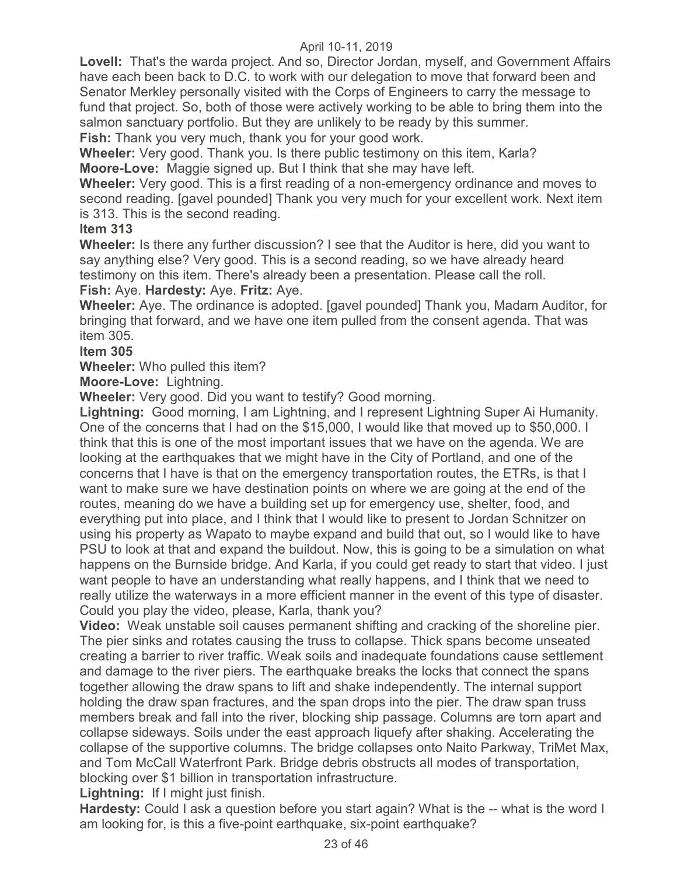**Lovell:** That's the warda project. And so, Director Jordan, myself, and Government Affairs have each been back to D.C. to work with our delegation to move that forward been and Senator Merkley personally visited with the Corps of Engineers to carry the message to fund that project. So, both of those were actively working to be able to bring them into the salmon sanctuary portfolio. But they are unlikely to be ready by this summer. **Fish:** Thank you very much, thank you for your good work.

**Wheeler:** Very good. Thank you. Is there public testimony on this item, Karla?

**Moore-Love:** Maggie signed up. But I think that she may have left.

**Wheeler:** Very good. This is a first reading of a non-emergency ordinance and moves to second reading. [gavel pounded] Thank you very much for your excellent work. Next item is 313. This is the second reading.

# **Item 313**

**Wheeler:** Is there any further discussion? I see that the Auditor is here, did you want to say anything else? Very good. This is a second reading, so we have already heard testimony on this item. There's already been a presentation. Please call the roll.

**Fish:** Aye. **Hardesty:** Aye. **Fritz:** Aye. **Wheeler:** Aye. The ordinance is adopted. [gavel pounded] Thank you, Madam Auditor, for

bringing that forward, and we have one item pulled from the consent agenda. That was item 305.

# **Item 305**

**Wheeler:** Who pulled this item?

**Moore-Love:** Lightning.

**Wheeler:** Very good. Did you want to testify? Good morning.

**Lightning:** Good morning, I am Lightning, and I represent Lightning Super Ai Humanity. One of the concerns that I had on the \$15,000, I would like that moved up to \$50,000. I think that this is one of the most important issues that we have on the agenda. We are looking at the earthquakes that we might have in the City of Portland, and one of the concerns that I have is that on the emergency transportation routes, the ETRs, is that I want to make sure we have destination points on where we are going at the end of the routes, meaning do we have a building set up for emergency use, shelter, food, and everything put into place, and I think that I would like to present to Jordan Schnitzer on using his property as Wapato to maybe expand and build that out, so I would like to have PSU to look at that and expand the buildout. Now, this is going to be a simulation on what happens on the Burnside bridge. And Karla, if you could get ready to start that video. I just want people to have an understanding what really happens, and I think that we need to really utilize the waterways in a more efficient manner in the event of this type of disaster. Could you play the video, please, Karla, thank you?

**Video:** Weak unstable soil causes permanent shifting and cracking of the shoreline pier. The pier sinks and rotates causing the truss to collapse. Thick spans become unseated creating a barrier to river traffic. Weak soils and inadequate foundations cause settlement and damage to the river piers. The earthquake breaks the locks that connect the spans together allowing the draw spans to lift and shake independently. The internal support holding the draw span fractures, and the span drops into the pier. The draw span truss members break and fall into the river, blocking ship passage. Columns are torn apart and collapse sideways. Soils under the east approach liquefy after shaking. Accelerating the collapse of the supportive columns. The bridge collapses onto Naito Parkway, TriMet Max, and Tom McCall Waterfront Park. Bridge debris obstructs all modes of transportation, blocking over \$1 billion in transportation infrastructure.

**Lightning:** If I might just finish.

**Hardesty:** Could I ask a question before you start again? What is the -- what is the word I am looking for, is this a five-point earthquake, six-point earthquake?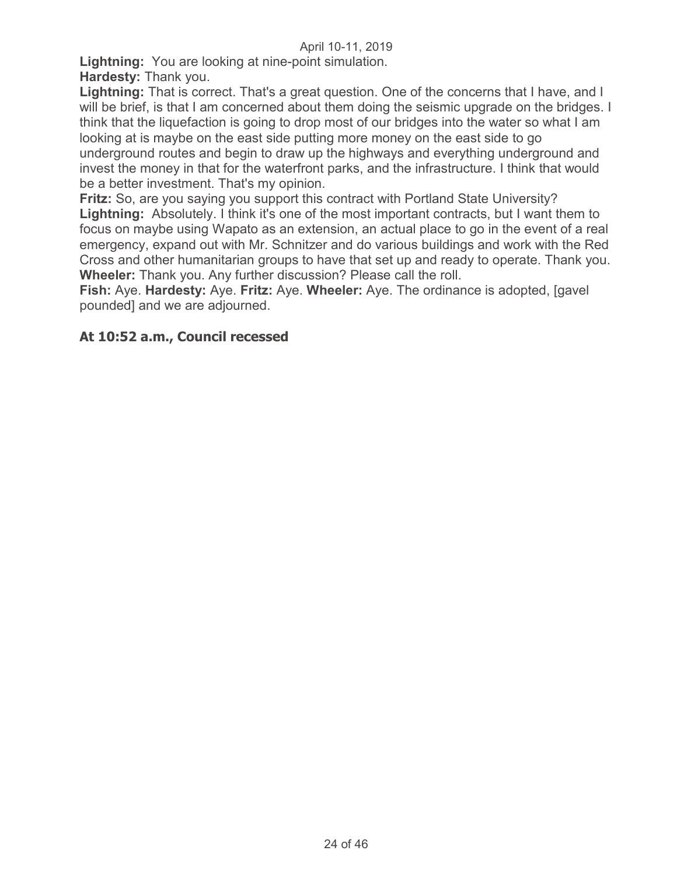**Lightning:** You are looking at nine-point simulation. **Hardesty:** Thank you.

**Lightning:** That is correct. That's a great question. One of the concerns that I have, and I will be brief, is that I am concerned about them doing the seismic upgrade on the bridges. I think that the liquefaction is going to drop most of our bridges into the water so what I am looking at is maybe on the east side putting more money on the east side to go underground routes and begin to draw up the highways and everything underground and invest the money in that for the waterfront parks, and the infrastructure. I think that would be a better investment. That's my opinion.

**Fritz:** So, are you saying you support this contract with Portland State University? **Lightning:** Absolutely. I think it's one of the most important contracts, but I want them to focus on maybe using Wapato as an extension, an actual place to go in the event of a real emergency, expand out with Mr. Schnitzer and do various buildings and work with the Red Cross and other humanitarian groups to have that set up and ready to operate. Thank you. **Wheeler:** Thank you. Any further discussion? Please call the roll.

**Fish:** Aye. **Hardesty:** Aye. **Fritz:** Aye. **Wheeler:** Aye. The ordinance is adopted, [gavel pounded] and we are adjourned.

# **At 10:52 a.m., Council recessed**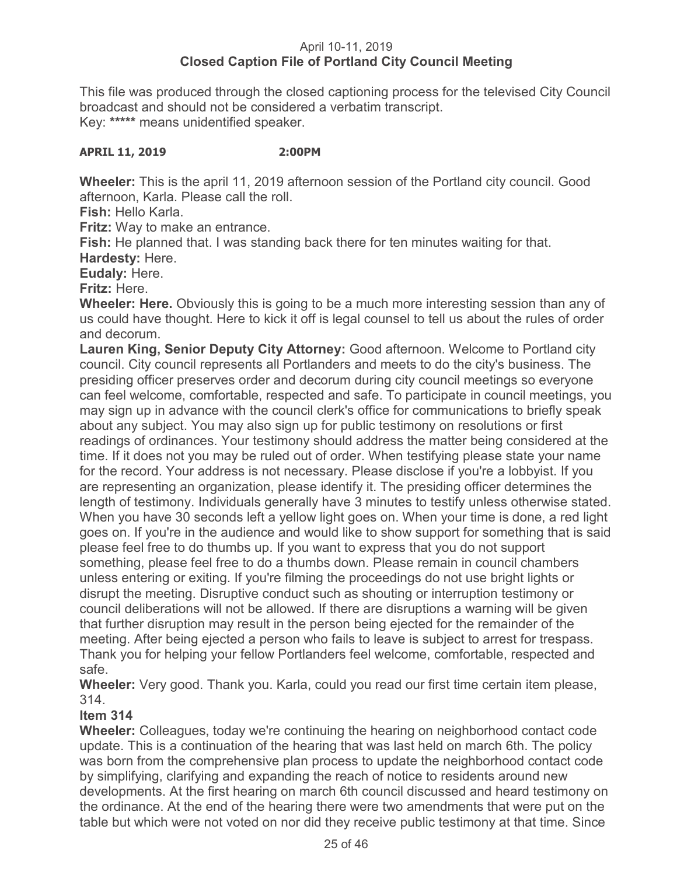# April 10-11, 2019 **Closed Caption File of Portland City Council Meeting**

This file was produced through the closed captioning process for the televised City Council broadcast and should not be considered a verbatim transcript. Key: **\*\*\*\*\*** means unidentified speaker.

## **APRIL 11, 2019 2:00PM**

**Wheeler:** This is the april 11, 2019 afternoon session of the Portland city council. Good afternoon, Karla. Please call the roll.

**Fish:** Hello Karla.

**Fritz:** Way to make an entrance.

**Fish:** He planned that. I was standing back there for ten minutes waiting for that.

**Hardesty:** Here.

**Eudaly:** Here.

**Fritz:** Here.

**Wheeler: Here.** Obviously this is going to be a much more interesting session than any of us could have thought. Here to kick it off is legal counsel to tell us about the rules of order and decorum.

**Lauren King, Senior Deputy City Attorney:** Good afternoon. Welcome to Portland city council. City council represents all Portlanders and meets to do the city's business. The presiding officer preserves order and decorum during city council meetings so everyone can feel welcome, comfortable, respected and safe. To participate in council meetings, you may sign up in advance with the council clerk's office for communications to briefly speak about any subject. You may also sign up for public testimony on resolutions or first readings of ordinances. Your testimony should address the matter being considered at the time. If it does not you may be ruled out of order. When testifying please state your name for the record. Your address is not necessary. Please disclose if you're a lobbyist. If you are representing an organization, please identify it. The presiding officer determines the length of testimony. Individuals generally have 3 minutes to testify unless otherwise stated. When you have 30 seconds left a yellow light goes on. When your time is done, a red light goes on. If you're in the audience and would like to show support for something that is said please feel free to do thumbs up. If you want to express that you do not support something, please feel free to do a thumbs down. Please remain in council chambers unless entering or exiting. If you're filming the proceedings do not use bright lights or disrupt the meeting. Disruptive conduct such as shouting or interruption testimony or council deliberations will not be allowed. If there are disruptions a warning will be given that further disruption may result in the person being ejected for the remainder of the meeting. After being ejected a person who fails to leave is subject to arrest for trespass. Thank you for helping your fellow Portlanders feel welcome, comfortable, respected and safe.

**Wheeler:** Very good. Thank you. Karla, could you read our first time certain item please, 314.

# **Item 314**

**Wheeler:** Colleagues, today we're continuing the hearing on neighborhood contact code update. This is a continuation of the hearing that was last held on march 6th. The policy was born from the comprehensive plan process to update the neighborhood contact code by simplifying, clarifying and expanding the reach of notice to residents around new developments. At the first hearing on march 6th council discussed and heard testimony on the ordinance. At the end of the hearing there were two amendments that were put on the table but which were not voted on nor did they receive public testimony at that time. Since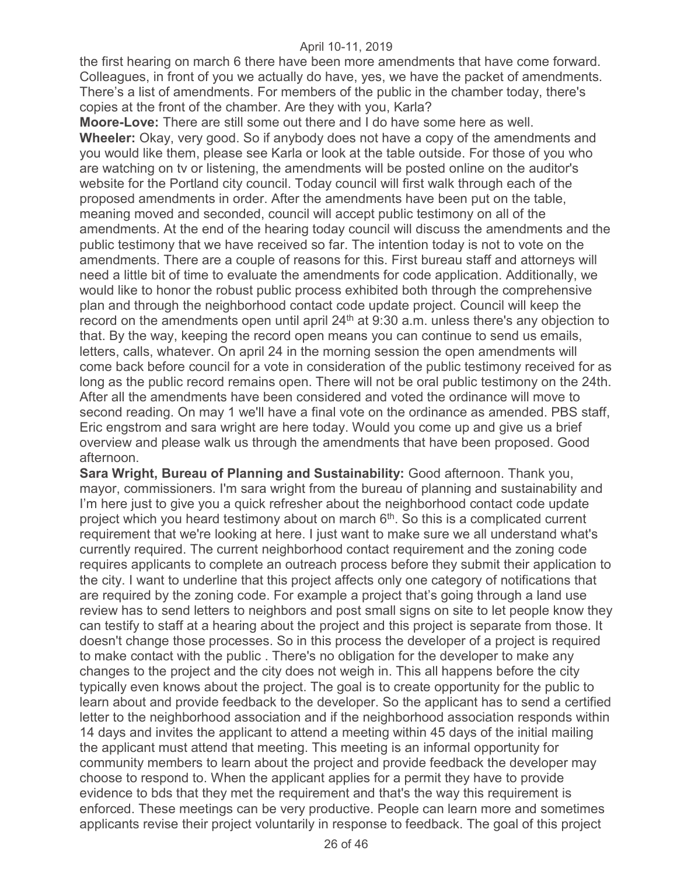the first hearing on march 6 there have been more amendments that have come forward. Colleagues, in front of you we actually do have, yes, we have the packet of amendments. There's a list of amendments. For members of the public in the chamber today, there's copies at the front of the chamber. Are they with you, Karla?

**Moore-Love:** There are still some out there and I do have some here as well. **Wheeler:** Okay, very good. So if anybody does not have a copy of the amendments and you would like them, please see Karla or look at the table outside. For those of you who are watching on tv or listening, the amendments will be posted online on the auditor's website for the Portland city council. Today council will first walk through each of the proposed amendments in order. After the amendments have been put on the table, meaning moved and seconded, council will accept public testimony on all of the amendments. At the end of the hearing today council will discuss the amendments and the public testimony that we have received so far. The intention today is not to vote on the amendments. There are a couple of reasons for this. First bureau staff and attorneys will need a little bit of time to evaluate the amendments for code application. Additionally, we would like to honor the robust public process exhibited both through the comprehensive plan and through the neighborhood contact code update project. Council will keep the record on the amendments open until april  $24<sup>th</sup>$  at 9:30 a.m. unless there's any objection to that. By the way, keeping the record open means you can continue to send us emails, letters, calls, whatever. On april 24 in the morning session the open amendments will come back before council for a vote in consideration of the public testimony received for as long as the public record remains open. There will not be oral public testimony on the 24th. After all the amendments have been considered and voted the ordinance will move to second reading. On may 1 we'll have a final vote on the ordinance as amended. PBS staff, Eric engstrom and sara wright are here today. Would you come up and give us a brief overview and please walk us through the amendments that have been proposed. Good afternoon.

**Sara Wright, Bureau of Planning and Sustainability:** Good afternoon. Thank you, mayor, commissioners. I'm sara wright from the bureau of planning and sustainability and I'm here just to give you a quick refresher about the neighborhood contact code update project which you heard testimony about on march  $6<sup>th</sup>$ . So this is a complicated current requirement that we're looking at here. I just want to make sure we all understand what's currently required. The current neighborhood contact requirement and the zoning code requires applicants to complete an outreach process before they submit their application to the city. I want to underline that this project affects only one category of notifications that are required by the zoning code. For example a project that's going through a land use review has to send letters to neighbors and post small signs on site to let people know they can testify to staff at a hearing about the project and this project is separate from those. It doesn't change those processes. So in this process the developer of a project is required to make contact with the public . There's no obligation for the developer to make any changes to the project and the city does not weigh in. This all happens before the city typically even knows about the project. The goal is to create opportunity for the public to learn about and provide feedback to the developer. So the applicant has to send a certified letter to the neighborhood association and if the neighborhood association responds within 14 days and invites the applicant to attend a meeting within 45 days of the initial mailing the applicant must attend that meeting. This meeting is an informal opportunity for community members to learn about the project and provide feedback the developer may choose to respond to. When the applicant applies for a permit they have to provide evidence to bds that they met the requirement and that's the way this requirement is enforced. These meetings can be very productive. People can learn more and sometimes applicants revise their project voluntarily in response to feedback. The goal of this project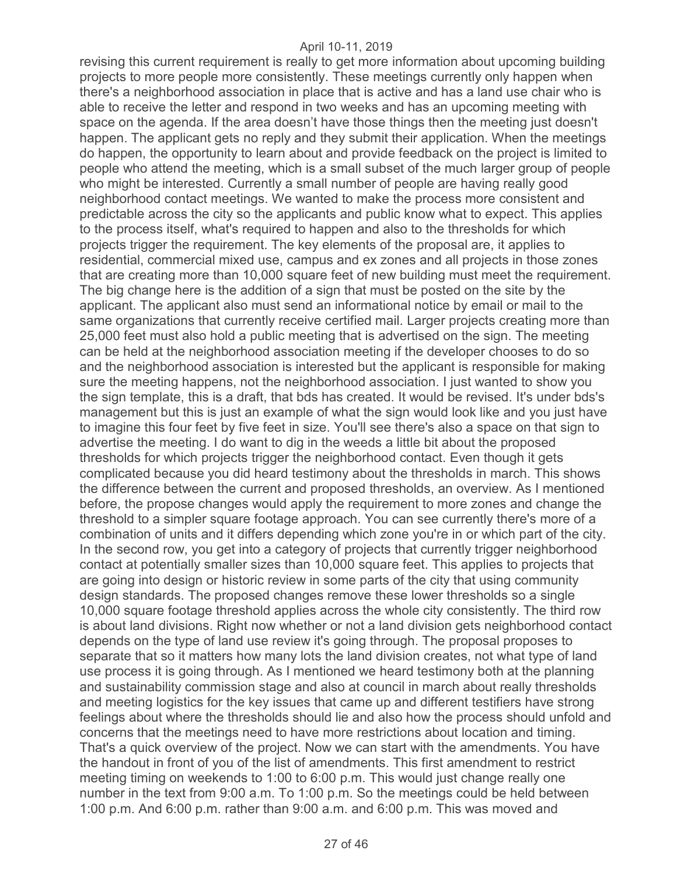revising this current requirement is really to get more information about upcoming building projects to more people more consistently. These meetings currently only happen when there's a neighborhood association in place that is active and has a land use chair who is able to receive the letter and respond in two weeks and has an upcoming meeting with space on the agenda. If the area doesn't have those things then the meeting just doesn't happen. The applicant gets no reply and they submit their application. When the meetings do happen, the opportunity to learn about and provide feedback on the project is limited to people who attend the meeting, which is a small subset of the much larger group of people who might be interested. Currently a small number of people are having really good neighborhood contact meetings. We wanted to make the process more consistent and predictable across the city so the applicants and public know what to expect. This applies to the process itself, what's required to happen and also to the thresholds for which projects trigger the requirement. The key elements of the proposal are, it applies to residential, commercial mixed use, campus and ex zones and all projects in those zones that are creating more than 10,000 square feet of new building must meet the requirement. The big change here is the addition of a sign that must be posted on the site by the applicant. The applicant also must send an informational notice by email or mail to the same organizations that currently receive certified mail. Larger projects creating more than 25,000 feet must also hold a public meeting that is advertised on the sign. The meeting can be held at the neighborhood association meeting if the developer chooses to do so and the neighborhood association is interested but the applicant is responsible for making sure the meeting happens, not the neighborhood association. I just wanted to show you the sign template, this is a draft, that bds has created. It would be revised. It's under bds's management but this is just an example of what the sign would look like and you just have to imagine this four feet by five feet in size. You'll see there's also a space on that sign to advertise the meeting. I do want to dig in the weeds a little bit about the proposed thresholds for which projects trigger the neighborhood contact. Even though it gets complicated because you did heard testimony about the thresholds in march. This shows the difference between the current and proposed thresholds, an overview. As I mentioned before, the propose changes would apply the requirement to more zones and change the threshold to a simpler square footage approach. You can see currently there's more of a combination of units and it differs depending which zone you're in or which part of the city. In the second row, you get into a category of projects that currently trigger neighborhood contact at potentially smaller sizes than 10,000 square feet. This applies to projects that are going into design or historic review in some parts of the city that using community design standards. The proposed changes remove these lower thresholds so a single 10,000 square footage threshold applies across the whole city consistently. The third row is about land divisions. Right now whether or not a land division gets neighborhood contact depends on the type of land use review it's going through. The proposal proposes to separate that so it matters how many lots the land division creates, not what type of land use process it is going through. As I mentioned we heard testimony both at the planning and sustainability commission stage and also at council in march about really thresholds and meeting logistics for the key issues that came up and different testifiers have strong feelings about where the thresholds should lie and also how the process should unfold and concerns that the meetings need to have more restrictions about location and timing. That's a quick overview of the project. Now we can start with the amendments. You have the handout in front of you of the list of amendments. This first amendment to restrict meeting timing on weekends to 1:00 to 6:00 p.m. This would just change really one number in the text from 9:00 a.m. To 1:00 p.m. So the meetings could be held between 1:00 p.m. And 6:00 p.m. rather than 9:00 a.m. and 6:00 p.m. This was moved and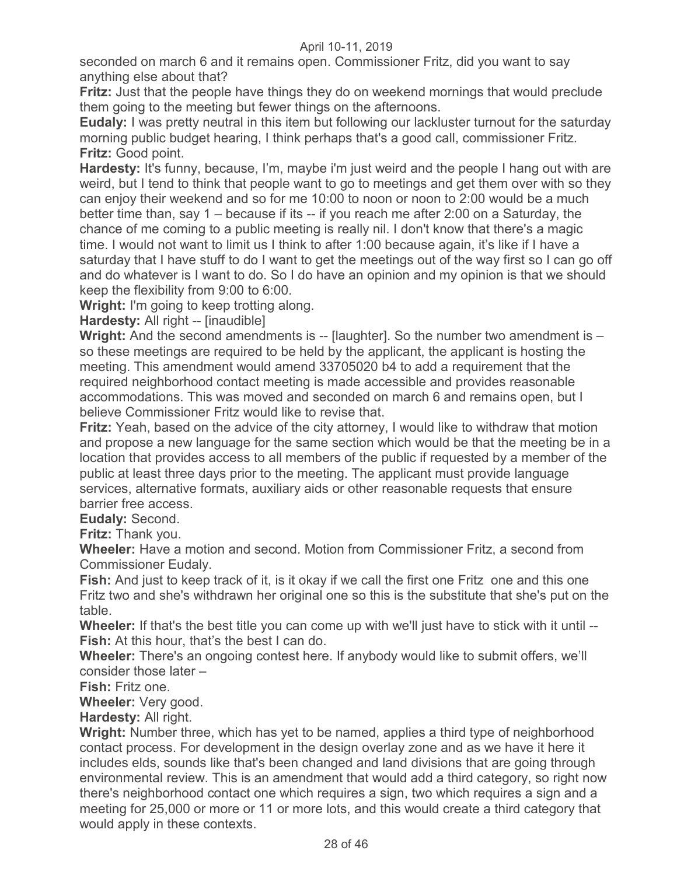seconded on march 6 and it remains open. Commissioner Fritz, did you want to say anything else about that?

**Fritz:** Just that the people have things they do on weekend mornings that would preclude them going to the meeting but fewer things on the afternoons.

**Eudaly:** I was pretty neutral in this item but following our lackluster turnout for the saturday morning public budget hearing, I think perhaps that's a good call, commissioner Fritz. **Fritz:** Good point.

**Hardesty:** It's funny, because, I'm, maybe i'm just weird and the people I hang out with are weird, but I tend to think that people want to go to meetings and get them over with so they can enjoy their weekend and so for me 10:00 to noon or noon to 2:00 would be a much better time than, say 1 – because if its -- if you reach me after 2:00 on a Saturday, the chance of me coming to a public meeting is really nil. I don't know that there's a magic time. I would not want to limit us I think to after 1:00 because again, it's like if I have a saturday that I have stuff to do I want to get the meetings out of the way first so I can go off and do whatever is I want to do. So I do have an opinion and my opinion is that we should keep the flexibility from 9:00 to 6:00.

**Wright:** I'm going to keep trotting along.

**Hardesty:** All right -- [inaudible]

**Wright:** And the second amendments is -- [laughter]. So the number two amendment is so these meetings are required to be held by the applicant, the applicant is hosting the meeting. This amendment would amend 33705020 b4 to add a requirement that the required neighborhood contact meeting is made accessible and provides reasonable accommodations. This was moved and seconded on march 6 and remains open, but I believe Commissioner Fritz would like to revise that.

**Fritz:** Yeah, based on the advice of the city attorney, I would like to withdraw that motion and propose a new language for the same section which would be that the meeting be in a location that provides access to all members of the public if requested by a member of the public at least three days prior to the meeting. The applicant must provide language services, alternative formats, auxiliary aids or other reasonable requests that ensure barrier free access.

**Eudaly:** Second.

**Fritz:** Thank you.

**Wheeler:** Have a motion and second. Motion from Commissioner Fritz, a second from Commissioner Eudaly.

**Fish:** And just to keep track of it, is it okay if we call the first one Fritz one and this one Fritz two and she's withdrawn her original one so this is the substitute that she's put on the table.

**Wheeler:** If that's the best title you can come up with we'll just have to stick with it until -- **Fish:** At this hour, that's the best I can do.

**Wheeler:** There's an ongoing contest here. If anybody would like to submit offers, we'll consider those later –

**Fish:** Fritz one.

**Wheeler:** Very good.

**Hardesty:** All right.

**Wright:** Number three, which has yet to be named, applies a third type of neighborhood contact process. For development in the design overlay zone and as we have it here it includes elds, sounds like that's been changed and land divisions that are going through environmental review. This is an amendment that would add a third category, so right now there's neighborhood contact one which requires a sign, two which requires a sign and a meeting for 25,000 or more or 11 or more lots, and this would create a third category that would apply in these contexts.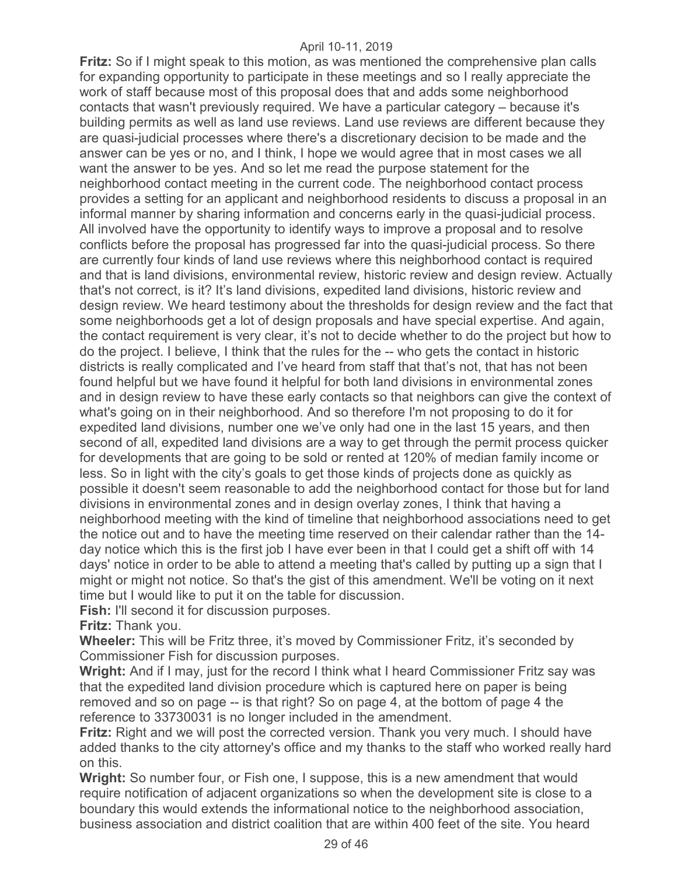**Fritz:** So if I might speak to this motion, as was mentioned the comprehensive plan calls for expanding opportunity to participate in these meetings and so I really appreciate the work of staff because most of this proposal does that and adds some neighborhood contacts that wasn't previously required. We have a particular category – because it's building permits as well as land use reviews. Land use reviews are different because they are quasi-judicial processes where there's a discretionary decision to be made and the answer can be yes or no, and I think, I hope we would agree that in most cases we all want the answer to be yes. And so let me read the purpose statement for the neighborhood contact meeting in the current code. The neighborhood contact process provides a setting for an applicant and neighborhood residents to discuss a proposal in an informal manner by sharing information and concerns early in the quasi-judicial process. All involved have the opportunity to identify ways to improve a proposal and to resolve conflicts before the proposal has progressed far into the quasi-judicial process. So there are currently four kinds of land use reviews where this neighborhood contact is required and that is land divisions, environmental review, historic review and design review. Actually that's not correct, is it? It's land divisions, expedited land divisions, historic review and design review. We heard testimony about the thresholds for design review and the fact that some neighborhoods get a lot of design proposals and have special expertise. And again, the contact requirement is very clear, it's not to decide whether to do the project but how to do the project. I believe, I think that the rules for the -- who gets the contact in historic districts is really complicated and I've heard from staff that that's not, that has not been found helpful but we have found it helpful for both land divisions in environmental zones and in design review to have these early contacts so that neighbors can give the context of what's going on in their neighborhood. And so therefore I'm not proposing to do it for expedited land divisions, number one we've only had one in the last 15 years, and then second of all, expedited land divisions are a way to get through the permit process quicker for developments that are going to be sold or rented at 120% of median family income or less. So in light with the city's goals to get those kinds of projects done as quickly as possible it doesn't seem reasonable to add the neighborhood contact for those but for land divisions in environmental zones and in design overlay zones, I think that having a neighborhood meeting with the kind of timeline that neighborhood associations need to get the notice out and to have the meeting time reserved on their calendar rather than the 14 day notice which this is the first job I have ever been in that I could get a shift off with 14 days' notice in order to be able to attend a meeting that's called by putting up a sign that I might or might not notice. So that's the gist of this amendment. We'll be voting on it next time but I would like to put it on the table for discussion.

**Fish:** I'll second it for discussion purposes.

**Fritz:** Thank you.

**Wheeler:** This will be Fritz three, it's moved by Commissioner Fritz, it's seconded by Commissioner Fish for discussion purposes.

**Wright:** And if I may, just for the record I think what I heard Commissioner Fritz say was that the expedited land division procedure which is captured here on paper is being removed and so on page -- is that right? So on page 4, at the bottom of page 4 the reference to 33730031 is no longer included in the amendment.

**Fritz:** Right and we will post the corrected version. Thank you very much. I should have added thanks to the city attorney's office and my thanks to the staff who worked really hard on this.

**Wright:** So number four, or Fish one, I suppose, this is a new amendment that would require notification of adjacent organizations so when the development site is close to a boundary this would extends the informational notice to the neighborhood association, business association and district coalition that are within 400 feet of the site. You heard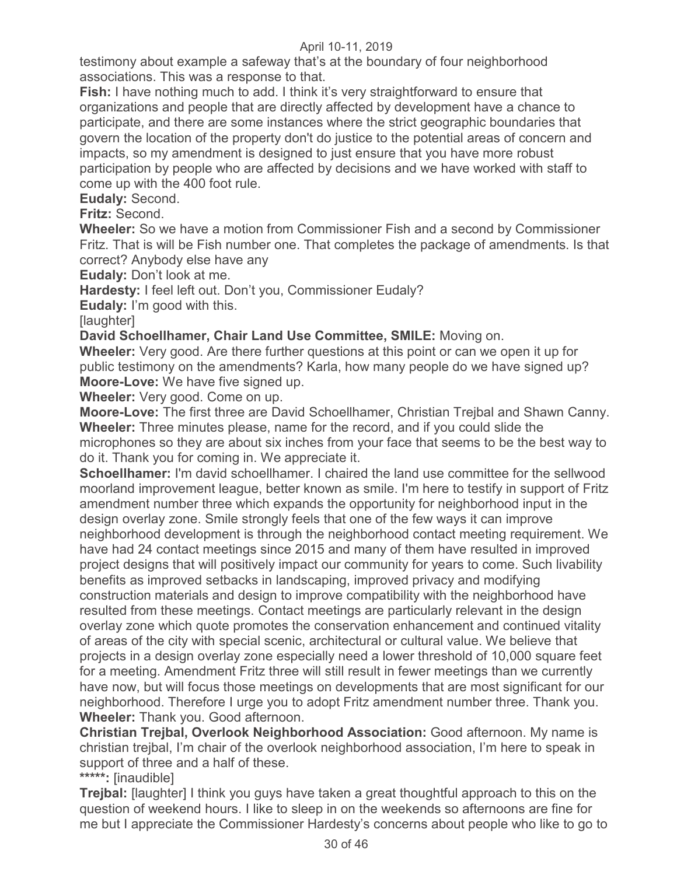testimony about example a safeway that's at the boundary of four neighborhood associations. This was a response to that.

**Fish:** I have nothing much to add. I think it's very straightforward to ensure that organizations and people that are directly affected by development have a chance to participate, and there are some instances where the strict geographic boundaries that govern the location of the property don't do justice to the potential areas of concern and impacts, so my amendment is designed to just ensure that you have more robust participation by people who are affected by decisions and we have worked with staff to come up with the 400 foot rule.

**Eudaly:** Second.

**Fritz:** Second.

**Wheeler:** So we have a motion from Commissioner Fish and a second by Commissioner Fritz. That is will be Fish number one. That completes the package of amendments. Is that correct? Anybody else have any

**Eudaly:** Don't look at me.

**Hardesty:** I feel left out. Don't you, Commissioner Eudaly?

**Eudaly:** I'm good with this.

[laughter]

**David Schoellhamer, Chair Land Use Committee, SMILE:** Moving on.

**Wheeler:** Very good. Are there further questions at this point or can we open it up for public testimony on the amendments? Karla, how many people do we have signed up? **Moore-Love:** We have five signed up.

**Wheeler:** Very good. Come on up.

**Moore-Love:** The first three are David Schoellhamer, Christian Trejbal and Shawn Canny. **Wheeler:** Three minutes please, name for the record, and if you could slide the microphones so they are about six inches from your face that seems to be the best way to do it. Thank you for coming in. We appreciate it.

**Schoellhamer:** I'm david schoellhamer. I chaired the land use committee for the sellwood moorland improvement league, better known as smile. I'm here to testify in support of Fritz amendment number three which expands the opportunity for neighborhood input in the design overlay zone. Smile strongly feels that one of the few ways it can improve neighborhood development is through the neighborhood contact meeting requirement. We have had 24 contact meetings since 2015 and many of them have resulted in improved project designs that will positively impact our community for years to come. Such livability benefits as improved setbacks in landscaping, improved privacy and modifying construction materials and design to improve compatibility with the neighborhood have resulted from these meetings. Contact meetings are particularly relevant in the design overlay zone which quote promotes the conservation enhancement and continued vitality of areas of the city with special scenic, architectural or cultural value. We believe that projects in a design overlay zone especially need a lower threshold of 10,000 square feet for a meeting. Amendment Fritz three will still result in fewer meetings than we currently have now, but will focus those meetings on developments that are most significant for our neighborhood. Therefore I urge you to adopt Fritz amendment number three. Thank you. **Wheeler:** Thank you. Good afternoon.

**Christian Trejbal, Overlook Neighborhood Association:** Good afternoon. My name is christian trejbal, I'm chair of the overlook neighborhood association, I'm here to speak in support of three and a half of these.

**\*\*\*\*\*:** [inaudible]

**Trejbal:** [laughter] I think you guys have taken a great thoughtful approach to this on the question of weekend hours. I like to sleep in on the weekends so afternoons are fine for me but I appreciate the Commissioner Hardesty's concerns about people who like to go to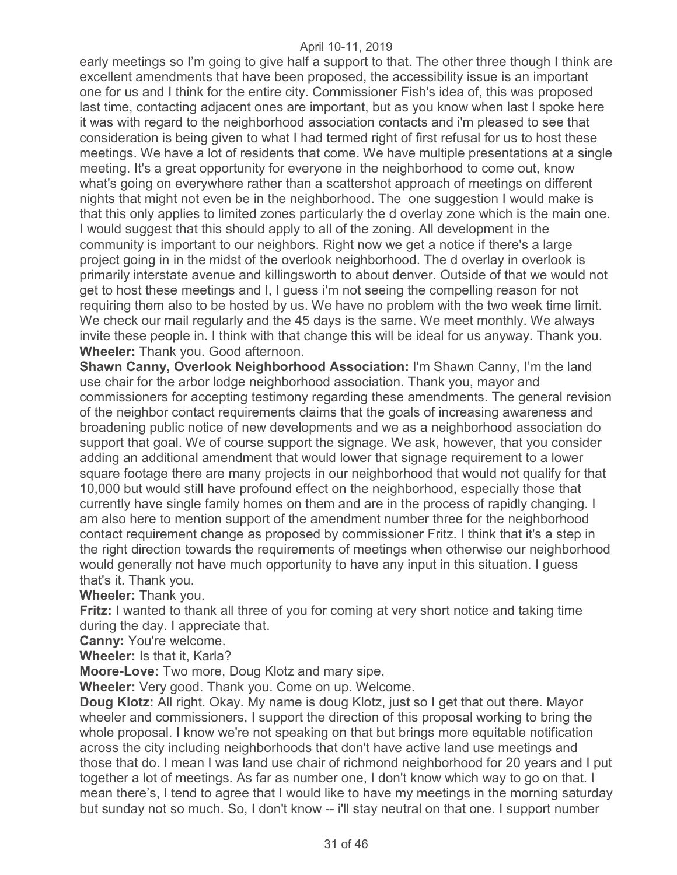early meetings so I'm going to give half a support to that. The other three though I think are excellent amendments that have been proposed, the accessibility issue is an important one for us and I think for the entire city. Commissioner Fish's idea of, this was proposed last time, contacting adjacent ones are important, but as you know when last I spoke here it was with regard to the neighborhood association contacts and i'm pleased to see that consideration is being given to what I had termed right of first refusal for us to host these meetings. We have a lot of residents that come. We have multiple presentations at a single meeting. It's a great opportunity for everyone in the neighborhood to come out, know what's going on everywhere rather than a scattershot approach of meetings on different nights that might not even be in the neighborhood. The one suggestion I would make is that this only applies to limited zones particularly the d overlay zone which is the main one. I would suggest that this should apply to all of the zoning. All development in the community is important to our neighbors. Right now we get a notice if there's a large project going in in the midst of the overlook neighborhood. The d overlay in overlook is primarily interstate avenue and killingsworth to about denver. Outside of that we would not get to host these meetings and I, I guess i'm not seeing the compelling reason for not requiring them also to be hosted by us. We have no problem with the two week time limit. We check our mail regularly and the 45 days is the same. We meet monthly. We always invite these people in. I think with that change this will be ideal for us anyway. Thank you. **Wheeler:** Thank you. Good afternoon.

**Shawn Canny, Overlook Neighborhood Association:** I'm Shawn Canny, I'm the land use chair for the arbor lodge neighborhood association. Thank you, mayor and commissioners for accepting testimony regarding these amendments. The general revision of the neighbor contact requirements claims that the goals of increasing awareness and broadening public notice of new developments and we as a neighborhood association do support that goal. We of course support the signage. We ask, however, that you consider adding an additional amendment that would lower that signage requirement to a lower square footage there are many projects in our neighborhood that would not qualify for that 10,000 but would still have profound effect on the neighborhood, especially those that currently have single family homes on them and are in the process of rapidly changing. I am also here to mention support of the amendment number three for the neighborhood contact requirement change as proposed by commissioner Fritz. I think that it's a step in the right direction towards the requirements of meetings when otherwise our neighborhood would generally not have much opportunity to have any input in this situation. I guess that's it. Thank you.

**Wheeler:** Thank you.

**Fritz:** I wanted to thank all three of you for coming at very short notice and taking time during the day. I appreciate that.

**Canny:** You're welcome.

**Wheeler:** Is that it, Karla?

**Moore-Love:** Two more, Doug Klotz and mary sipe.

**Wheeler:** Very good. Thank you. Come on up. Welcome.

**Doug Klotz:** All right. Okay. My name is doug Klotz, just so I get that out there. Mayor wheeler and commissioners, I support the direction of this proposal working to bring the whole proposal. I know we're not speaking on that but brings more equitable notification across the city including neighborhoods that don't have active land use meetings and those that do. I mean I was land use chair of richmond neighborhood for 20 years and I put together a lot of meetings. As far as number one, I don't know which way to go on that. I mean there's, I tend to agree that I would like to have my meetings in the morning saturday but sunday not so much. So, I don't know -- i'll stay neutral on that one. I support number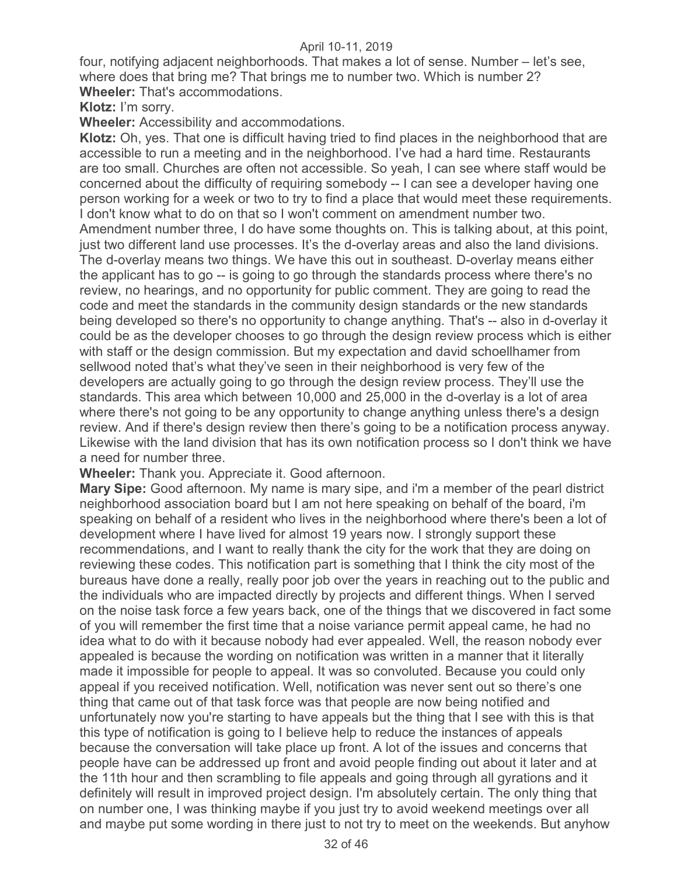four, notifying adjacent neighborhoods. That makes a lot of sense. Number – let's see, where does that bring me? That brings me to number two. Which is number 2? **Wheeler:** That's accommodations.

**Klotz:** I'm sorry.

**Wheeler:** Accessibility and accommodations.

**Klotz:** Oh, yes. That one is difficult having tried to find places in the neighborhood that are accessible to run a meeting and in the neighborhood. I've had a hard time. Restaurants are too small. Churches are often not accessible. So yeah, I can see where staff would be concerned about the difficulty of requiring somebody -- I can see a developer having one person working for a week or two to try to find a place that would meet these requirements. I don't know what to do on that so I won't comment on amendment number two. Amendment number three, I do have some thoughts on. This is talking about, at this point, just two different land use processes. It's the d-overlay areas and also the land divisions. The d-overlay means two things. We have this out in southeast. D-overlay means either the applicant has to go -- is going to go through the standards process where there's no review, no hearings, and no opportunity for public comment. They are going to read the code and meet the standards in the community design standards or the new standards being developed so there's no opportunity to change anything. That's -- also in d-overlay it could be as the developer chooses to go through the design review process which is either with staff or the design commission. But my expectation and david schoellhamer from sellwood noted that's what they've seen in their neighborhood is very few of the developers are actually going to go through the design review process. They'll use the standards. This area which between 10,000 and 25,000 in the d-overlay is a lot of area where there's not going to be any opportunity to change anything unless there's a design review. And if there's design review then there's going to be a notification process anyway. Likewise with the land division that has its own notification process so I don't think we have a need for number three.

**Wheeler:** Thank you. Appreciate it. Good afternoon.

**Mary Sipe:** Good afternoon. My name is mary sipe, and i'm a member of the pearl district neighborhood association board but I am not here speaking on behalf of the board, i'm speaking on behalf of a resident who lives in the neighborhood where there's been a lot of development where I have lived for almost 19 years now. I strongly support these recommendations, and I want to really thank the city for the work that they are doing on reviewing these codes. This notification part is something that I think the city most of the bureaus have done a really, really poor job over the years in reaching out to the public and the individuals who are impacted directly by projects and different things. When I served on the noise task force a few years back, one of the things that we discovered in fact some of you will remember the first time that a noise variance permit appeal came, he had no idea what to do with it because nobody had ever appealed. Well, the reason nobody ever appealed is because the wording on notification was written in a manner that it literally made it impossible for people to appeal. It was so convoluted. Because you could only appeal if you received notification. Well, notification was never sent out so there's one thing that came out of that task force was that people are now being notified and unfortunately now you're starting to have appeals but the thing that I see with this is that this type of notification is going to I believe help to reduce the instances of appeals because the conversation will take place up front. A lot of the issues and concerns that people have can be addressed up front and avoid people finding out about it later and at the 11th hour and then scrambling to file appeals and going through all gyrations and it definitely will result in improved project design. I'm absolutely certain. The only thing that on number one, I was thinking maybe if you just try to avoid weekend meetings over all and maybe put some wording in there just to not try to meet on the weekends. But anyhow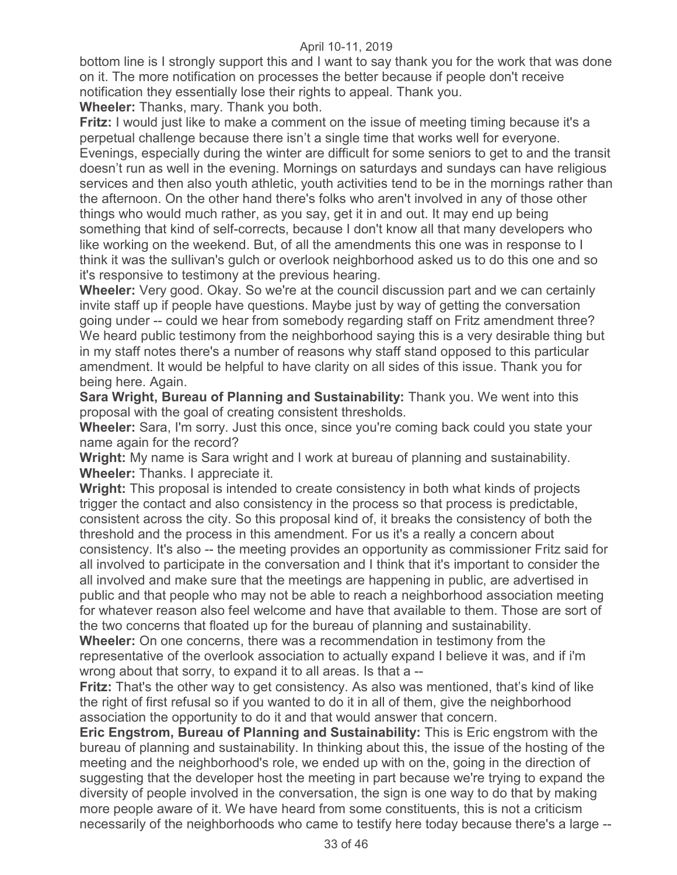bottom line is I strongly support this and I want to say thank you for the work that was done on it. The more notification on processes the better because if people don't receive notification they essentially lose their rights to appeal. Thank you.

**Wheeler:** Thanks, mary. Thank you both.

**Fritz:** I would just like to make a comment on the issue of meeting timing because it's a perpetual challenge because there isn't a single time that works well for everyone. Evenings, especially during the winter are difficult for some seniors to get to and the transit doesn't run as well in the evening. Mornings on saturdays and sundays can have religious services and then also youth athletic, youth activities tend to be in the mornings rather than the afternoon. On the other hand there's folks who aren't involved in any of those other things who would much rather, as you say, get it in and out. It may end up being something that kind of self-corrects, because I don't know all that many developers who like working on the weekend. But, of all the amendments this one was in response to I think it was the sullivan's gulch or overlook neighborhood asked us to do this one and so it's responsive to testimony at the previous hearing.

**Wheeler:** Very good. Okay. So we're at the council discussion part and we can certainly invite staff up if people have questions. Maybe just by way of getting the conversation going under -- could we hear from somebody regarding staff on Fritz amendment three? We heard public testimony from the neighborhood saying this is a very desirable thing but in my staff notes there's a number of reasons why staff stand opposed to this particular amendment. It would be helpful to have clarity on all sides of this issue. Thank you for being here. Again.

**Sara Wright, Bureau of Planning and Sustainability:** Thank you. We went into this proposal with the goal of creating consistent thresholds.

**Wheeler:** Sara, I'm sorry. Just this once, since you're coming back could you state your name again for the record?

**Wright:** My name is Sara wright and I work at bureau of planning and sustainability. **Wheeler:** Thanks. I appreciate it.

**Wright:** This proposal is intended to create consistency in both what kinds of projects trigger the contact and also consistency in the process so that process is predictable, consistent across the city. So this proposal kind of, it breaks the consistency of both the threshold and the process in this amendment. For us it's a really a concern about consistency. It's also -- the meeting provides an opportunity as commissioner Fritz said for all involved to participate in the conversation and I think that it's important to consider the all involved and make sure that the meetings are happening in public, are advertised in public and that people who may not be able to reach a neighborhood association meeting for whatever reason also feel welcome and have that available to them. Those are sort of the two concerns that floated up for the bureau of planning and sustainability.

**Wheeler:** On one concerns, there was a recommendation in testimony from the representative of the overlook association to actually expand I believe it was, and if i'm wrong about that sorry, to expand it to all areas. Is that a --

**Fritz:** That's the other way to get consistency. As also was mentioned, that's kind of like the right of first refusal so if you wanted to do it in all of them, give the neighborhood association the opportunity to do it and that would answer that concern.

**Eric Engstrom, Bureau of Planning and Sustainability:** This is Eric engstrom with the bureau of planning and sustainability. In thinking about this, the issue of the hosting of the meeting and the neighborhood's role, we ended up with on the, going in the direction of suggesting that the developer host the meeting in part because we're trying to expand the diversity of people involved in the conversation, the sign is one way to do that by making more people aware of it. We have heard from some constituents, this is not a criticism necessarily of the neighborhoods who came to testify here today because there's a large --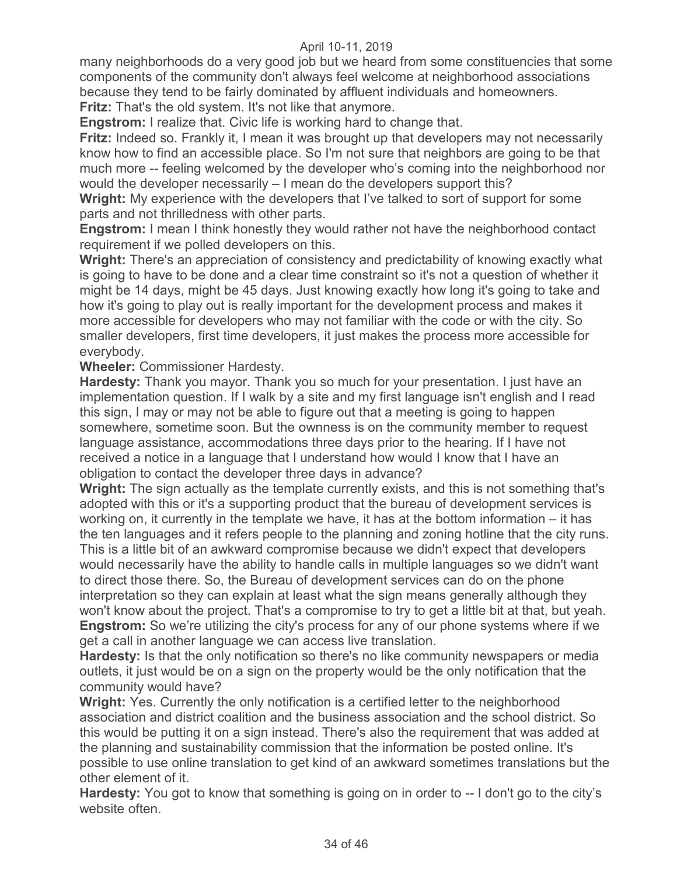many neighborhoods do a very good job but we heard from some constituencies that some components of the community don't always feel welcome at neighborhood associations because they tend to be fairly dominated by affluent individuals and homeowners. **Fritz:** That's the old system. It's not like that anymore.

**Engstrom:** I realize that. Civic life is working hard to change that.

**Fritz:** Indeed so. Frankly it, I mean it was brought up that developers may not necessarily know how to find an accessible place. So I'm not sure that neighbors are going to be that much more -- feeling welcomed by the developer who's coming into the neighborhood nor would the developer necessarily – I mean do the developers support this?

**Wright:** My experience with the developers that I've talked to sort of support for some parts and not thrilledness with other parts.

**Engstrom:** I mean I think honestly they would rather not have the neighborhood contact requirement if we polled developers on this.

**Wright:** There's an appreciation of consistency and predictability of knowing exactly what is going to have to be done and a clear time constraint so it's not a question of whether it might be 14 days, might be 45 days. Just knowing exactly how long it's going to take and how it's going to play out is really important for the development process and makes it more accessible for developers who may not familiar with the code or with the city. So smaller developers, first time developers, it just makes the process more accessible for everybody.

**Wheeler:** Commissioner Hardesty.

**Hardesty:** Thank you mayor. Thank you so much for your presentation. I just have an implementation question. If I walk by a site and my first language isn't english and I read this sign, I may or may not be able to figure out that a meeting is going to happen somewhere, sometime soon. But the ownness is on the community member to request language assistance, accommodations three days prior to the hearing. If I have not received a notice in a language that I understand how would I know that I have an obligation to contact the developer three days in advance?

**Wright:** The sign actually as the template currently exists, and this is not something that's adopted with this or it's a supporting product that the bureau of development services is working on, it currently in the template we have, it has at the bottom information – it has the ten languages and it refers people to the planning and zoning hotline that the city runs. This is a little bit of an awkward compromise because we didn't expect that developers would necessarily have the ability to handle calls in multiple languages so we didn't want to direct those there. So, the Bureau of development services can do on the phone interpretation so they can explain at least what the sign means generally although they won't know about the project. That's a compromise to try to get a little bit at that, but yeah. **Engstrom:** So we're utilizing the city's process for any of our phone systems where if we get a call in another language we can access live translation.

**Hardesty:** Is that the only notification so there's no like community newspapers or media outlets, it just would be on a sign on the property would be the only notification that the community would have?

**Wright:** Yes. Currently the only notification is a certified letter to the neighborhood association and district coalition and the business association and the school district. So this would be putting it on a sign instead. There's also the requirement that was added at the planning and sustainability commission that the information be posted online. It's possible to use online translation to get kind of an awkward sometimes translations but the other element of it.

**Hardesty:** You got to know that something is going on in order to -- I don't go to the city's website often.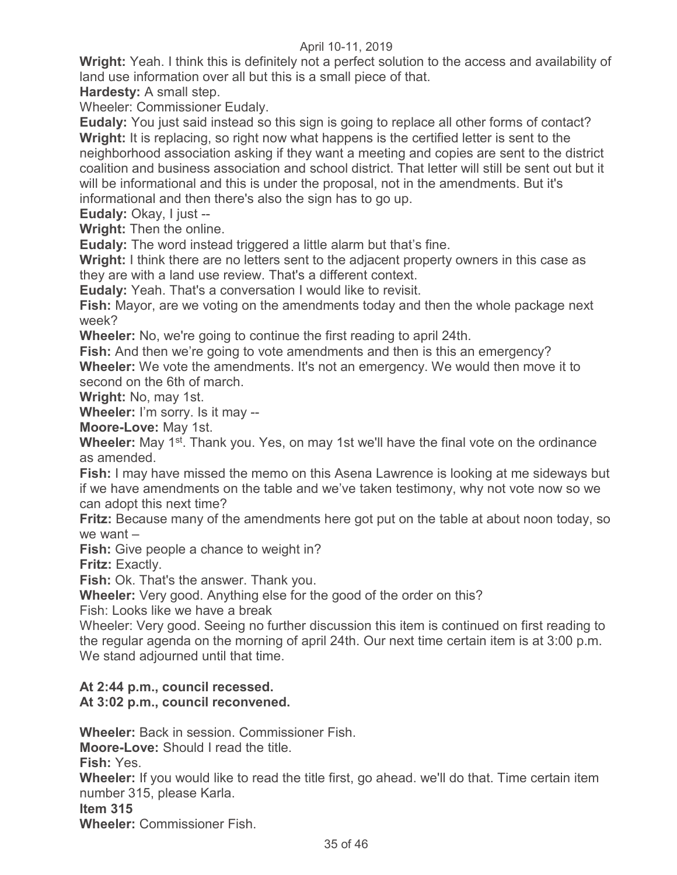**Wright:** Yeah. I think this is definitely not a perfect solution to the access and availability of land use information over all but this is a small piece of that.

**Hardesty:** A small step.

Wheeler: Commissioner Eudaly.

**Eudaly:** You just said instead so this sign is going to replace all other forms of contact? **Wright:** It is replacing, so right now what happens is the certified letter is sent to the neighborhood association asking if they want a meeting and copies are sent to the district coalition and business association and school district. That letter will still be sent out but it will be informational and this is under the proposal, not in the amendments. But it's informational and then there's also the sign has to go up.

**Eudaly:** Okay, I just --

**Wright:** Then the online.

**Eudaly:** The word instead triggered a little alarm but that's fine.

**Wright:** I think there are no letters sent to the adjacent property owners in this case as they are with a land use review. That's a different context.

**Eudaly:** Yeah. That's a conversation I would like to revisit.

**Fish:** Mayor, are we voting on the amendments today and then the whole package next week?

**Wheeler:** No, we're going to continue the first reading to april 24th.

**Fish:** And then we're going to vote amendments and then is this an emergency? **Wheeler:** We vote the amendments. It's not an emergency. We would then move it to second on the 6th of march.

**Wright:** No, may 1st.

**Wheeler:** I'm sorry. Is it may --

**Moore-Love:** May 1st.

**Wheeler:** May 1<sup>st</sup>. Thank you. Yes, on may 1st we'll have the final vote on the ordinance as amended.

**Fish:** I may have missed the memo on this Asena Lawrence is looking at me sideways but if we have amendments on the table and we've taken testimony, why not vote now so we can adopt this next time?

**Fritz:** Because many of the amendments here got put on the table at about noon today, so we want –

**Fish:** Give people a chance to weight in?

**Fritz:** Exactly.

**Fish:** Ok. That's the answer. Thank you.

**Wheeler:** Very good. Anything else for the good of the order on this?

Fish: Looks like we have a break

Wheeler: Very good. Seeing no further discussion this item is continued on first reading to the regular agenda on the morning of april 24th. Our next time certain item is at 3:00 p.m. We stand adjourned until that time.

# **At 2:44 p.m., council recessed.**

# **At 3:02 p.m., council reconvened.**

**Wheeler:** Back in session. Commissioner Fish.

**Moore-Love:** Should I read the title.

**Fish:** Yes.

**Wheeler:** If you would like to read the title first, go ahead. we'll do that. Time certain item number 315, please Karla.

**Item 315** 

**Wheeler:** Commissioner Fish.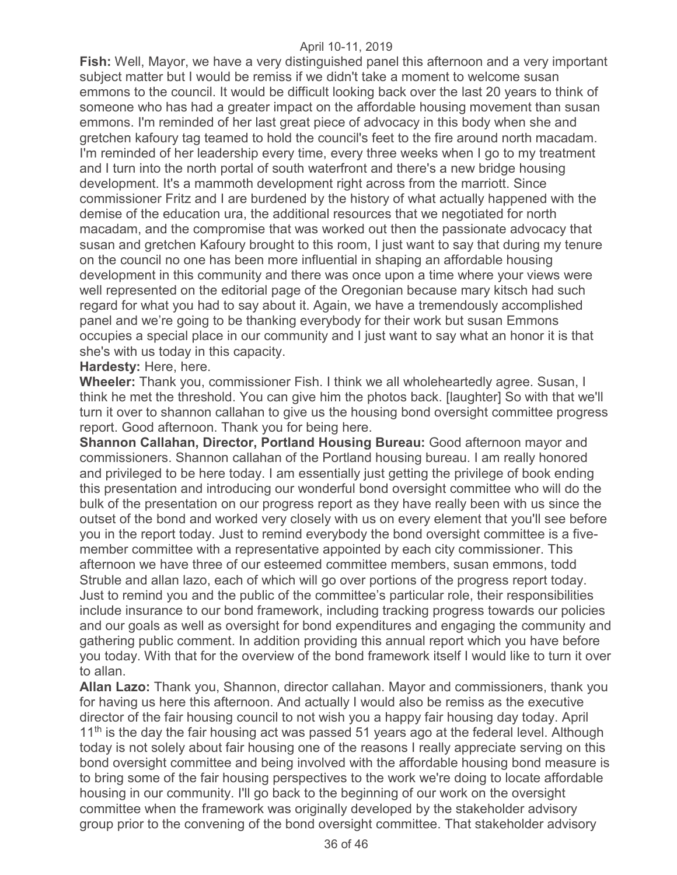**Fish:** Well, Mayor, we have a very distinguished panel this afternoon and a very important subject matter but I would be remiss if we didn't take a moment to welcome susan emmons to the council. It would be difficult looking back over the last 20 years to think of someone who has had a greater impact on the affordable housing movement than susan emmons. I'm reminded of her last great piece of advocacy in this body when she and gretchen kafoury tag teamed to hold the council's feet to the fire around north macadam. I'm reminded of her leadership every time, every three weeks when I go to my treatment and I turn into the north portal of south waterfront and there's a new bridge housing development. It's a mammoth development right across from the marriott. Since commissioner Fritz and I are burdened by the history of what actually happened with the demise of the education ura, the additional resources that we negotiated for north macadam, and the compromise that was worked out then the passionate advocacy that susan and gretchen Kafoury brought to this room, I just want to say that during my tenure on the council no one has been more influential in shaping an affordable housing development in this community and there was once upon a time where your views were well represented on the editorial page of the Oregonian because mary kitsch had such regard for what you had to say about it. Again, we have a tremendously accomplished panel and we're going to be thanking everybody for their work but susan Emmons occupies a special place in our community and I just want to say what an honor it is that she's with us today in this capacity.

#### **Hardesty:** Here, here.

**Wheeler:** Thank you, commissioner Fish. I think we all wholeheartedly agree. Susan, I think he met the threshold. You can give him the photos back. [laughter] So with that we'll turn it over to shannon callahan to give us the housing bond oversight committee progress report. Good afternoon. Thank you for being here.

**Shannon Callahan, Director, Portland Housing Bureau:** Good afternoon mayor and commissioners. Shannon callahan of the Portland housing bureau. I am really honored and privileged to be here today. I am essentially just getting the privilege of book ending this presentation and introducing our wonderful bond oversight committee who will do the bulk of the presentation on our progress report as they have really been with us since the outset of the bond and worked very closely with us on every element that you'll see before you in the report today. Just to remind everybody the bond oversight committee is a fivemember committee with a representative appointed by each city commissioner. This afternoon we have three of our esteemed committee members, susan emmons, todd Struble and allan lazo, each of which will go over portions of the progress report today. Just to remind you and the public of the committee's particular role, their responsibilities include insurance to our bond framework, including tracking progress towards our policies and our goals as well as oversight for bond expenditures and engaging the community and gathering public comment. In addition providing this annual report which you have before you today. With that for the overview of the bond framework itself I would like to turn it over to allan.

**Allan Lazo:** Thank you, Shannon, director callahan. Mayor and commissioners, thank you for having us here this afternoon. And actually I would also be remiss as the executive director of the fair housing council to not wish you a happy fair housing day today. April  $11<sup>th</sup>$  is the day the fair housing act was passed 51 years ago at the federal level. Although today is not solely about fair housing one of the reasons I really appreciate serving on this bond oversight committee and being involved with the affordable housing bond measure is to bring some of the fair housing perspectives to the work we're doing to locate affordable housing in our community. I'll go back to the beginning of our work on the oversight committee when the framework was originally developed by the stakeholder advisory group prior to the convening of the bond oversight committee. That stakeholder advisory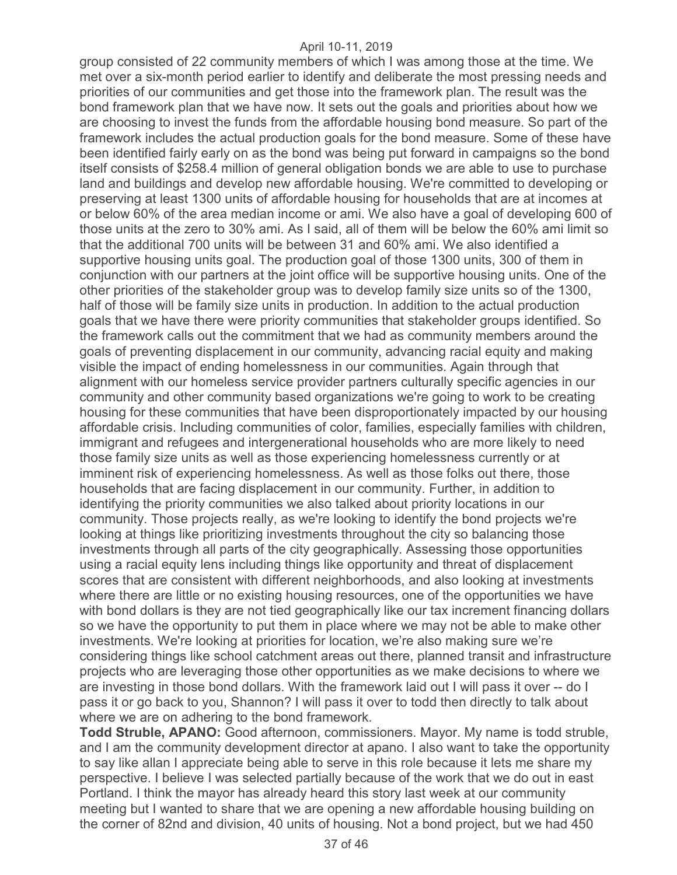group consisted of 22 community members of which I was among those at the time. We met over a six-month period earlier to identify and deliberate the most pressing needs and priorities of our communities and get those into the framework plan. The result was the bond framework plan that we have now. It sets out the goals and priorities about how we are choosing to invest the funds from the affordable housing bond measure. So part of the framework includes the actual production goals for the bond measure. Some of these have been identified fairly early on as the bond was being put forward in campaigns so the bond itself consists of \$258.4 million of general obligation bonds we are able to use to purchase land and buildings and develop new affordable housing. We're committed to developing or preserving at least 1300 units of affordable housing for households that are at incomes at or below 60% of the area median income or ami. We also have a goal of developing 600 of those units at the zero to 30% ami. As I said, all of them will be below the 60% ami limit so that the additional 700 units will be between 31 and 60% ami. We also identified a supportive housing units goal. The production goal of those 1300 units, 300 of them in conjunction with our partners at the joint office will be supportive housing units. One of the other priorities of the stakeholder group was to develop family size units so of the 1300, half of those will be family size units in production. In addition to the actual production goals that we have there were priority communities that stakeholder groups identified. So the framework calls out the commitment that we had as community members around the goals of preventing displacement in our community, advancing racial equity and making visible the impact of ending homelessness in our communities. Again through that alignment with our homeless service provider partners culturally specific agencies in our community and other community based organizations we're going to work to be creating housing for these communities that have been disproportionately impacted by our housing affordable crisis. Including communities of color, families, especially families with children, immigrant and refugees and intergenerational households who are more likely to need those family size units as well as those experiencing homelessness currently or at imminent risk of experiencing homelessness. As well as those folks out there, those households that are facing displacement in our community. Further, in addition to identifying the priority communities we also talked about priority locations in our community. Those projects really, as we're looking to identify the bond projects we're looking at things like prioritizing investments throughout the city so balancing those investments through all parts of the city geographically. Assessing those opportunities using a racial equity lens including things like opportunity and threat of displacement scores that are consistent with different neighborhoods, and also looking at investments where there are little or no existing housing resources, one of the opportunities we have with bond dollars is they are not tied geographically like our tax increment financing dollars so we have the opportunity to put them in place where we may not be able to make other investments. We're looking at priorities for location, we're also making sure we're considering things like school catchment areas out there, planned transit and infrastructure projects who are leveraging those other opportunities as we make decisions to where we are investing in those bond dollars. With the framework laid out I will pass it over -- do I pass it or go back to you, Shannon? I will pass it over to todd then directly to talk about where we are on adhering to the bond framework.

**Todd Struble, APANO:** Good afternoon, commissioners. Mayor. My name is todd struble, and I am the community development director at apano. I also want to take the opportunity to say like allan I appreciate being able to serve in this role because it lets me share my perspective. I believe I was selected partially because of the work that we do out in east Portland. I think the mayor has already heard this story last week at our community meeting but I wanted to share that we are opening a new affordable housing building on the corner of 82nd and division, 40 units of housing. Not a bond project, but we had 450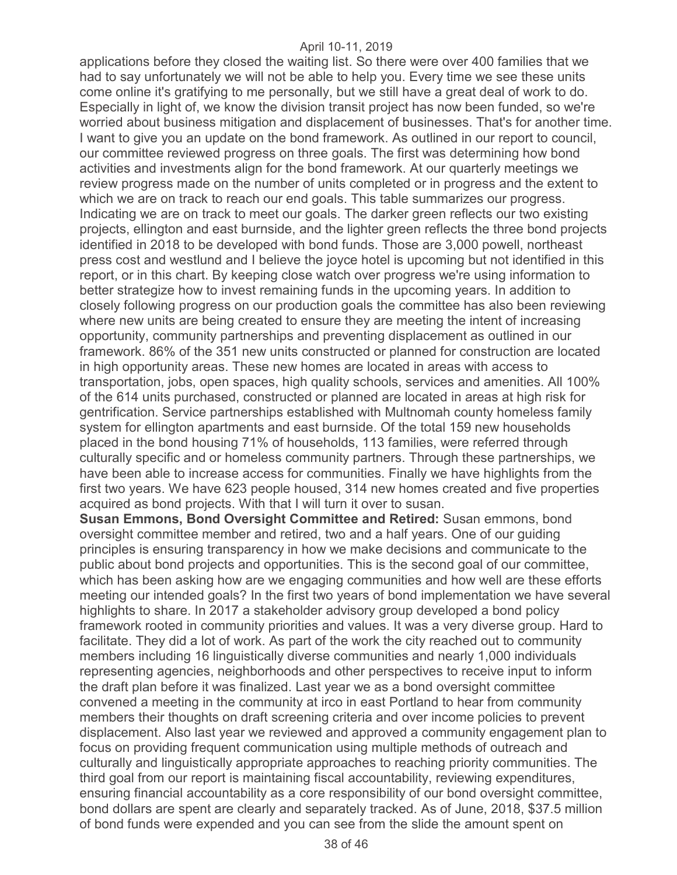applications before they closed the waiting list. So there were over 400 families that we had to say unfortunately we will not be able to help you. Every time we see these units come online it's gratifying to me personally, but we still have a great deal of work to do. Especially in light of, we know the division transit project has now been funded, so we're worried about business mitigation and displacement of businesses. That's for another time. I want to give you an update on the bond framework. As outlined in our report to council, our committee reviewed progress on three goals. The first was determining how bond activities and investments align for the bond framework. At our quarterly meetings we review progress made on the number of units completed or in progress and the extent to which we are on track to reach our end goals. This table summarizes our progress. Indicating we are on track to meet our goals. The darker green reflects our two existing projects, ellington and east burnside, and the lighter green reflects the three bond projects identified in 2018 to be developed with bond funds. Those are 3,000 powell, northeast press cost and westlund and I believe the joyce hotel is upcoming but not identified in this report, or in this chart. By keeping close watch over progress we're using information to better strategize how to invest remaining funds in the upcoming years. In addition to closely following progress on our production goals the committee has also been reviewing where new units are being created to ensure they are meeting the intent of increasing opportunity, community partnerships and preventing displacement as outlined in our framework. 86% of the 351 new units constructed or planned for construction are located in high opportunity areas. These new homes are located in areas with access to transportation, jobs, open spaces, high quality schools, services and amenities. All 100% of the 614 units purchased, constructed or planned are located in areas at high risk for gentrification. Service partnerships established with Multnomah county homeless family system for ellington apartments and east burnside. Of the total 159 new households placed in the bond housing 71% of households, 113 families, were referred through culturally specific and or homeless community partners. Through these partnerships, we have been able to increase access for communities. Finally we have highlights from the first two years. We have 623 people housed, 314 new homes created and five properties acquired as bond projects. With that I will turn it over to susan.

**Susan Emmons, Bond Oversight Committee and Retired:** Susan emmons, bond oversight committee member and retired, two and a half years. One of our guiding principles is ensuring transparency in how we make decisions and communicate to the public about bond projects and opportunities. This is the second goal of our committee, which has been asking how are we engaging communities and how well are these efforts meeting our intended goals? In the first two years of bond implementation we have several highlights to share. In 2017 a stakeholder advisory group developed a bond policy framework rooted in community priorities and values. It was a very diverse group. Hard to facilitate. They did a lot of work. As part of the work the city reached out to community members including 16 linguistically diverse communities and nearly 1,000 individuals representing agencies, neighborhoods and other perspectives to receive input to inform the draft plan before it was finalized. Last year we as a bond oversight committee convened a meeting in the community at irco in east Portland to hear from community members their thoughts on draft screening criteria and over income policies to prevent displacement. Also last year we reviewed and approved a community engagement plan to focus on providing frequent communication using multiple methods of outreach and culturally and linguistically appropriate approaches to reaching priority communities. The third goal from our report is maintaining fiscal accountability, reviewing expenditures, ensuring financial accountability as a core responsibility of our bond oversight committee, bond dollars are spent are clearly and separately tracked. As of June, 2018, \$37.5 million of bond funds were expended and you can see from the slide the amount spent on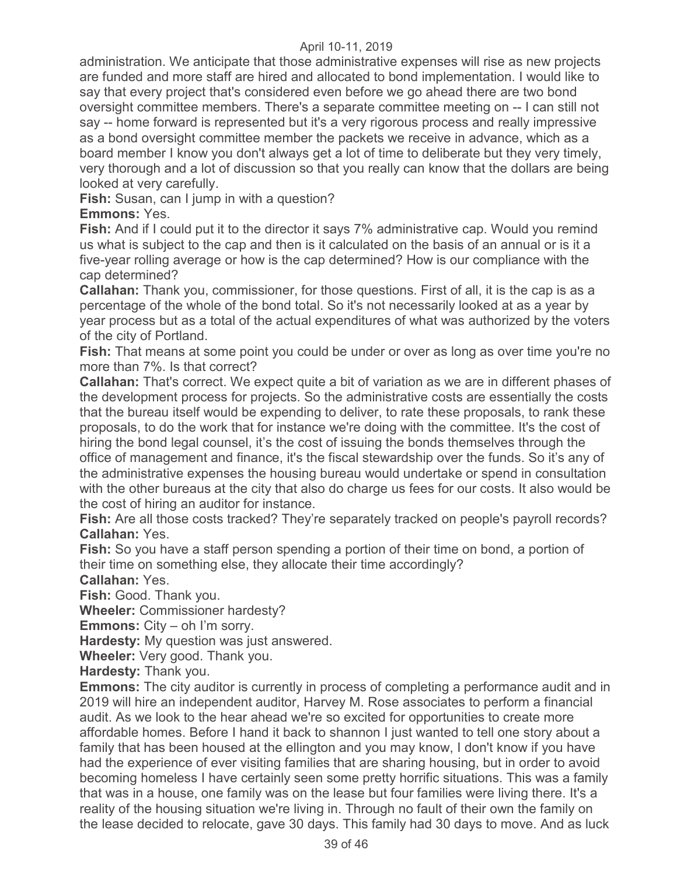administration. We anticipate that those administrative expenses will rise as new projects are funded and more staff are hired and allocated to bond implementation. I would like to say that every project that's considered even before we go ahead there are two bond oversight committee members. There's a separate committee meeting on -- I can still not say -- home forward is represented but it's a very rigorous process and really impressive as a bond oversight committee member the packets we receive in advance, which as a board member I know you don't always get a lot of time to deliberate but they very timely, very thorough and a lot of discussion so that you really can know that the dollars are being looked at very carefully.

**Fish:** Susan, can I jump in with a question?

**Emmons:** Yes.

**Fish:** And if I could put it to the director it says 7% administrative cap. Would you remind us what is subject to the cap and then is it calculated on the basis of an annual or is it a five-year rolling average or how is the cap determined? How is our compliance with the cap determined?

**Callahan:** Thank you, commissioner, for those questions. First of all, it is the cap is as a percentage of the whole of the bond total. So it's not necessarily looked at as a year by year process but as a total of the actual expenditures of what was authorized by the voters of the city of Portland.

**Fish:** That means at some point you could be under or over as long as over time you're no more than 7%. Is that correct?

**Callahan:** That's correct. We expect quite a bit of variation as we are in different phases of the development process for projects. So the administrative costs are essentially the costs that the bureau itself would be expending to deliver, to rate these proposals, to rank these proposals, to do the work that for instance we're doing with the committee. It's the cost of hiring the bond legal counsel, it's the cost of issuing the bonds themselves through the office of management and finance, it's the fiscal stewardship over the funds. So it's any of the administrative expenses the housing bureau would undertake or spend in consultation with the other bureaus at the city that also do charge us fees for our costs. It also would be the cost of hiring an auditor for instance.

**Fish:** Are all those costs tracked? They're separately tracked on people's payroll records? **Callahan:** Yes.

**Fish:** So you have a staff person spending a portion of their time on bond, a portion of their time on something else, they allocate their time accordingly?

**Callahan:** Yes.

**Fish:** Good. Thank you.

**Wheeler:** Commissioner hardesty?

**Emmons:** City – oh I'm sorry.

**Hardesty:** My question was just answered.

**Wheeler:** Very good. Thank you.

**Hardesty:** Thank you.

**Emmons:** The city auditor is currently in process of completing a performance audit and in 2019 will hire an independent auditor, Harvey M. Rose associates to perform a financial audit. As we look to the hear ahead we're so excited for opportunities to create more affordable homes. Before I hand it back to shannon I just wanted to tell one story about a family that has been housed at the ellington and you may know, I don't know if you have had the experience of ever visiting families that are sharing housing, but in order to avoid becoming homeless I have certainly seen some pretty horrific situations. This was a family that was in a house, one family was on the lease but four families were living there. It's a reality of the housing situation we're living in. Through no fault of their own the family on the lease decided to relocate, gave 30 days. This family had 30 days to move. And as luck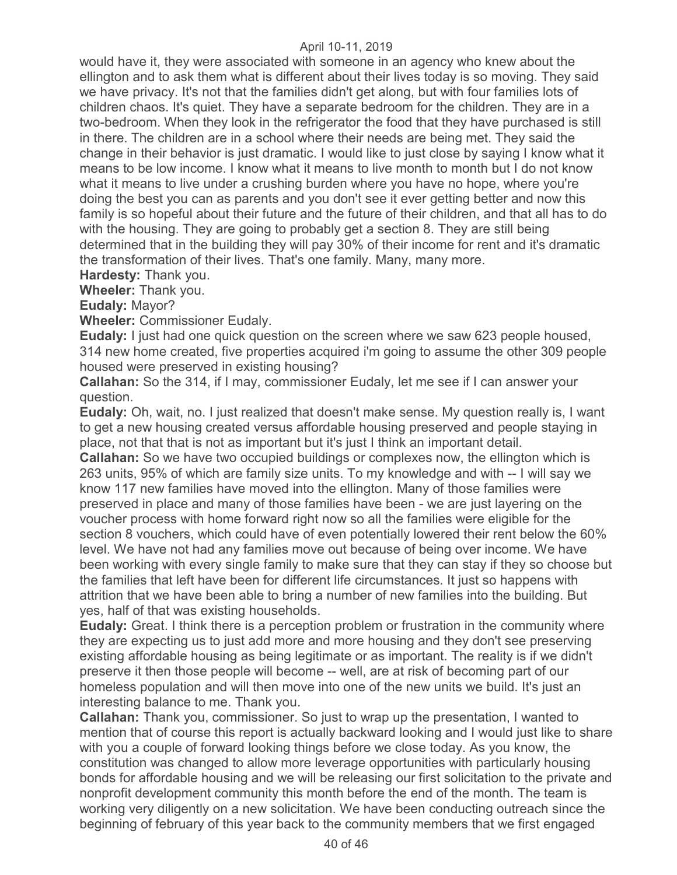would have it, they were associated with someone in an agency who knew about the ellington and to ask them what is different about their lives today is so moving. They said we have privacy. It's not that the families didn't get along, but with four families lots of children chaos. It's quiet. They have a separate bedroom for the children. They are in a two-bedroom. When they look in the refrigerator the food that they have purchased is still in there. The children are in a school where their needs are being met. They said the change in their behavior is just dramatic. I would like to just close by saying I know what it means to be low income. I know what it means to live month to month but I do not know what it means to live under a crushing burden where you have no hope, where you're doing the best you can as parents and you don't see it ever getting better and now this family is so hopeful about their future and the future of their children, and that all has to do with the housing. They are going to probably get a section 8. They are still being determined that in the building they will pay 30% of their income for rent and it's dramatic the transformation of their lives. That's one family. Many, many more.

**Hardesty:** Thank you.

**Wheeler:** Thank you.

**Eudaly:** Mayor?

**Wheeler:** Commissioner Eudaly.

**Eudaly:** I just had one quick question on the screen where we saw 623 people housed, 314 new home created, five properties acquired i'm going to assume the other 309 people housed were preserved in existing housing?

**Callahan:** So the 314, if I may, commissioner Eudaly, let me see if I can answer your question.

**Eudaly:** Oh, wait, no. I just realized that doesn't make sense. My question really is, I want to get a new housing created versus affordable housing preserved and people staying in place, not that that is not as important but it's just I think an important detail.

**Callahan:** So we have two occupied buildings or complexes now, the ellington which is 263 units, 95% of which are family size units. To my knowledge and with -- I will say we know 117 new families have moved into the ellington. Many of those families were preserved in place and many of those families have been - we are just layering on the voucher process with home forward right now so all the families were eligible for the section 8 vouchers, which could have of even potentially lowered their rent below the 60% level. We have not had any families move out because of being over income. We have been working with every single family to make sure that they can stay if they so choose but the families that left have been for different life circumstances. It just so happens with attrition that we have been able to bring a number of new families into the building. But yes, half of that was existing households.

**Eudaly:** Great. I think there is a perception problem or frustration in the community where they are expecting us to just add more and more housing and they don't see preserving existing affordable housing as being legitimate or as important. The reality is if we didn't preserve it then those people will become -- well, are at risk of becoming part of our homeless population and will then move into one of the new units we build. It's just an interesting balance to me. Thank you.

**Callahan:** Thank you, commissioner. So just to wrap up the presentation, I wanted to mention that of course this report is actually backward looking and I would just like to share with you a couple of forward looking things before we close today. As you know, the constitution was changed to allow more leverage opportunities with particularly housing bonds for affordable housing and we will be releasing our first solicitation to the private and nonprofit development community this month before the end of the month. The team is working very diligently on a new solicitation. We have been conducting outreach since the beginning of february of this year back to the community members that we first engaged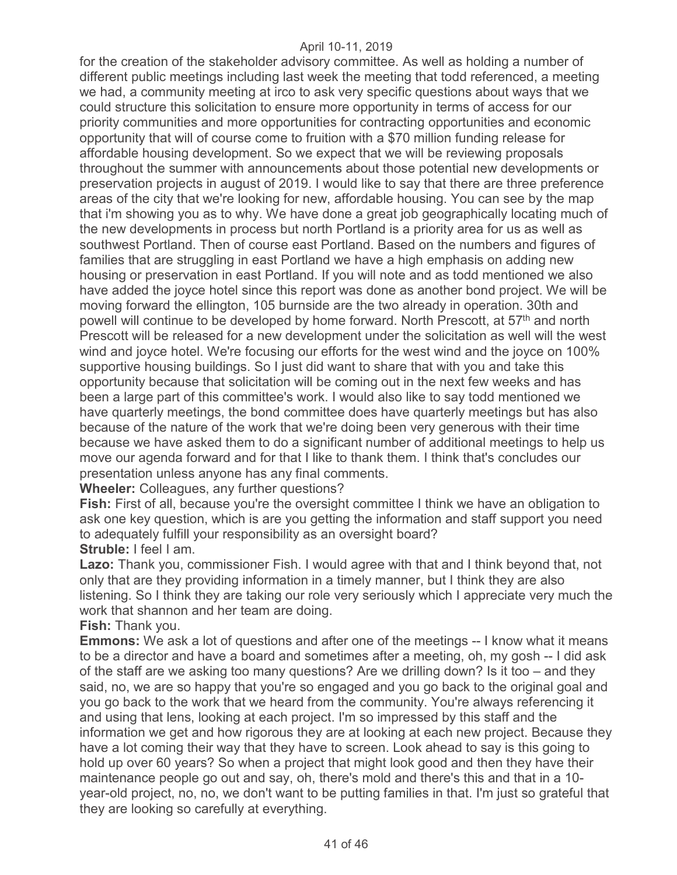for the creation of the stakeholder advisory committee. As well as holding a number of different public meetings including last week the meeting that todd referenced, a meeting we had, a community meeting at irco to ask very specific questions about ways that we could structure this solicitation to ensure more opportunity in terms of access for our priority communities and more opportunities for contracting opportunities and economic opportunity that will of course come to fruition with a \$70 million funding release for affordable housing development. So we expect that we will be reviewing proposals throughout the summer with announcements about those potential new developments or preservation projects in august of 2019. I would like to say that there are three preference areas of the city that we're looking for new, affordable housing. You can see by the map that i'm showing you as to why. We have done a great job geographically locating much of the new developments in process but north Portland is a priority area for us as well as southwest Portland. Then of course east Portland. Based on the numbers and figures of families that are struggling in east Portland we have a high emphasis on adding new housing or preservation in east Portland. If you will note and as todd mentioned we also have added the joyce hotel since this report was done as another bond project. We will be moving forward the ellington, 105 burnside are the two already in operation. 30th and powell will continue to be developed by home forward. North Prescott, at 57<sup>th</sup> and north Prescott will be released for a new development under the solicitation as well will the west wind and joyce hotel. We're focusing our efforts for the west wind and the joyce on 100% supportive housing buildings. So I just did want to share that with you and take this opportunity because that solicitation will be coming out in the next few weeks and has been a large part of this committee's work. I would also like to say todd mentioned we have quarterly meetings, the bond committee does have quarterly meetings but has also because of the nature of the work that we're doing been very generous with their time because we have asked them to do a significant number of additional meetings to help us move our agenda forward and for that I like to thank them. I think that's concludes our presentation unless anyone has any final comments.

**Wheeler:** Colleagues, any further questions?

**Fish:** First of all, because you're the oversight committee I think we have an obligation to ask one key question, which is are you getting the information and staff support you need to adequately fulfill your responsibility as an oversight board? **Struble:** I feel I am.

**Lazo:** Thank you, commissioner Fish. I would agree with that and I think beyond that, not only that are they providing information in a timely manner, but I think they are also listening. So I think they are taking our role very seriously which I appreciate very much the work that shannon and her team are doing.

**Fish:** Thank you.

**Emmons:** We ask a lot of questions and after one of the meetings -- I know what it means to be a director and have a board and sometimes after a meeting, oh, my gosh -- I did ask of the staff are we asking too many questions? Are we drilling down? Is it too – and they said, no, we are so happy that you're so engaged and you go back to the original goal and you go back to the work that we heard from the community. You're always referencing it and using that lens, looking at each project. I'm so impressed by this staff and the information we get and how rigorous they are at looking at each new project. Because they have a lot coming their way that they have to screen. Look ahead to say is this going to hold up over 60 years? So when a project that might look good and then they have their maintenance people go out and say, oh, there's mold and there's this and that in a 10 year-old project, no, no, we don't want to be putting families in that. I'm just so grateful that they are looking so carefully at everything.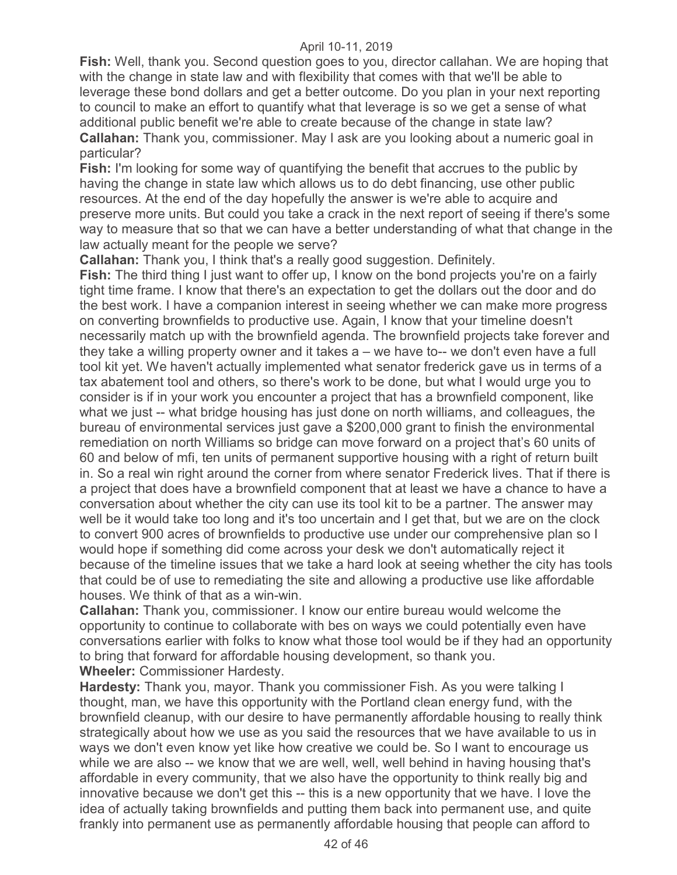**Fish:** Well, thank you. Second question goes to you, director callahan. We are hoping that with the change in state law and with flexibility that comes with that we'll be able to leverage these bond dollars and get a better outcome. Do you plan in your next reporting to council to make an effort to quantify what that leverage is so we get a sense of what additional public benefit we're able to create because of the change in state law? **Callahan:** Thank you, commissioner. May I ask are you looking about a numeric goal in particular?

**Fish:** I'm looking for some way of quantifying the benefit that accrues to the public by having the change in state law which allows us to do debt financing, use other public resources. At the end of the day hopefully the answer is we're able to acquire and preserve more units. But could you take a crack in the next report of seeing if there's some way to measure that so that we can have a better understanding of what that change in the law actually meant for the people we serve?

**Callahan:** Thank you, I think that's a really good suggestion. Definitely.

**Fish:** The third thing I just want to offer up, I know on the bond projects you're on a fairly tight time frame. I know that there's an expectation to get the dollars out the door and do the best work. I have a companion interest in seeing whether we can make more progress on converting brownfields to productive use. Again, I know that your timeline doesn't necessarily match up with the brownfield agenda. The brownfield projects take forever and they take a willing property owner and it takes a – we have to-- we don't even have a full tool kit yet. We haven't actually implemented what senator frederick gave us in terms of a tax abatement tool and others, so there's work to be done, but what I would urge you to consider is if in your work you encounter a project that has a brownfield component, like what we just -- what bridge housing has just done on north williams, and colleagues, the bureau of environmental services just gave a \$200,000 grant to finish the environmental remediation on north Williams so bridge can move forward on a project that's 60 units of 60 and below of mfi, ten units of permanent supportive housing with a right of return built in. So a real win right around the corner from where senator Frederick lives. That if there is a project that does have a brownfield component that at least we have a chance to have a conversation about whether the city can use its tool kit to be a partner. The answer may well be it would take too long and it's too uncertain and I get that, but we are on the clock to convert 900 acres of brownfields to productive use under our comprehensive plan so I would hope if something did come across your desk we don't automatically reject it because of the timeline issues that we take a hard look at seeing whether the city has tools that could be of use to remediating the site and allowing a productive use like affordable houses. We think of that as a win-win.

**Callahan:** Thank you, commissioner. I know our entire bureau would welcome the opportunity to continue to collaborate with bes on ways we could potentially even have conversations earlier with folks to know what those tool would be if they had an opportunity to bring that forward for affordable housing development, so thank you. **Wheeler:** Commissioner Hardesty.

**Hardesty:** Thank you, mayor. Thank you commissioner Fish. As you were talking I thought, man, we have this opportunity with the Portland clean energy fund, with the brownfield cleanup, with our desire to have permanently affordable housing to really think strategically about how we use as you said the resources that we have available to us in ways we don't even know yet like how creative we could be. So I want to encourage us while we are also -- we know that we are well, well, well behind in having housing that's affordable in every community, that we also have the opportunity to think really big and innovative because we don't get this -- this is a new opportunity that we have. I love the idea of actually taking brownfields and putting them back into permanent use, and quite frankly into permanent use as permanently affordable housing that people can afford to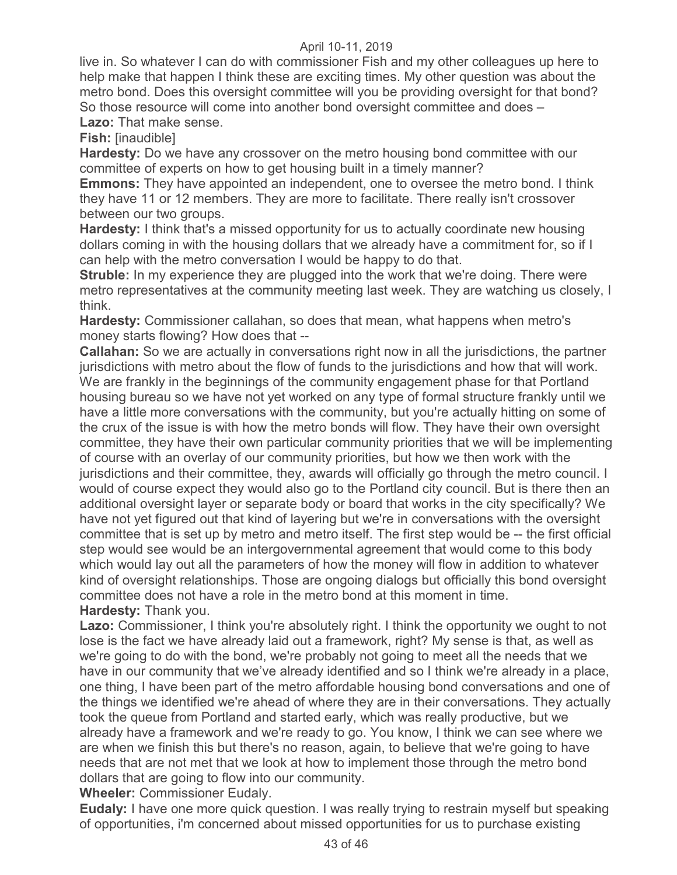live in. So whatever I can do with commissioner Fish and my other colleagues up here to help make that happen I think these are exciting times. My other question was about the metro bond. Does this oversight committee will you be providing oversight for that bond? So those resource will come into another bond oversight committee and does – **Lazo:** That make sense.

**Fish:** [inaudible]

**Hardesty:** Do we have any crossover on the metro housing bond committee with our committee of experts on how to get housing built in a timely manner?

**Emmons:** They have appointed an independent, one to oversee the metro bond. I think they have 11 or 12 members. They are more to facilitate. There really isn't crossover between our two groups.

**Hardesty:** I think that's a missed opportunity for us to actually coordinate new housing dollars coming in with the housing dollars that we already have a commitment for, so if I can help with the metro conversation I would be happy to do that.

**Struble:** In my experience they are plugged into the work that we're doing. There were metro representatives at the community meeting last week. They are watching us closely, I think.

**Hardesty:** Commissioner callahan, so does that mean, what happens when metro's money starts flowing? How does that --

**Callahan:** So we are actually in conversations right now in all the jurisdictions, the partner jurisdictions with metro about the flow of funds to the jurisdictions and how that will work. We are frankly in the beginnings of the community engagement phase for that Portland housing bureau so we have not yet worked on any type of formal structure frankly until we have a little more conversations with the community, but you're actually hitting on some of the crux of the issue is with how the metro bonds will flow. They have their own oversight committee, they have their own particular community priorities that we will be implementing of course with an overlay of our community priorities, but how we then work with the jurisdictions and their committee, they, awards will officially go through the metro council. I would of course expect they would also go to the Portland city council. But is there then an additional oversight layer or separate body or board that works in the city specifically? We have not yet figured out that kind of layering but we're in conversations with the oversight committee that is set up by metro and metro itself. The first step would be -- the first official step would see would be an intergovernmental agreement that would come to this body which would lay out all the parameters of how the money will flow in addition to whatever kind of oversight relationships. Those are ongoing dialogs but officially this bond oversight committee does not have a role in the metro bond at this moment in time. **Hardesty:** Thank you.

Lazo: Commissioner, I think you're absolutely right. I think the opportunity we ought to not lose is the fact we have already laid out a framework, right? My sense is that, as well as we're going to do with the bond, we're probably not going to meet all the needs that we have in our community that we've already identified and so I think we're already in a place, one thing, I have been part of the metro affordable housing bond conversations and one of the things we identified we're ahead of where they are in their conversations. They actually took the queue from Portland and started early, which was really productive, but we already have a framework and we're ready to go. You know, I think we can see where we are when we finish this but there's no reason, again, to believe that we're going to have needs that are not met that we look at how to implement those through the metro bond dollars that are going to flow into our community.

**Wheeler:** Commissioner Eudaly.

**Eudaly:** I have one more quick question. I was really trying to restrain myself but speaking of opportunities, i'm concerned about missed opportunities for us to purchase existing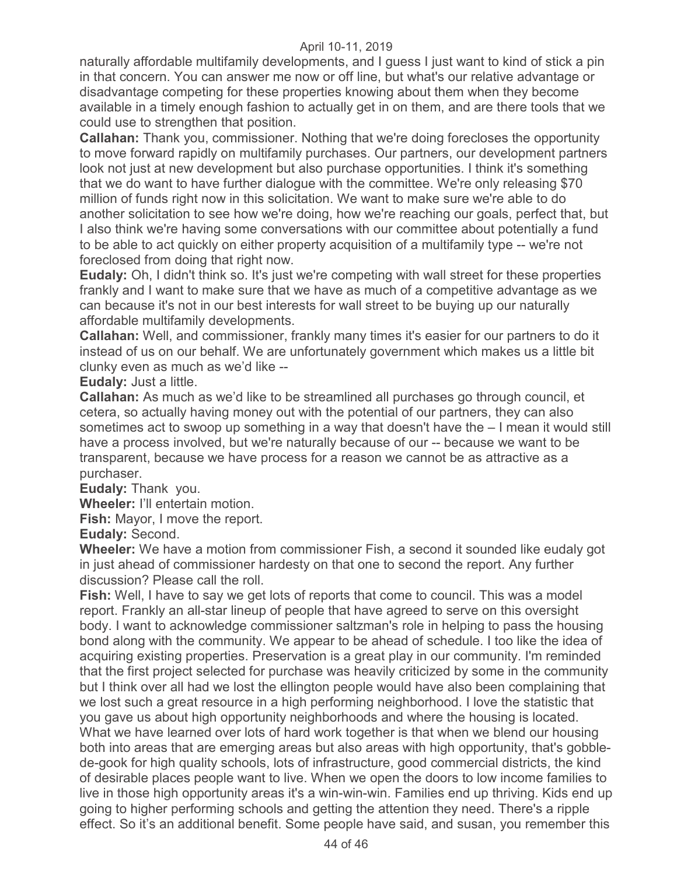naturally affordable multifamily developments, and I guess I just want to kind of stick a pin in that concern. You can answer me now or off line, but what's our relative advantage or disadvantage competing for these properties knowing about them when they become available in a timely enough fashion to actually get in on them, and are there tools that we could use to strengthen that position.

**Callahan:** Thank you, commissioner. Nothing that we're doing forecloses the opportunity to move forward rapidly on multifamily purchases. Our partners, our development partners look not just at new development but also purchase opportunities. I think it's something that we do want to have further dialogue with the committee. We're only releasing \$70 million of funds right now in this solicitation. We want to make sure we're able to do another solicitation to see how we're doing, how we're reaching our goals, perfect that, but I also think we're having some conversations with our committee about potentially a fund to be able to act quickly on either property acquisition of a multifamily type -- we're not foreclosed from doing that right now.

**Eudaly:** Oh, I didn't think so. It's just we're competing with wall street for these properties frankly and I want to make sure that we have as much of a competitive advantage as we can because it's not in our best interests for wall street to be buying up our naturally affordable multifamily developments.

**Callahan:** Well, and commissioner, frankly many times it's easier for our partners to do it instead of us on our behalf. We are unfortunately government which makes us a little bit clunky even as much as we'd like --

**Eudaly:** Just a little.

**Callahan:** As much as we'd like to be streamlined all purchases go through council, et cetera, so actually having money out with the potential of our partners, they can also sometimes act to swoop up something in a way that doesn't have the – I mean it would still have a process involved, but we're naturally because of our -- because we want to be transparent, because we have process for a reason we cannot be as attractive as a purchaser.

**Eudaly:** Thank you.

**Wheeler:** I'll entertain motion.

**Fish:** Mayor, I move the report.

**Eudaly:** Second.

**Wheeler:** We have a motion from commissioner Fish, a second it sounded like eudaly got in just ahead of commissioner hardesty on that one to second the report. Any further discussion? Please call the roll.

**Fish:** Well, I have to say we get lots of reports that come to council. This was a model report. Frankly an all-star lineup of people that have agreed to serve on this oversight body. I want to acknowledge commissioner saltzman's role in helping to pass the housing bond along with the community. We appear to be ahead of schedule. I too like the idea of acquiring existing properties. Preservation is a great play in our community. I'm reminded that the first project selected for purchase was heavily criticized by some in the community but I think over all had we lost the ellington people would have also been complaining that we lost such a great resource in a high performing neighborhood. I love the statistic that you gave us about high opportunity neighborhoods and where the housing is located. What we have learned over lots of hard work together is that when we blend our housing both into areas that are emerging areas but also areas with high opportunity, that's gobblede-gook for high quality schools, lots of infrastructure, good commercial districts, the kind of desirable places people want to live. When we open the doors to low income families to live in those high opportunity areas it's a win-win-win. Families end up thriving. Kids end up going to higher performing schools and getting the attention they need. There's a ripple effect. So it's an additional benefit. Some people have said, and susan, you remember this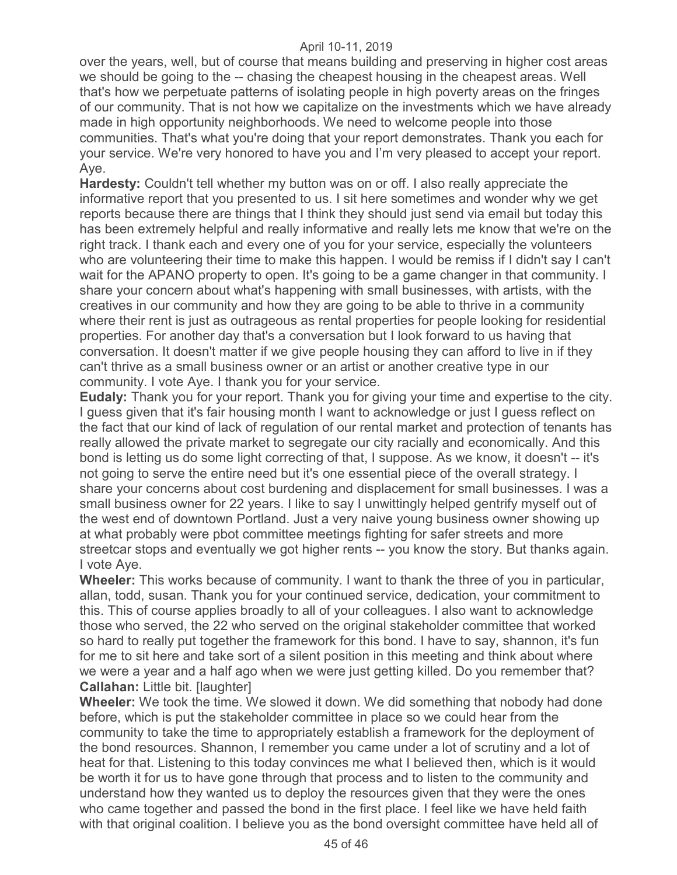over the years, well, but of course that means building and preserving in higher cost areas we should be going to the -- chasing the cheapest housing in the cheapest areas. Well that's how we perpetuate patterns of isolating people in high poverty areas on the fringes of our community. That is not how we capitalize on the investments which we have already made in high opportunity neighborhoods. We need to welcome people into those communities. That's what you're doing that your report demonstrates. Thank you each for your service. We're very honored to have you and I'm very pleased to accept your report. Aye.

**Hardesty:** Couldn't tell whether my button was on or off. I also really appreciate the informative report that you presented to us. I sit here sometimes and wonder why we get reports because there are things that I think they should just send via email but today this has been extremely helpful and really informative and really lets me know that we're on the right track. I thank each and every one of you for your service, especially the volunteers who are volunteering their time to make this happen. I would be remiss if I didn't say I can't wait for the APANO property to open. It's going to be a game changer in that community. I share your concern about what's happening with small businesses, with artists, with the creatives in our community and how they are going to be able to thrive in a community where their rent is just as outrageous as rental properties for people looking for residential properties. For another day that's a conversation but I look forward to us having that conversation. It doesn't matter if we give people housing they can afford to live in if they can't thrive as a small business owner or an artist or another creative type in our community. I vote Aye. I thank you for your service.

**Eudaly:** Thank you for your report. Thank you for giving your time and expertise to the city. I guess given that it's fair housing month I want to acknowledge or just I guess reflect on the fact that our kind of lack of regulation of our rental market and protection of tenants has really allowed the private market to segregate our city racially and economically. And this bond is letting us do some light correcting of that, I suppose. As we know, it doesn't -- it's not going to serve the entire need but it's one essential piece of the overall strategy. I share your concerns about cost burdening and displacement for small businesses. I was a small business owner for 22 years. I like to say I unwittingly helped gentrify myself out of the west end of downtown Portland. Just a very naive young business owner showing up at what probably were pbot committee meetings fighting for safer streets and more streetcar stops and eventually we got higher rents -- you know the story. But thanks again. I vote Aye.

**Wheeler:** This works because of community. I want to thank the three of you in particular, allan, todd, susan. Thank you for your continued service, dedication, your commitment to this. This of course applies broadly to all of your colleagues. I also want to acknowledge those who served, the 22 who served on the original stakeholder committee that worked so hard to really put together the framework for this bond. I have to say, shannon, it's fun for me to sit here and take sort of a silent position in this meeting and think about where we were a year and a half ago when we were just getting killed. Do you remember that? **Callahan: Little bit. [laughter]** 

**Wheeler:** We took the time. We slowed it down. We did something that nobody had done before, which is put the stakeholder committee in place so we could hear from the community to take the time to appropriately establish a framework for the deployment of the bond resources. Shannon, I remember you came under a lot of scrutiny and a lot of heat for that. Listening to this today convinces me what I believed then, which is it would be worth it for us to have gone through that process and to listen to the community and understand how they wanted us to deploy the resources given that they were the ones who came together and passed the bond in the first place. I feel like we have held faith with that original coalition. I believe you as the bond oversight committee have held all of